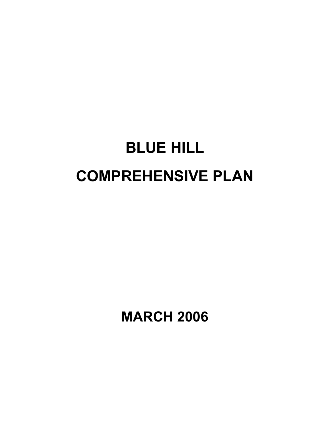# BLUE HILL COMPREHENSIVE PLAN

MARCH 2006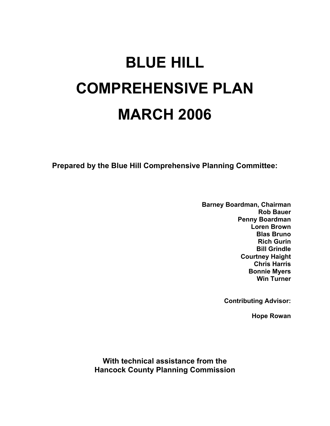# BLUE HILL COMPREHENSIVE PLAN MARCH 2006

Prepared by the Blue Hill Comprehensive Planning Committee:

Barney Boardman, Chairman Rob Bauer Penny Boardman Loren Brown Blas Bruno Rich Gurin Bill Grindle Courtney Haight Chris Harris Bonnie Myers Win Turner

Contributing Advisor:

Hope Rowan

With technical assistance from the Hancock County Planning Commission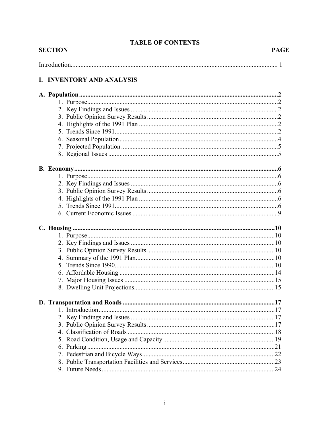## **TABLE OF CONTENTS**

| Introduct |  |
|-----------|--|

## **I. INVENTORY AND ANALYSIS**

**SECTION**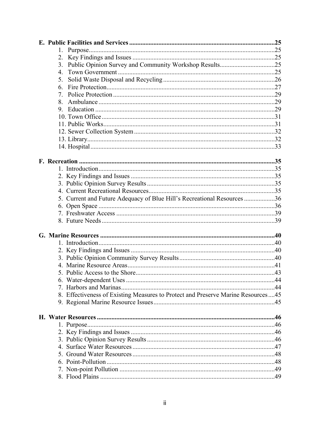| $1_{-}$                                                                          |  |
|----------------------------------------------------------------------------------|--|
| 2.                                                                               |  |
|                                                                                  |  |
| $4_{-}$                                                                          |  |
| 5.                                                                               |  |
| 6.                                                                               |  |
| 7.                                                                               |  |
|                                                                                  |  |
|                                                                                  |  |
|                                                                                  |  |
|                                                                                  |  |
|                                                                                  |  |
|                                                                                  |  |
|                                                                                  |  |
|                                                                                  |  |
|                                                                                  |  |
|                                                                                  |  |
|                                                                                  |  |
|                                                                                  |  |
|                                                                                  |  |
| 5. Current and Future Adequacy of Blue Hill's Recreational Resources 36          |  |
|                                                                                  |  |
|                                                                                  |  |
|                                                                                  |  |
|                                                                                  |  |
|                                                                                  |  |
|                                                                                  |  |
|                                                                                  |  |
|                                                                                  |  |
|                                                                                  |  |
|                                                                                  |  |
|                                                                                  |  |
|                                                                                  |  |
| 8. Effectiveness of Existing Measures to Protect and Preserve Marine Resources45 |  |
|                                                                                  |  |
|                                                                                  |  |
|                                                                                  |  |
|                                                                                  |  |
|                                                                                  |  |
|                                                                                  |  |
|                                                                                  |  |
|                                                                                  |  |
|                                                                                  |  |
|                                                                                  |  |
|                                                                                  |  |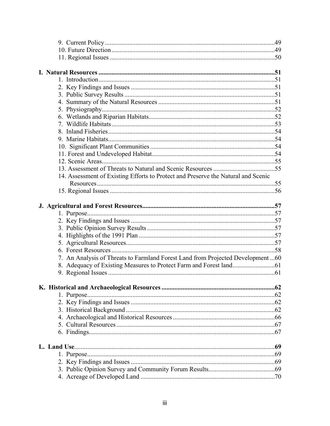| 14. Assessment of Existing Efforts to Protect and Preserve the Natural and Scenic |  |
|-----------------------------------------------------------------------------------|--|
|                                                                                   |  |
|                                                                                   |  |
|                                                                                   |  |
|                                                                                   |  |
|                                                                                   |  |
|                                                                                   |  |
|                                                                                   |  |
|                                                                                   |  |
|                                                                                   |  |
| 7. An Analysis of Threats to Farmland Forest Land from Projected Development60    |  |
|                                                                                   |  |
|                                                                                   |  |
|                                                                                   |  |
|                                                                                   |  |
|                                                                                   |  |
|                                                                                   |  |
|                                                                                   |  |
|                                                                                   |  |
|                                                                                   |  |
|                                                                                   |  |
|                                                                                   |  |
|                                                                                   |  |
|                                                                                   |  |
|                                                                                   |  |
|                                                                                   |  |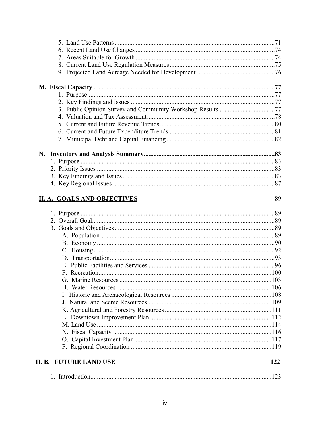**II. B. FUTURE LAND USE** 

| <b>II. A. GOALS AND OBJECTIVES</b> | 89 |
|------------------------------------|----|
|                                    |    |
|                                    |    |
|                                    |    |
|                                    |    |
|                                    |    |
|                                    |    |
|                                    |    |
|                                    |    |
|                                    |    |
|                                    |    |
|                                    |    |
|                                    |    |
|                                    |    |
|                                    |    |
|                                    |    |
|                                    |    |

122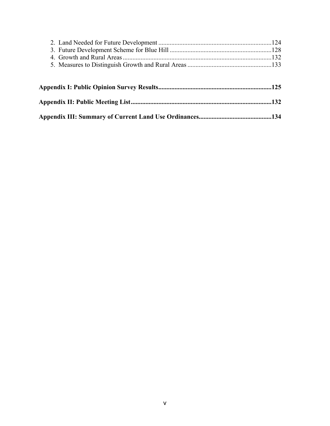| Appendix II: Public Meeting List………………………………………………………………………………132 |  |
|-------------------------------------------------------------------|--|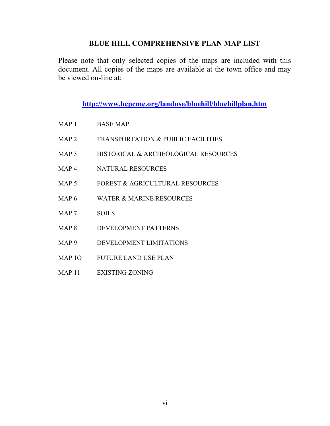## BLUE HILL COMPREHENSIVE PLAN MAP LIST

Please note that only selected copies of the maps are included with this document. All copies of the maps are available at the town office and may be viewed on-line at:

http://www.hcpcme.org/landuse/bluehill/bluehillplan.htm

- MAP 1 BASE MAP
- MAP 2 TRANSPORTATION & PUBLIC FACILITIES
- MAP 3 HISTORICAL & ARCHEOLOGICAL RESOURCES
- MAP 4 NATURAL RESOURCES
- MAP 5 FOREST & AGRICULTURAL RESOURCES
- MAP 6 WATER & MARINE RESOURCES
- MAP 7 SOILS
- MAP 8 DEVELOPMENT PATTERNS
- MAP 9 DEVELOPMENT LIMITATIONS
- MAP 1O FUTURE LAND USE PLAN
- MAP 11 EXISTING ZONING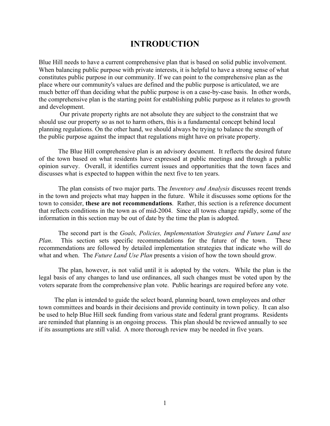## INTRODUCTION

Blue Hill needs to have a current comprehensive plan that is based on solid public involvement. When balancing public purpose with private interests, it is helpful to have a strong sense of what constitutes public purpose in our community. If we can point to the comprehensive plan as the place where our community's values are defined and the public purpose is articulated, we are much better off than deciding what the public purpose is on a case-by-case basis. In other words, the comprehensive plan is the starting point for establishing public purpose as it relates to growth and development.

 Our private property rights are not absolute they are subject to the constraint that we should use our property so as not to harm others, this is a fundamental concept behind local planning regulations. On the other hand, we should always be trying to balance the strength of the public purpose against the impact that regulations might have on private property.

The Blue Hill comprehensive plan is an advisory document. It reflects the desired future of the town based on what residents have expressed at public meetings and through a public opinion survey. Overall, it identifies current issues and opportunities that the town faces and discusses what is expected to happen within the next five to ten years.

The plan consists of two major parts. The *Inventory and Analysis* discusses recent trends in the town and projects what may happen in the future. While it discusses some options for the town to consider, these are not recommendations. Rather, this section is a reference document that reflects conditions in the town as of mid-2004. Since all towns change rapidly, some of the information in this section may be out of date by the time the plan is adopted.

 The second part is the Goals, Policies, Implementation Strategies and Future Land use Plan. This section sets specific recommendations for the future of the town. These recommendations are followed by detailed implementation strategies that indicate who will do what and when. The *Future Land Use Plan* presents a vision of how the town should grow.

The plan, however, is not valid until it is adopted by the voters. While the plan is the legal basis of any changes to land use ordinances, all such changes must be voted upon by the voters separate from the comprehensive plan vote. Public hearings are required before any vote.

 The plan is intended to guide the select board, planning board, town employees and other town committees and boards in their decisions and provide continuity in town policy. It can also be used to help Blue Hill seek funding from various state and federal grant programs. Residents are reminded that planning is an ongoing process. This plan should be reviewed annually to see if its assumptions are still valid. A more thorough review may be needed in five years.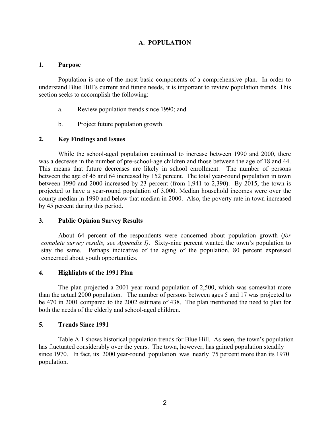## A. POPULATION

#### 1. Purpose

Population is one of the most basic components of a comprehensive plan. In order to understand Blue Hill's current and future needs, it is important to review population trends. This section seeks to accomplish the following:

- a. Review population trends since 1990; and
- b. Project future population growth.

## 2. Key Findings and Issues

While the school-aged population continued to increase between 1990 and 2000, there was a decrease in the number of pre-school-age children and those between the age of 18 and 44. This means that future decreases are likely in school enrollment. The number of persons between the age of 45 and 64 increased by 152 percent. The total year-round population in town between 1990 and 2000 increased by 23 percent (from 1,941 to 2,390). By 2015, the town is projected to have a year-round population of 3,000. Median household incomes were over the county median in 1990 and below that median in 2000. Also, the poverty rate in town increased by 45 percent during this period.

## 3. Public Opinion Survey Results

About 64 percent of the respondents were concerned about population growth (for complete survey results, see Appendix I). Sixty-nine percent wanted the town's population to stay the same. Perhaps indicative of the aging of the population, 80 percent expressed concerned about youth opportunities.

## 4. Highlights of the 1991 Plan

The plan projected a 2001 year-round population of 2,500, which was somewhat more than the actual 2000 population. The number of persons between ages 5 and 17 was projected to be 470 in 2001 compared to the 2002 estimate of 438. The plan mentioned the need to plan for both the needs of the elderly and school-aged children.

## 5. Trends Since 1991

Table A.1 shows historical population trends for Blue Hill. As seen, the town's population has fluctuated considerably over the years. The town, however, has gained population steadily since 1970. In fact, its 2000 year-round population was nearly 75 percent more than its 1970 population.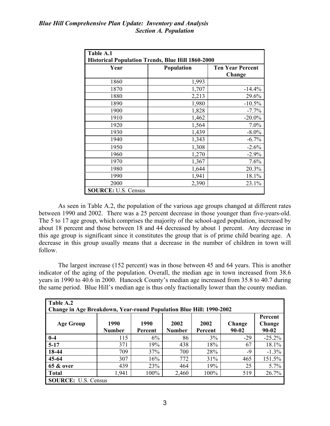| Table A.1                                                                                                 |       |           |  |  |  |
|-----------------------------------------------------------------------------------------------------------|-------|-----------|--|--|--|
| <b>Historical Population Trends, Blue Hill 1860-2000</b><br>Population<br><b>Ten Year Percent</b><br>Year |       |           |  |  |  |
|                                                                                                           |       | Change    |  |  |  |
| 1860                                                                                                      | 1,993 |           |  |  |  |
| 1870                                                                                                      | 1,707 | $-14.4%$  |  |  |  |
| 1880                                                                                                      | 2,213 | 29.6%     |  |  |  |
| 1890                                                                                                      | 1,980 | $-10.5%$  |  |  |  |
| 1900                                                                                                      | 1,828 | $-7.7%$   |  |  |  |
| 1910                                                                                                      | 1,462 | $-20.0\%$ |  |  |  |
| 1920                                                                                                      | 1,564 | 7.0%      |  |  |  |
| 1930                                                                                                      | 1,439 | $-8.0\%$  |  |  |  |
| 1940                                                                                                      | 1,343 | $-6.7\%$  |  |  |  |
| 1950                                                                                                      | 1,308 | $-2.6%$   |  |  |  |
| 1960                                                                                                      | 1,270 | $-2.9%$   |  |  |  |
| 1970                                                                                                      | 1,367 | 7.6%      |  |  |  |
| 1980                                                                                                      | 1,644 | 20.3%     |  |  |  |
| 1990                                                                                                      | 1,941 | 18.1%     |  |  |  |
| 2000                                                                                                      | 2,390 | 23.1%     |  |  |  |
| <b>SOURCE: U.S. Census</b>                                                                                |       |           |  |  |  |

As seen in Table A.2, the population of the various age groups changed at different rates between 1990 and 2002. There was a 25 percent decrease in those younger than five-years-old. The 5 to 17 age group, which comprises the majority of the school-aged population, increased by about 18 percent and those between 18 and 44 decreased by about 1 percent. Any decrease in this age group is significant since it constitutes the group that is of prime child bearing age. A decrease in this group usually means that a decrease in the number of children in town will follow.

The largest increase (152 percent) was in those between 45 and 64 years. This is another indicator of the aging of the population. Overall, the median age in town increased from 38.6 years in 1990 to 40.6 in 2000. Hancock County's median age increased from 35.8 to 40.7 during the same period. Blue Hill's median age is thus only fractionally lower than the county median.

| Table A.2<br><b>Change in Age Breakdown, Year-round Population Blue Hill: 1990-2002</b> |                       |                 |                       |                 |                     |                            |  |
|-----------------------------------------------------------------------------------------|-----------------------|-----------------|-----------------------|-----------------|---------------------|----------------------------|--|
| <b>Age Group</b>                                                                        | 1990<br><b>Number</b> | 1990<br>Percent | 2002<br><b>Number</b> | 2002<br>Percent | Change<br>$90 - 02$ | Percent<br>Change<br>90-02 |  |
| $0 - 4$                                                                                 | 115                   | 6%              | 86                    | $3\%$           | $-29$               | $-25.2%$                   |  |
| $5-17$                                                                                  | 371                   | 19%             | 438                   | 18%             | 67                  | 18.1%                      |  |
| 18-44                                                                                   | 709                   | 37%             | 700                   | 28%             | -9                  | $-1.3\%$                   |  |
| $45 - 64$                                                                               | 307                   | 16%             | 772                   | 31%             | 465                 | 151.5%                     |  |
| <b>65 &amp; over</b>                                                                    | 439                   | 23%             | 464                   | 19%             | 25                  | 5.7%                       |  |
| <b>Total</b>                                                                            | 1,941                 | 100%            | 2,460                 | 100%            | 519                 | 26.7%                      |  |
| <b>SOURCE:</b> U.S. Census                                                              |                       |                 |                       |                 |                     |                            |  |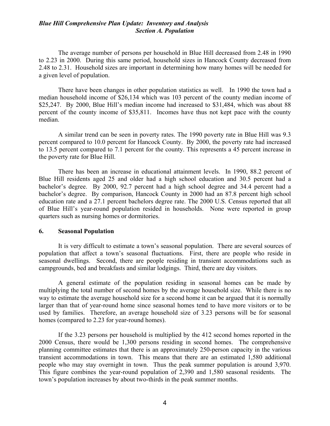#### Blue Hill Comprehensive Plan Update: Inventory and Analysis Section A. Population

The average number of persons per household in Blue Hill decreased from 2.48 in 1990 to 2.23 in 2000. During this same period, household sizes in Hancock County decreased from 2.48 to 2.31. Household sizes are important in determining how many homes will be needed for a given level of population.

There have been changes in other population statistics as well. In 1990 the town had a median household income of \$26,134 which was 103 percent of the county median income of \$25,247. By 2000, Blue Hill's median income had increased to \$31,484, which was about 88 percent of the county income of \$35,811. Incomes have thus not kept pace with the county median.

A similar trend can be seen in poverty rates. The 1990 poverty rate in Blue Hill was 9.3 percent compared to 10.0 percent for Hancock County. By 2000, the poverty rate had increased to 13.5 percent compared to 7.1 percent for the county. This represents a 45 percent increase in the poverty rate for Blue Hill.

There has been an increase in educational attainment levels. In 1990, 88.2 percent of Blue Hill residents aged 25 and older had a high school education and 30.5 percent had a bachelor's degree. By 2000, 92.7 percent had a high school degree and 34.4 percent had a bachelor's degree. By comparison, Hancock County in 2000 had an 87.8 percent high school education rate and a 27.1 percent bachelors degree rate. The 2000 U.S. Census reported that all of Blue Hill's year-round population resided in households. None were reported in group quarters such as nursing homes or dormitories.

#### 6. Seasonal Population

 It is very difficult to estimate a town's seasonal population. There are several sources of population that affect a town's seasonal fluctuations. First, there are people who reside in seasonal dwellings. Second, there are people residing in transient accommodations such as campgrounds, bed and breakfasts and similar lodgings. Third, there are day visitors.

 A general estimate of the population residing in seasonal homes can be made by multiplying the total number of second homes by the average household size. While there is no way to estimate the average household size for a second home it can be argued that it is normally larger than that of year-round home since seasonal homes tend to have more visitors or to be used by families. Therefore, an average household size of 3.23 persons will be for seasonal homes (compared to 2.23 for year-round homes).

 If the 3.23 persons per household is multiplied by the 412 second homes reported in the 2000 Census, there would be 1,300 persons residing in second homes. The comprehensive planning committee estimates that there is an approximately 250-person capacity in the various transient accommodations in town. This means that there are an estimated 1,580 additional people who may stay overnight in town. Thus the peak summer population is around 3,970. This figure combines the year-round population of 2,390 and 1,580 seasonal residents. The town's population increases by about two-thirds in the peak summer months.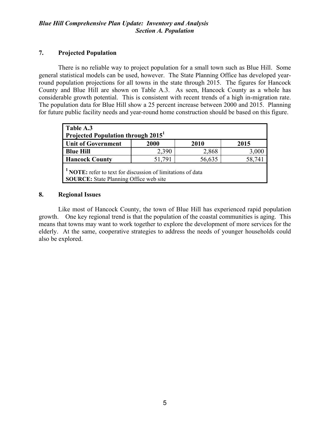## 7. Projected Population

There is no reliable way to project population for a small town such as Blue Hill. Some general statistical models can be used, however. The State Planning Office has developed yearround population projections for all towns in the state through 2015. The figures for Hancock County and Blue Hill are shown on Table A.3. As seen, Hancock County as a whole has considerable growth potential. This is consistent with recent trends of a high in-migration rate. The population data for Blue Hill show a 25 percent increase between 2000 and 2015. Planning for future public facility needs and year-round home construction should be based on this figure.

| Table A.3<br>Projected Population through 2015 <sup>1</sup>                                                             |        |        |        |  |  |
|-------------------------------------------------------------------------------------------------------------------------|--------|--------|--------|--|--|
| <b>Unit of Government</b>                                                                                               | 2000   | 2010   | 2015   |  |  |
| <b>Blue Hill</b>                                                                                                        | 2,390  | 2,868  | 3,000  |  |  |
| <b>Hancock County</b>                                                                                                   | 51,791 | 56,635 | 58,741 |  |  |
| <sup>1</sup> NOTE: refer to text for discussion of limitations of data<br><b>SOURCE:</b> State Planning Office web site |        |        |        |  |  |

## 8. Regional Issues

Like most of Hancock County, the town of Blue Hill has experienced rapid population growth. One key regional trend is that the population of the coastal communities is aging. This means that towns may want to work together to explore the development of more services for the elderly. At the same, cooperative strategies to address the needs of younger households could also be explored.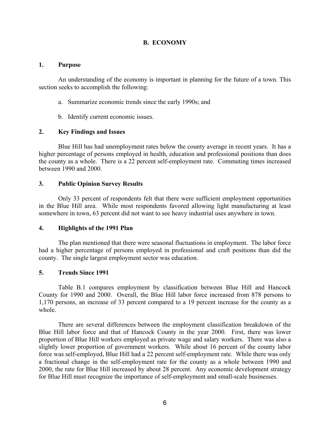### B. ECONOMY

#### 1. Purpose

An understanding of the economy is important in planning for the future of a town. This section seeks to accomplish the following:

- a. Summarize economic trends since the early 1990s; and
- b. Identify current economic issues.

#### 2. Key Findings and Issues

Blue Hill has had unemployment rates below the county average in recent years. It has a higher percentage of persons employed in health, education and professional positions than does the county as a whole. There is a 22 percent self-employment rate. Commuting times increased between 1990 and 2000.

#### 3. Public Opinion Survey Results

Only 33 percent of respondents felt that there were sufficient employment opportunities in the Blue Hill area. While most respondents favored allowing light manufacturing at least somewhere in town, 63 percent did not want to see heavy industrial uses anywhere in town.

#### 4. Highlights of the 1991 Plan

The plan mentioned that there were seasonal fluctuations in employment. The labor force had a higher percentage of persons employed in professional and craft positions than did the county. The single largest employment sector was education.

#### 5. Trends Since 1991

Table B.1 compares employment by classification between Blue Hill and Hancock County for 1990 and 2000. Overall, the Blue Hill labor force increased from 878 persons to 1,170 persons, an increase of 33 percent compared to a 19 percent increase for the county as a whole.

There are several differences between the employment classification breakdown of the Blue Hill labor force and that of Hancock County in the year 2000. First, there was lower proportion of Blue Hill workers employed as private wage and salary workers. There was also a slightly lower proportion of government workers. While about 16 percent of the county labor force was self-employed, Blue Hill had a 22 percent self-employment rate. While there was only a fractional change in the self-employment rate for the county as a whole between 1990 and 2000, the rate for Blue Hill increased by about 28 percent. Any economic development strategy for Blue Hill must recognize the importance of self-employment and small-scale businesses.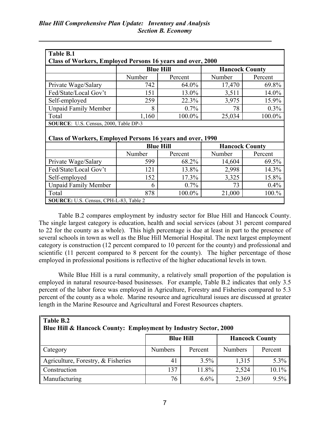| Table B.1                                                  |                  |         |                       |         |  |  |  |
|------------------------------------------------------------|------------------|---------|-----------------------|---------|--|--|--|
| Class of Workers, Employed Persons 16 years and over, 2000 |                  |         |                       |         |  |  |  |
| <b>Blue Hill</b><br><b>Hancock County</b>                  |                  |         |                       |         |  |  |  |
|                                                            | Number           | Percent | Number                | Percent |  |  |  |
| Private Wage/Salary                                        | 742              | 64.0%   | 17,470                | 69.8%   |  |  |  |
| Fed/State/Local Gov't                                      | 151              | 13.0%   | 3,511                 | 14.0%   |  |  |  |
| Self-employed                                              | 259              | 22.3%   | 3,975                 | 15.9%   |  |  |  |
| <b>Unpaid Family Member</b>                                | 8                | 0.7%    | 78                    | 0.3%    |  |  |  |
| Total                                                      | 1,160            | 100.0%  | 25,034                | 100.0%  |  |  |  |
| SOURCE: U.S. Census, 2000, Table DP-3                      |                  |         |                       |         |  |  |  |
| Class of Workers, Employed Persons 16 years and over, 1990 |                  |         |                       |         |  |  |  |
|                                                            | <b>Blue Hill</b> |         | <b>Hancock County</b> |         |  |  |  |
|                                                            | Number           | Percent | Number                | Percent |  |  |  |
| Private Wage/Salary                                        | 599              | 68.2%   | 14,604                | 69.5%   |  |  |  |
| Fed/State/Local Gov't                                      | 121              | 13.8%   | 2,998                 | 14.3%   |  |  |  |
| Self-employed                                              | 152              | 17.3%   | 3,325                 | 15.8%   |  |  |  |
| <b>Unpaid Family Member</b>                                | 6                | 0.7%    | 73                    | 0.4%    |  |  |  |
| Total                                                      | 878              | 100.0%  | 21,000                | 100.%   |  |  |  |
|                                                            |                  |         |                       |         |  |  |  |

Table B.2 compares employment by industry sector for Blue Hill and Hancock County. The single largest category is education, health and social services (about 31 percent compared to 22 for the county as a whole). This high percentage is due at least in part to the presence of several schools in town as well as the Blue Hill Memorial Hospital. The next largest employment category is construction (12 percent compared to 10 percent for the county) and professional and scientific (11 percent compared to 8 percent for the county). The higher percentage of those employed in professional positions is reflective of the higher educational levels in town.

While Blue Hill is a rural community, a relatively small proportion of the population is employed in natural resource-based businesses. For example, Table B.2 indicates that only 3.5 percent of the labor force was employed in Agriculture, Forestry and Fisheries compared to 5.3 percent of the county as a whole. Marine resource and agricultural issues are discussed at greater length in the Marine Resource and Agricultural and Forest Resources chapters.

| Table B.2<br>Blue Hill & Hancock County: Employment by Industry Sector, 2000 |                                           |         |                |         |  |  |  |
|------------------------------------------------------------------------------|-------------------------------------------|---------|----------------|---------|--|--|--|
|                                                                              | <b>Hancock County</b><br><b>Blue Hill</b> |         |                |         |  |  |  |
| $\vert$ Category                                                             | <b>Numbers</b>                            | Percent | <b>Numbers</b> | Percent |  |  |  |
| Agriculture, Forestry, & Fisheries                                           | 41                                        | 3.5%    | 1,315          | $5.3\%$ |  |  |  |
| Construction                                                                 | 137                                       | 11.8%   | 2,524          | 10.1%   |  |  |  |
| Manufacturing                                                                | 76                                        | 6.6%    | 2,369          | 9.5%    |  |  |  |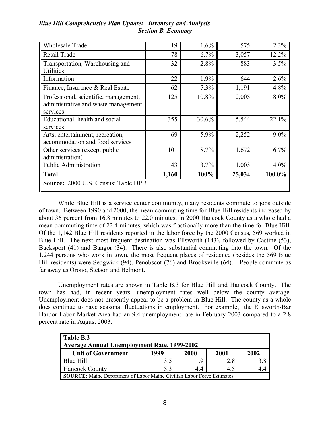| <b>Wholesale Trade</b>                                                                   | 19    | 1.6%    | 575    | 2.3%    |  |  |  |  |
|------------------------------------------------------------------------------------------|-------|---------|--------|---------|--|--|--|--|
| Retail Trade                                                                             | 78    | 6.7%    | 3,057  | 12.2%   |  |  |  |  |
| Transportation, Warehousing and<br>Utilities                                             | 32    | 2.8%    | 883    | 3.5%    |  |  |  |  |
| Information                                                                              | 22    | 1.9%    | 644    | 2.6%    |  |  |  |  |
| Finance, Insurance & Real Estate                                                         | 62    | $5.3\%$ | 1,191  | 4.8%    |  |  |  |  |
| Professional, scientific, management,<br>administrative and waste management<br>services | 125   | 10.8%   | 2,005  | 8.0%    |  |  |  |  |
| Educational, health and social<br>services                                               | 355   | 30.6%   | 5,544  | 22.1%   |  |  |  |  |
| Arts, entertainment, recreation,<br>accommodation and food services                      | 69    | 5.9%    | 2,252  | $9.0\%$ |  |  |  |  |
| Other services (except public<br>administration)                                         | 101   | 8.7%    | 1,672  | 6.7%    |  |  |  |  |
| <b>Public Administration</b>                                                             | 43    | 3.7%    | 1,003  | 4.0%    |  |  |  |  |
| <b>Total</b>                                                                             | 1,160 | 100%    | 25,034 | 100.0%  |  |  |  |  |
| <b>Source:</b> 2000 U.S. Census: Table DP.3                                              |       |         |        |         |  |  |  |  |

## Blue Hill Comprehensive Plan Update: Inventory and Analysis Section B. Economy

While Blue Hill is a service center community, many residents commute to jobs outside of town. Between 1990 and 2000, the mean commuting time for Blue Hill residents increased by about 36 percent from 16.8 minutes to 22.0 minutes. In 2000 Hancock County as a whole had a mean commuting time of 22.4 minutes, which was fractionally more than the time for Blue Hill. Of the 1,142 Blue Hill residents reported in the labor force by the 2000 Census, 569 worked in Blue Hill. The next most frequent destination was Ellsworth (143), followed by Castine (53), Bucksport (41) and Bangor (34). There is also substantial commuting into the town. Of the 1,244 persons who work in town, the most frequent places of residence (besides the 569 Blue Hill residents) were Sedgwick (94), Penobscot (76) and Brooksville (64). People commute as far away as Orono, Stetson and Belmont.

Unemployment rates are shown in Table B.3 for Blue Hill and Hancock County. The town has had, in recent years, unemployment rates well below the county average. Unemployment does not presently appear to be a problem in Blue Hill. The county as a whole does continue to have seasonal fluctuations in employment. For example, the Ellsworth-Bar Harbor Labor Market Area had an 9.4 unemployment rate in February 2003 compared to a 2.8 percent rate in August 2003.

| Table B.3<br>Average Annual Unemployment Rate, 1999-2002                      |      |      |      |      |  |  |  |  |
|-------------------------------------------------------------------------------|------|------|------|------|--|--|--|--|
| <b>Unit of Government</b>                                                     | 1999 | 2000 | 2001 | 2002 |  |  |  |  |
| Blue Hill                                                                     | 3.5  | 19   | 2.8  |      |  |  |  |  |
| <b>Hancock County</b>                                                         | 53   | 44   | 4.5  |      |  |  |  |  |
| <b>SOURCE:</b> Maine Department of Labor Maine Civilian Labor Force Estimates |      |      |      |      |  |  |  |  |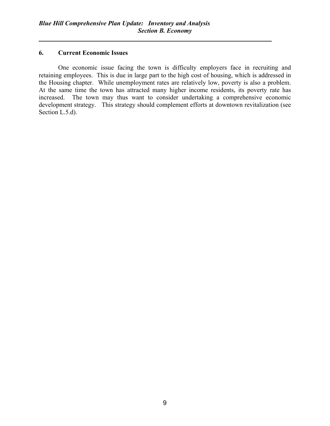#### 6. Current Economic Issues

One economic issue facing the town is difficulty employers face in recruiting and retaining employees. This is due in large part to the high cost of housing, which is addressed in the Housing chapter. While unemployment rates are relatively low, poverty is also a problem. At the same time the town has attracted many higher income residents, its poverty rate has increased. The town may thus want to consider undertaking a comprehensive economic development strategy. This strategy should complement efforts at downtown revitalization (see Section L.5.d).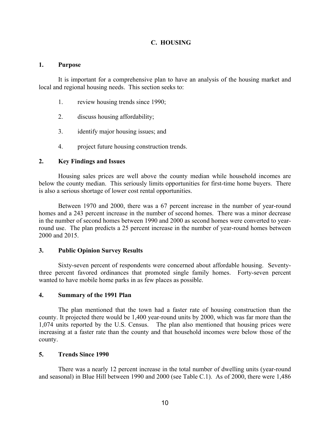## C. HOUSING

#### 1. Purpose

It is important for a comprehensive plan to have an analysis of the housing market and local and regional housing needs. This section seeks to:

- 1. review housing trends since 1990;
- 2. discuss housing affordability;
- 3. identify major housing issues; and
- 4. project future housing construction trends.

#### 2. Key Findings and Issues

Housing sales prices are well above the county median while household incomes are below the county median. This seriously limits opportunities for first-time home buyers. There is also a serious shortage of lower cost rental opportunities.

Between 1970 and 2000, there was a 67 percent increase in the number of year-round homes and a 243 percent increase in the number of second homes. There was a minor decrease in the number of second homes between 1990 and 2000 as second homes were converted to yearround use. The plan predicts a 25 percent increase in the number of year-round homes between 2000 and 2015.

#### 3. Public Opinion Survey Results

Sixty-seven percent of respondents were concerned about affordable housing. Seventythree percent favored ordinances that promoted single family homes. Forty-seven percent wanted to have mobile home parks in as few places as possible.

#### 4. Summary of the 1991 Plan

The plan mentioned that the town had a faster rate of housing construction than the county. It projected there would be 1,400 year-round units by 2000, which was far more than the 1,074 units reported by the U.S. Census. The plan also mentioned that housing prices were increasing at a faster rate than the county and that household incomes were below those of the county.

#### 5. Trends Since 1990

There was a nearly 12 percent increase in the total number of dwelling units (year-round and seasonal) in Blue Hill between 1990 and 2000 (see Table C.1). As of 2000, there were 1,486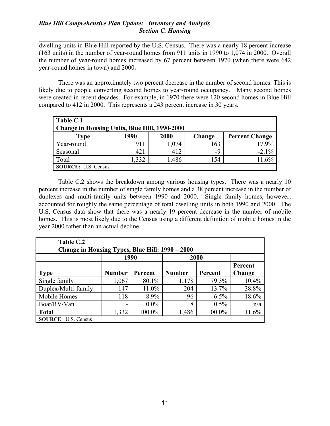### Blue Hill Comprehensive Plan Update: Inventory and Analysis Section C. Housing

dwelling units in Blue Hill reported by the U.S. Census. There was a nearly 18 percent increase (163 units) in the number of year-round homes from 911 units in 1990 to 1,074 in 2000. Overall the number of year-round homes increased by 67 percent between 1970 (when there were 642 year-round homes in town) and 2000.

There was an approximately two percent decrease in the number of second homes. This is likely due to people converting second homes to year-round occupancy. Many second homes were created in recent decades. For example, in 1970 there were 120 second homes in Blue Hill compared to 412 in 2000. This represents a 243 percent increase in 30 years.

| Table C.1<br>Change in Housing Units, Blue Hill, 1990-2000 |      |       |        |                       |  |  |  |  |
|------------------------------------------------------------|------|-------|--------|-----------------------|--|--|--|--|
| <b>Type</b>                                                | 1990 | 2000  | Change | <b>Percent Change</b> |  |  |  |  |
| Year-round                                                 | 911  | 1,074 | 163    | 17.9%                 |  |  |  |  |
| Seasonal                                                   | 421  | 412   | -9     | $-2.1\%$              |  |  |  |  |
| Total                                                      | ,332 | 1,486 | 154    | 11.6%                 |  |  |  |  |
| <b>SOURCE:</b> U.S. Census                                 |      |       |        |                       |  |  |  |  |

Table C.2 shows the breakdown among various housing types. There was a nearly 10 percent increase in the number of single family homes and a 38 percent increase in the number of duplexes and multi-family units between 1990 and 2000. Single family homes, however, accounted for roughly the same percentage of total dwelling units in both 1990 and 2000. The U.S. Census data show that there was a nearly 19 percent decrease in the number of mobile homes. This is most likely due to the Census using a different definition of mobile homes in the year 2000 rather than an actual decline.

| Table C.2<br>Change in Housing Types, Blue Hill: 1990 - 2000 |               |         |               |         |                   |  |  |  |  |
|--------------------------------------------------------------|---------------|---------|---------------|---------|-------------------|--|--|--|--|
|                                                              | 1990          |         | 2000          |         |                   |  |  |  |  |
| <b>Type</b>                                                  | <b>Number</b> | Percent | <b>Number</b> | Percent | Percent<br>Change |  |  |  |  |
| Single family                                                | 1,067         | 80.1%   | 1,178         | 79.3%   | 10.4%             |  |  |  |  |
| Duplex/Multi-family                                          | 147           | 11.0%   | 204           | 13.7%   | 38.8%             |  |  |  |  |
| Mobile Homes                                                 | 118           | 8.9%    | 96            | $6.5\%$ | $-18.6%$          |  |  |  |  |
| Boat/RV/Van                                                  | ۰             | $0.0\%$ | 8             | $0.5\%$ | n/a               |  |  |  |  |
| <b>Total</b>                                                 | 1,332         | 100.0%  | 1,486         | 100.0%  | 11.6%             |  |  |  |  |
| <b>SOURCE:</b> U.S. Census                                   |               |         |               |         |                   |  |  |  |  |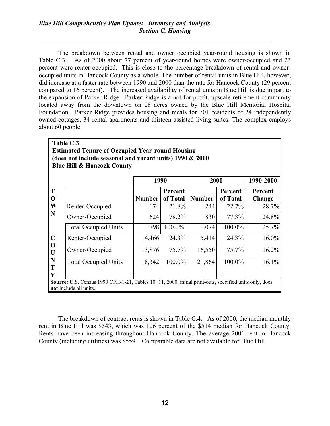The breakdown between rental and owner occupied year-round housing is shown in Table C.3. As of 2000 about 77 percent of year-round homes were owner-occupied and 23 percent were renter occupied. This is close to the percentage breakdown of rental and owneroccupied units in Hancock County as a whole. The number of rental units in Blue Hill, however, did increase at a faster rate between 1990 and 2000 than the rate for Hancock County (29 percent compared to 16 percent). The increased availability of rental units in Blue Hill is due in part to the expansion of Parker Ridge. Parker Ridge is a not-for-profit, upscale retirement community located away from the downtown on 28 acres owned by the Blue Hill Memorial Hospital Foundation. Parker Ridge provides housing and meals for 70+ residents of 24 independently owned cottages, 34 rental apartments and thirteen assisted living suites. The complex employs about 60 people.

 $\overline{\mathbf{r}}$ 

|                                                                                                                    | Table C.3                                                                                                                       |               |                     |               |                     |                   |  |  |  |
|--------------------------------------------------------------------------------------------------------------------|---------------------------------------------------------------------------------------------------------------------------------|---------------|---------------------|---------------|---------------------|-------------------|--|--|--|
| <b>Estimated Tenure of Occupied Year-round Housing</b><br>(does not include seasonal and vacant units) 1990 & 2000 |                                                                                                                                 |               |                     |               |                     |                   |  |  |  |
|                                                                                                                    | <b>Blue Hill &amp; Hancock County</b>                                                                                           |               |                     |               |                     |                   |  |  |  |
|                                                                                                                    |                                                                                                                                 | 1990          |                     | 2000          |                     | 1990-2000         |  |  |  |
| T<br>$\mathbf 0$                                                                                                   |                                                                                                                                 | <b>Number</b> | Percent<br>of Total | <b>Number</b> | Percent<br>of Total | Percent<br>Change |  |  |  |
| W                                                                                                                  | Renter-Occupied                                                                                                                 | 174           | 21.8%               | 244           | 22.7%               | 28.7%             |  |  |  |
| N                                                                                                                  | Owner-Occupied                                                                                                                  | 624           | 78.2%               | 830           | 77.3%               | 24.8%             |  |  |  |
|                                                                                                                    | <b>Total Occupied Units</b>                                                                                                     | 798           | 100.0%              | 1,074         | 100.0%              | 25.7%             |  |  |  |
| $\mathbf C$                                                                                                        | Renter-Occupied                                                                                                                 | 4,466         | 24.3%               | 5,414         | 24.3%               | $16.0\%$          |  |  |  |
| $\mathbf 0$<br>$\mathbf U$                                                                                         | Owner-Occupied                                                                                                                  | 13,876        | 75.7%               | 16,550        | 75.7%               | 16.2%             |  |  |  |
| N<br>T<br>Y                                                                                                        | <b>Total Occupied Units</b>                                                                                                     | 18,342        | 100.0%              | 21,864        | 100.0%              | 16.1%             |  |  |  |
|                                                                                                                    | Source: U.S. Census 1990 CPH-1-21, Tables 10+11, 2000, initial print-outs, specified units only, does<br>not include all units. |               |                     |               |                     |                   |  |  |  |

The breakdown of contract rents is shown in Table C.4. As of 2000, the median monthly rent in Blue Hill was \$543, which was 106 percent of the \$514 median for Hancock County. Rents have been increasing throughout Hancock County. The average 2001 rent in Hancock County (including utilities) was \$559. Comparable data are not available for Blue Hill.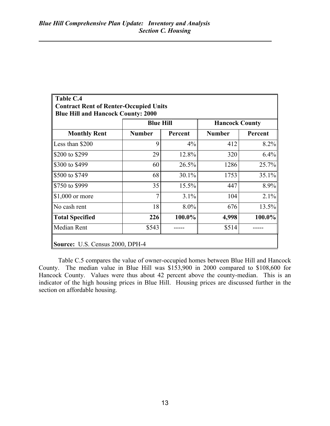| <b>Contract Rent of Renter-Occupied Units</b><br><b>Blue Hill and Hancock County: 2000</b> |                  |         |                       |         |  |  |  |  |
|--------------------------------------------------------------------------------------------|------------------|---------|-----------------------|---------|--|--|--|--|
|                                                                                            | <b>Blue Hill</b> |         | <b>Hancock County</b> |         |  |  |  |  |
| <b>Monthly Rent</b>                                                                        | <b>Number</b>    | Percent | <b>Number</b>         | Percent |  |  |  |  |
| Less than \$200                                                                            | 9                | $4\%$   | 412                   | 8.2%    |  |  |  |  |
| S200 to \$299                                                                              | 29               | 12.8%   | 320                   | 6.4%    |  |  |  |  |
| S300 to \$499                                                                              | 60               | 26.5%   | 1286                  | 25.7%   |  |  |  |  |
| \$500 to \$749                                                                             | 68               | 30.1%   | 1753                  | 35.1%   |  |  |  |  |
| S750 to \$999                                                                              | 35               | 15.5%   | 447                   | 8.9%    |  |  |  |  |
| $\$\,1,000$ or more                                                                        |                  | 3.1%    | 104                   | 2.1%    |  |  |  |  |
| No cash rent                                                                               | 18               | 8.0%    | 676                   | 13.5%   |  |  |  |  |
| Total Specified                                                                            | 226              | 100.0%  | 4,998                 | 100.0%  |  |  |  |  |
| Median Rent                                                                                | \$543            |         | \$514                 |         |  |  |  |  |

Table C.5 compares the value of owner-occupied homes between Blue Hill and Hancock County. The median value in Blue Hill was \$153,900 in 2000 compared to \$108,600 for Hancock County. Values were thus about 42 percent above the county-median. This is an indicator of the high housing prices in Blue Hill. Housing prices are discussed further in the section on affordable housing.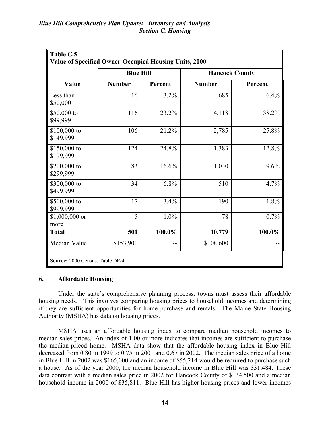|                           | <b>Blue Hill</b> |         | <b>Hancock County</b> |         |  |
|---------------------------|------------------|---------|-----------------------|---------|--|
| Value                     | <b>Number</b>    | Percent | <b>Number</b>         | Percent |  |
| Less than<br>\$50,000     | 16               | 3.2%    | 685                   | 6.4%    |  |
| \$50,000 to<br>\$99,999   | 116              | 23.2%   | 4,118                 | 38.2%   |  |
| \$100,000 to<br>\$149,999 | 106              | 21.2%   | 2,785                 | 25.8%   |  |
| \$150,000 to<br>\$199,999 | 124              | 24.8%   | 1,383                 | 12.8%   |  |
| \$200,000 to<br>\$299,999 | 83               | 16.6%   | 1,030                 | 9.6%    |  |
| \$300,000 to<br>\$499,999 | 34               | 6.8%    | 510                   | 4.7%    |  |
| \$500,000 to<br>\$999,999 | 17               | 3.4%    | 190                   | 1.8%    |  |
| $$1,000,000$ or<br>more   | 5                | 1.0%    | 78                    | 0.7%    |  |
| <b>Total</b>              | 501              | 100.0%  | 10,779                | 100.0%  |  |
| Median Value              | \$153,900        |         | \$108,600             |         |  |

#### 6. Affordable Housing

Under the state's comprehensive planning process, towns must assess their affordable housing needs. This involves comparing housing prices to household incomes and determining if they are sufficient opportunities for home purchase and rentals. The Maine State Housing Authority (MSHA) has data on housing prices.

MSHA uses an affordable housing index to compare median household incomes to median sales prices. An index of 1.00 or more indicates that incomes are sufficient to purchase the median-priced home. MSHA data show that the affordable housing index in Blue Hill decreased from 0.80 in 1999 to 0.75 in 2001 and 0.67 in 2002. The median sales price of a home in Blue Hill in 2002 was \$165,000 and an income of \$55,214 would be required to purchase such a house. As of the year 2000, the median household income in Blue Hill was \$31,484. These data contrast with a median sales price in 2002 for Hancock County of \$134,500 and a median household income in 2000 of \$35,811. Blue Hill has higher housing prices and lower incomes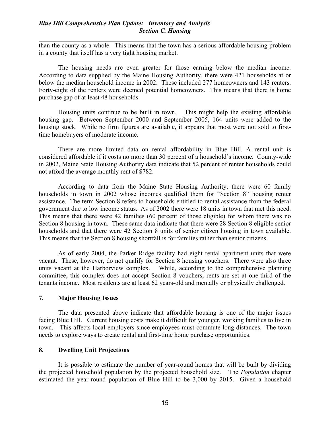### Blue Hill Comprehensive Plan Update: Inventory and Analysis Section C. Housing

than the county as a whole. This means that the town has a serious affordable housing problem in a county that itself has a very tight housing market.

The housing needs are even greater for those earning below the median income. According to data supplied by the Maine Housing Authority, there were 421 households at or below the median household income in 2002. These included 277 homeowners and 143 renters. Forty-eight of the renters were deemed potential homeowners. This means that there is home purchase gap of at least 48 households.

Housing units continue to be built in town. This might help the existing affordable housing gap. Between September 2000 and September 2005, 164 units were added to the housing stock. While no firm figures are available, it appears that most were not sold to firsttime homebuyers of moderate income.

There are more limited data on rental affordability in Blue Hill. A rental unit is considered affordable if it costs no more than 30 percent of a household's income. County-wide in 2002, Maine State Housing Authority data indicate that 52 percent of renter households could not afford the average monthly rent of \$782.

According to data from the Maine State Housing Authority, there were 60 family households in town in 2002 whose incomes qualified them for "Section 8" housing renter assistance. The term Section 8 refers to households entitled to rental assistance from the federal government due to low income status. As of 2002 there were 18 units in town that met this need. This means that there were 42 families (60 percent of those eligible) for whom there was no Section 8 housing in town. These same data indicate that there were 28 Section 8 eligible senior households and that there were 42 Section 8 units of senior citizen housing in town available. This means that the Section 8 housing shortfall is for families rather than senior citizens.

As of early 2004, the Parker Ridge facility had eight rental apartment units that were vacant. These, however, do not qualify for Section 8 housing vouchers. There were also three units vacant at the Harborview complex. While, according to the comprehensive planning committee, this complex does not accept Section 8 vouchers, rents are set at one-third of the tenants income. Most residents are at least 62 years-old and mentally or physically challenged.

#### 7. Major Housing Issues

The data presented above indicate that affordable housing is one of the major issues facing Blue Hill. Current housing costs make it difficult for younger, working families to live in town. This affects local employers since employees must commute long distances. The town needs to explore ways to create rental and first-time home purchase opportunities.

#### 8. Dwelling Unit Projections

It is possible to estimate the number of year-round homes that will be built by dividing the projected household population by the projected household size. The Population chapter estimated the year-round population of Blue Hill to be 3,000 by 2015. Given a household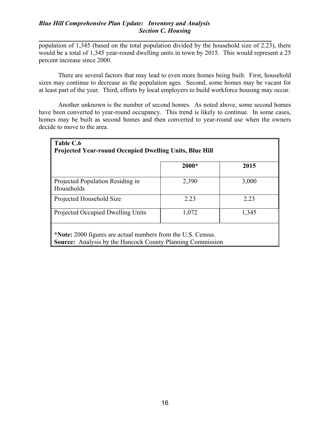population of 1,345 (based on the total population divided by the household size of 2.23), there would be a total of 1,345 year-round dwelling units in town by 2015. This would represent a 25 percent increase since 2000.

There are several factors that may lead to even more homes being built. First, household sizes may continue to decrease as the population ages. Second, some homes may be vacant for at least part of the year. Third, efforts by local employers to build workforce housing may occur.

Another unknown is the number of second homes. As noted above, some second homes have been converted to year-round occupancy. This trend is likely to continue. In some cases, homes may be built as second homes and then converted to year-round use when the owners decide to move to the area.

| Table C.6<br><b>Projected Year-round Occupied Dwelling Units, Blue Hill</b>                                                       |         |       |  |  |  |  |  |
|-----------------------------------------------------------------------------------------------------------------------------------|---------|-------|--|--|--|--|--|
|                                                                                                                                   | $2000*$ | 2015  |  |  |  |  |  |
| Projected Population Residing in<br>Households                                                                                    | 2,390   | 3,000 |  |  |  |  |  |
| Projected Household Size                                                                                                          | 2 2 3   | 2 2 3 |  |  |  |  |  |
| Projected Occupied Dwelling Units                                                                                                 | 1,072   | 1,345 |  |  |  |  |  |
| *Note: 2000 figures are actual numbers from the U.S. Census.<br><b>Source:</b> Analysis by the Hancock County Planning Commission |         |       |  |  |  |  |  |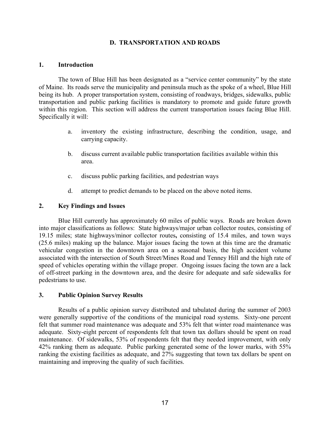#### D. TRANSPORTATION AND ROADS

#### 1. Introduction

The town of Blue Hill has been designated as a "service center community" by the state of Maine. Its roads serve the municipality and peninsula much as the spoke of a wheel, Blue Hill being its hub. A proper transportation system, consisting of roadways, bridges, sidewalks, public transportation and public parking facilities is mandatory to promote and guide future growth within this region. This section will address the current transportation issues facing Blue Hill. Specifically it will:

- a. inventory the existing infrastructure, describing the condition, usage, and carrying capacity.
- b. discuss current available public transportation facilities available within this area.
- c. discuss public parking facilities, and pedestrian ways
- d. attempt to predict demands to be placed on the above noted items.

#### 2. Key Findings and Issues

Blue Hill currently has approximately 60 miles of public ways. Roads are broken down into major classifications as follows: State highways/major urban collector routes, consisting of 19.15 miles; state highways/minor collector routes, consisting of 15.4 miles, and town ways (25.6 miles) making up the balance. Major issues facing the town at this time are the dramatic vehicular congestion in the downtown area on a seasonal basis, the high accident volume associated with the intersection of South Street/Mines Road and Tenney Hill and the high rate of speed of vehicles operating within the village proper. Ongoing issues facing the town are a lack of off-street parking in the downtown area, and the desire for adequate and safe sidewalks for pedestrians to use.

#### 3. Public Opinion Survey Results

Results of a public opinion survey distributed and tabulated during the summer of 2003 were generally supportive of the conditions of the municipal road systems. Sixty-one percent felt that summer road maintenance was adequate and 53% felt that winter road maintenance was adequate. Sixty-eight percent of respondents felt that town tax dollars should be spent on road maintenance. Of sidewalks, 53% of respondents felt that they needed improvement, with only 42% ranking them as adequate. Public parking generated some of the lower marks, with 55% ranking the existing facilities as adequate, and 27% suggesting that town tax dollars be spent on maintaining and improving the quality of such facilities.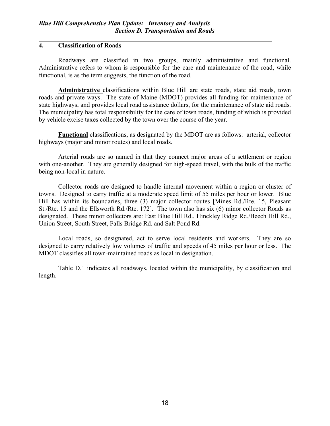## 4. Classification of Roads

Roadways are classified in two groups, mainly administrative and functional. Administrative refers to whom is responsible for the care and maintenance of the road, while functional, is as the term suggests, the function of the road.

Administrative classifications within Blue Hill are state roads, state aid roads, town roads and private ways. The state of Maine (MDOT) provides all funding for maintenance of state highways, and provides local road assistance dollars, for the maintenance of state aid roads. The municipality has total responsibility for the care of town roads, funding of which is provided by vehicle excise taxes collected by the town over the course of the year.

Functional classifications, as designated by the MDOT are as follows: arterial, collector highways (major and minor routes) and local roads.

Arterial roads are so named in that they connect major areas of a settlement or region with one-another. They are generally designed for high-speed travel, with the bulk of the traffic being non-local in nature.

Collector roads are designed to handle internal movement within a region or cluster of towns. Designed to carry traffic at a moderate speed limit of 55 miles per hour or lower. Blue Hill has within its boundaries, three (3) major collector routes [Mines Rd./Rte. 15, Pleasant St./Rte. 15 and the Ellsworth Rd./Rte. 172]. The town also has six (6) minor collector Roads as designated. These minor collectors are: East Blue Hill Rd., Hinckley Ridge Rd./Beech Hill Rd., Union Street, South Street, Falls Bridge Rd. and Salt Pond Rd.

Local roads, so designated, act to serve local residents and workers. They are so designed to carry relatively low volumes of traffic and speeds of 45 miles per hour or less. The MDOT classifies all town-maintained roads as local in designation.

Table D.1 indicates all roadways, located within the municipality, by classification and length.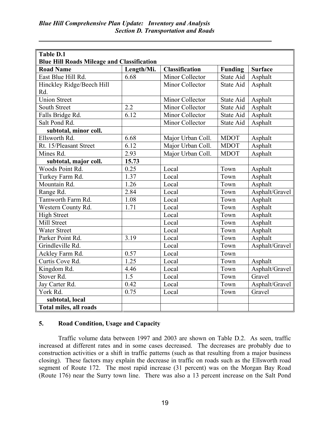| <b>Table D.1</b>                                  |            |                       |                |                |  |  |  |
|---------------------------------------------------|------------|-----------------------|----------------|----------------|--|--|--|
| <b>Blue Hill Roads Mileage and Classification</b> |            |                       |                |                |  |  |  |
| <b>Road Name</b>                                  | Length/Mi. | <b>Classification</b> | <b>Funding</b> | <b>Surface</b> |  |  |  |
| East Blue Hill Rd.                                | 6.68       | Minor Collector       | State Aid      | Asphalt        |  |  |  |
| Hinckley Ridge/Beech Hill                         |            | Minor Collector       | State Aid      | Asphalt        |  |  |  |
| Rd.                                               |            |                       |                |                |  |  |  |
| <b>Union Street</b>                               |            | Minor Collector       | State Aid      | Asphalt        |  |  |  |
| South Street                                      | 2.2        | Minor Collector       | State Aid      | Asphalt        |  |  |  |
| Falls Bridge Rd.                                  | 6.12       | Minor Collector       | State Aid      | Asphalt        |  |  |  |
| Salt Pond Rd.                                     |            | Minor Collector       | State Aid      | Asphalt        |  |  |  |
| subtotal, minor coll.                             |            |                       |                |                |  |  |  |
| Ellsworth Rd.                                     | 6.68       | Major Urban Coll.     | <b>MDOT</b>    | Asphalt        |  |  |  |
| Rt. 15/Pleasant Street                            | 6.12       | Major Urban Coll.     | <b>MDOT</b>    | Asphalt        |  |  |  |
| Mines Rd.                                         | 2.93       | Major Urban Coll.     | <b>MDOT</b>    | Asphalt        |  |  |  |
| subtotal, major coll.                             | 15.73      |                       |                |                |  |  |  |
| Woods Point Rd.                                   | 0.25       | Local                 | Town           | Asphalt        |  |  |  |
| Turkey Farm Rd.                                   | 1.37       | Local                 | Town           | Asphalt        |  |  |  |
| Mountain Rd.                                      | 1.26       | Local                 | Town           | Asphalt        |  |  |  |
| Range Rd.                                         | 2.84       | Local                 | Town           | Asphalt/Gravel |  |  |  |
| Tamworth Farm Rd.                                 | 1.08       | Local                 | Town           | Asphalt        |  |  |  |
| Western County Rd.                                | 1.71       | Local                 | Town           | Asphalt        |  |  |  |
| <b>High Street</b>                                |            | Local                 | Town           | Asphalt        |  |  |  |
| Mill Street                                       |            | Local                 | Town           | Asphalt        |  |  |  |
| <b>Water Street</b>                               |            | Local                 | Town           | Asphalt        |  |  |  |
| Parker Point Rd.                                  | 3.19       | Local                 | Town           | Asphalt        |  |  |  |
| Grindleville Rd.                                  |            | Local                 | Town           | Asphalt/Gravel |  |  |  |
| Ackley Farm Rd.                                   | 0.57       | Local                 | Town           |                |  |  |  |
| Curtis Cove Rd.                                   | 1.25       | Local                 | Town           | Asphalt        |  |  |  |
| Kingdom Rd.                                       | 4.46       | Local                 | Town           | Asphalt/Gravel |  |  |  |
| Stover Rd.                                        | 1.5        | Local                 | Town           | Gravel         |  |  |  |
| Jay Carter Rd.                                    | 0.42       | Local                 | Town           | Asphalt/Gravel |  |  |  |
| York Rd.                                          | 0.75       | Local                 | Town           | Gravel         |  |  |  |
| subtotal, local                                   |            |                       |                |                |  |  |  |
| Total miles, all roads                            |            |                       |                |                |  |  |  |

## 5. Road Condition, Usage and Capacity

Traffic volume data between 1997 and 2003 are shown on Table D.2. As seen, traffic increased at different rates and in some cases decreased. The decreases are probably due to construction activities or a shift in traffic patterns (such as that resulting from a major business closing). These factors may explain the decrease in traffic on roads such as the Ellsworth road segment of Route 172. The most rapid increase (31 percent) was on the Morgan Bay Road (Route 176) near the Surry town line. There was also a 13 percent increase on the Salt Pond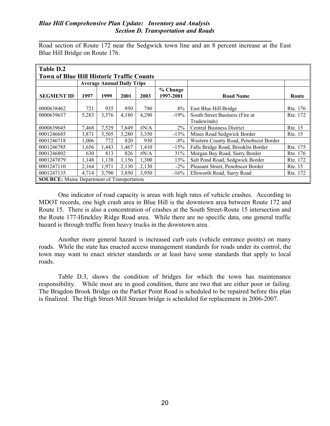### Blue Hill Comprehensive Plan Update: Inventory and Analysis Section D. Transportation and Roads

Road section of Route 172 near the Sedgwick town line and an 8 percent increase at the East Blue Hill Bridge on Route 176.

| Table D.2                                         |                              |       |                                   |                  |         |                                               |          |  |
|---------------------------------------------------|------------------------------|-------|-----------------------------------|------------------|---------|-----------------------------------------------|----------|--|
| <b>Town of Blue Hill Historic Traffic Counts</b>  |                              |       |                                   |                  |         |                                               |          |  |
|                                                   |                              |       | <b>Average Annual Daily Trips</b> |                  |         |                                               |          |  |
| <b>SEGMENT ID</b>                                 | 1997<br>1999<br>2001<br>2003 |       | % Change<br>1997-2001             | <b>Road Name</b> | Route   |                                               |          |  |
| 0000638462                                        | 721                          | 935   | 950                               | 780              | 8%      | East Blue Hill Bridge                         | Rte. 176 |  |
| 0000639637                                        | 5,283                        | 3,576 | 4,180                             | 4,290            | $-19%$  | South Street Business (Fire at<br>Tradewinds) | Rte. 172 |  |
| 0000639645                                        | 7,468                        | 7,529 | 7,649                             | $\sharp N/A$     | $2\%$   | <b>Central Business District</b>              | Rte. 15  |  |
| 0001246685                                        | 3,871                        | 3,505 | 3,280                             | 3,350            | $-13%$  | Mines Road Sedgwick Border                    | Rte. 15  |  |
| 0001246718                                        | 1.006                        | 772   | 820                               | 930              | $-8\%$  | Western County Road, Penobscot Border         |          |  |
| 0001246785                                        | 1,656                        | 1,443 | 1,467                             | 1,410            | $-15%$  | Falls Bridge Road, Brooklin Border            | Rte. 175 |  |
| 0001246802                                        | 630                          | 813   | 826                               | $\sharp N/A$     | 31%     | Morgan Bay Road, Surry Border                 | Rte. 176 |  |
| 0001247079                                        | 1.148                        | 1,138 | 1,156                             | 1,300            | 13%     | Salt Pond Road, Sedgwick Border               | Rte. 172 |  |
| 0001247110                                        | 2,164                        | 1.971 | 2,130                             | 2,130            | $-2\%$  | Pleasant Street, Penobscot Border             | Rte. 15  |  |
| 0001247135                                        | 4,714                        | 3,790 | 3,850                             | 3.950            | $-16\%$ | Ellsworth Road, Surry Road                    | Rte. 172 |  |
| <b>SOURCE:</b> Maine Department of Transportation |                              |       |                                   |                  |         |                                               |          |  |

One indicator of road capacity is areas with high rates of vehicle crashes. According to MDOT records, one high crash area in Blue Hill is the downtown area between Route 172 and Route 15. There is also a concentration of crashes at the South Street-Route 15 intersection and the Route 177-Hinckley Ridge Road area. While there are no specific data, one general traffic hazard is through traffic from heavy trucks in the downtown area.

Another more general hazard is increased curb cuts (vehicle entrance points) on many roads. While the state has enacted access management standards for roads under its control, the town may want to enact stricter standards or at least have some standards that apply to local roads.

Table D.3, shows the condition of bridges for which the town has maintenance responsibility. While most are in good condition, there are two that are either poor or failing. The Bragdon Brook Bridge on the Parker Point Road is scheduled to be repaired before this plan is finalized. The High Street-Mill Stream bridge is scheduled for replacement in 2006-2007.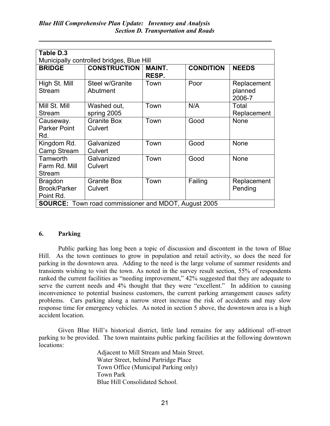| Table D.3                                 |                                                             |               |                  |              |  |  |  |  |
|-------------------------------------------|-------------------------------------------------------------|---------------|------------------|--------------|--|--|--|--|
| Municipally controlled bridges, Blue Hill |                                                             |               |                  |              |  |  |  |  |
| <b>BRIDGE</b>                             | <b>CONSTRUCTION</b>                                         | <b>MAINT.</b> | <b>CONDITION</b> | <b>NEEDS</b> |  |  |  |  |
|                                           |                                                             | RESP.         |                  |              |  |  |  |  |
| High St. Mill                             | Steel w/Granite                                             | Town          | Poor             | Replacement  |  |  |  |  |
| <b>Stream</b>                             | Abutment                                                    |               |                  | planned      |  |  |  |  |
|                                           |                                                             |               |                  | 2006-7       |  |  |  |  |
| Mill St. Mill                             | Washed out,                                                 | Town          | N/A              | Total        |  |  |  |  |
| Stream                                    | spring 2005                                                 |               |                  | Replacement  |  |  |  |  |
| Causeway.                                 | <b>Granite Box</b>                                          | Town          | Good             | <b>None</b>  |  |  |  |  |
| <b>Parker Point</b>                       | Culvert                                                     |               |                  |              |  |  |  |  |
| Rd.                                       |                                                             |               |                  |              |  |  |  |  |
| Kingdom Rd.                               | Galvanized                                                  | Town          | Good             | None         |  |  |  |  |
| Camp Stream                               | Culvert                                                     |               |                  |              |  |  |  |  |
| Tamworth                                  | Galvanized                                                  | Town          | Good             | <b>None</b>  |  |  |  |  |
| Farm Rd. Mill                             | Culvert                                                     |               |                  |              |  |  |  |  |
| Stream                                    |                                                             |               |                  |              |  |  |  |  |
| <b>Bragdon</b>                            | <b>Granite Box</b>                                          | Town          | Failing          | Replacement  |  |  |  |  |
| Brook/Parker                              | Culvert                                                     |               |                  | Pending      |  |  |  |  |
| Point Rd.                                 |                                                             |               |                  |              |  |  |  |  |
|                                           | <b>SOURCE:</b> Town road commissioner and MDOT, August 2005 |               |                  |              |  |  |  |  |

## 6. Parking

Public parking has long been a topic of discussion and discontent in the town of Blue Hill. As the town continues to grow in population and retail activity, so does the need for parking in the downtown area. Adding to the need is the large volume of summer residents and transients wishing to visit the town. As noted in the survey result section, 55% of respondents ranked the current facilities as "needing improvement," 42% suggested that they are adequate to serve the current needs and 4% thought that they were "excellent." In addition to causing inconvenience to potential business customers, the current parking arrangement causes safety problems. Cars parking along a narrow street increase the risk of accidents and may slow response time for emergency vehicles. As noted in section 5 above, the downtown area is a high accident location.

Given Blue Hill's historical district, little land remains for any additional off-street parking to be provided. The town maintains public parking facilities at the following downtown locations:

> Adjacent to Mill Stream and Main Street. Water Street, behind Partridge Place Town Office (Municipal Parking only) Town Park Blue Hill Consolidated School.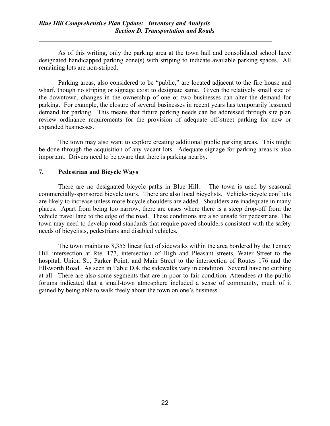As of this writing, only the parking area at the town hall and consolidated school have designated handicapped parking zone(s) with striping to indicate available parking spaces. All remaining lots are non-striped.

Parking areas, also considered to be "public," are located adjacent to the fire house and wharf, though no striping or signage exist to designate same. Given the relatively small size of the downtown, changes in the ownership of one or two businesses can alter the demand for parking. For example, the closure of several businesses in recent years has temporarily lessened demand for parking. This means that future parking needs can be addressed through site plan review ordinance requirements for the provision of adequate off-street parking for new or expanded businesses.

The town may also want to explore creating additional public parking areas. This might be done through the acquisition of any vacant lots. Adequate signage for parking areas is also important. Drivers need to be aware that there is parking nearby.

## 7. Pedestrian and Bicycle Ways

There are no designated bicycle paths in Blue Hill. The town is used by seasonal commercially-sponsored bicycle tours. There are also local bicyclists. Vehicle-bicycle conflicts are likely to increase unless more bicycle shoulders are added. Shoulders are inadequate in many places. Apart from being too narrow, there are cases where there is a steep drop-off from the vehicle travel lane to the edge of the road. These conditions are also unsafe for pedestrians. The town may need to develop road standards that require paved shoulders consistent with the safety needs of bicyclists, pedestrians and disabled vehicles.

The town maintains 8,355 linear feet of sidewalks within the area bordered by the Tenney Hill intersection at Rte. 177, intersection of High and Pleasant streets, Water Street to the hospital, Union St., Parker Point, and Main Street to the intersection of Routes 176 and the Ellsworth Road. As seen in Table D.4, the sidewalks vary in condition. Several have no curbing at all. There are also some segments that are in poor to fair condition. Attendees at the public forums indicated that a small-town atmosphere included a sense of community, much of it gained by being able to walk freely about the town on one's business.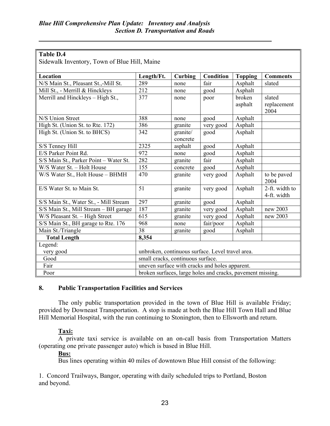| <b>Table D.4</b>                             |                                   |                      |                                                            |                   |                               |
|----------------------------------------------|-----------------------------------|----------------------|------------------------------------------------------------|-------------------|-------------------------------|
| Sidewalk Inventory, Town of Blue Hill, Maine |                                   |                      |                                                            |                   |                               |
|                                              |                                   |                      |                                                            |                   |                               |
| Location                                     | Length/Ft.                        | Curbing              | Condition                                                  | <b>Topping</b>    | <b>Comments</b>               |
| N/S Main St., Pleasant St.,-Mill St.         | 289                               | none                 | fair                                                       | Asphalt           | slated                        |
| Mill St., - Merrill & Hinckleys              | 212                               | none                 | good                                                       | Asphalt           |                               |
| Merrill and Hinckleys - High St.,            | 377                               | none                 | poor                                                       | broken<br>asphalt | slated<br>replacement<br>2004 |
| N/S Union Street                             | 388                               | none                 | good                                                       | Asphalt           |                               |
| High St. (Union St. to Rte. 172)             | 386                               | granite              | very good                                                  | Asphalt           |                               |
| High St. (Union St. to BHCS)                 | 342                               | granite/<br>concrete | good                                                       | Asphalt           |                               |
| S/S Tenney Hill                              | 2325                              | asphalt              | good                                                       | Asphalt           |                               |
| E/S Parker Point Rd.                         | 972                               | none                 | good                                                       | Asphalt           |                               |
| S/S Main St., Parker Point - Water St.       | 282                               | granite              | fair                                                       | Asphalt           |                               |
| W/S Water St. - Holt House                   | 155                               | concrete             | good                                                       | Asphalt           |                               |
| W/S Water St., Holt House - BHMH             | 470                               | granite              | very good                                                  | Asphalt           | to be paved<br>2004           |
| E/S Water St. to Main St.                    | 51                                | granite              | very good                                                  | Asphalt           | 2-ft. width to<br>4-ft. width |
| S/S Main St., Water St., - Mill Stream       | 297                               | granite              | good                                                       | Asphalt           |                               |
| S/S Main St., Mill Stream - BH garage        | 187                               | granite              | very good                                                  | Asphalt           | new 2003                      |
| W/S Pleasant St. - High Street               | 615                               | granite              | very good                                                  | Asphalt           | new 2003                      |
| S/S Main St., BH garage to Rte. 176          | 968                               | none                 | fair/poor                                                  | Asphalt           |                               |
| Main St./Triangle                            | 38                                | granite              | good                                                       | Asphalt           |                               |
| <b>Total Length</b>                          | 8,354                             |                      |                                                            |                   |                               |
| Legend:<br>very good                         |                                   |                      | unbroken, continuous surface. Level travel area.           |                   |                               |
| Good                                         | small cracks, continuous surface. |                      |                                                            |                   |                               |
| Fair                                         |                                   |                      | uneven surface with cracks and holes apparent.             |                   |                               |
| Poor                                         |                                   |                      | broken surfaces, large holes and cracks, pavement missing. |                   |                               |

## 8. Public Transportation Facilities and Services

The only public transportation provided in the town of Blue Hill is available Friday; provided by Downeast Transportation. A stop is made at both the Blue Hill Town Hall and Blue Hill Memorial Hospital, with the run continuing to Stonington, then to Ellsworth and return.

## Taxi:

A private taxi service is available on an on-call basis from Transportation Matters (operating one private passenger auto) which is based in Blue Hill.

## Bus:

Bus lines operating within 40 miles of downtown Blue Hill consist of the following:

1. Concord Trailways, Bangor, operating with daily scheduled trips to Portland, Boston and beyond.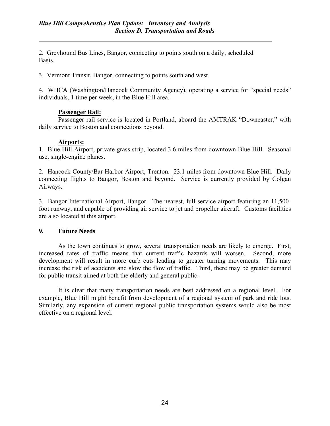2. Greyhound Bus Lines, Bangor, connecting to points south on a daily, scheduled Basis.

3. Vermont Transit, Bangor, connecting to points south and west.

4. WHCA (Washington/Hancock Community Agency), operating a service for "special needs" individuals, 1 time per week, in the Blue Hill area.

## Passenger Rail:

Passenger rail service is located in Portland, aboard the AMTRAK "Downeaster," with daily service to Boston and connections beyond.

## Airports:

1. Blue Hill Airport, private grass strip, located 3.6 miles from downtown Blue Hill. Seasonal use, single-engine planes.

2. Hancock County/Bar Harbor Airport, Trenton. 23.1 miles from downtown Blue Hill. Daily connecting flights to Bangor, Boston and beyond. Service is currently provided by Colgan Airways.

3. Bangor International Airport, Bangor. The nearest, full-service airport featuring an 11,500 foot runway, and capable of providing air service to jet and propeller aircraft. Customs facilities are also located at this airport.

## 9. Future Needs

As the town continues to grow, several transportation needs are likely to emerge. First, increased rates of traffic means that current traffic hazards will worsen. Second, more development will result in more curb cuts leading to greater turning movements. This may increase the risk of accidents and slow the flow of traffic. Third, there may be greater demand for public transit aimed at both the elderly and general public.

It is clear that many transportation needs are best addressed on a regional level. For example, Blue Hill might benefit from development of a regional system of park and ride lots. Similarly, any expansion of current regional public transportation systems would also be most effective on a regional level.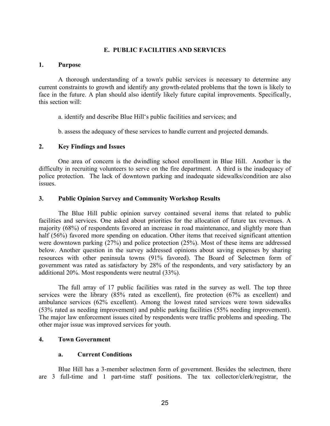#### E. PUBLIC FACILITIES AND SERVICES

#### 1. Purpose

A thorough understanding of a town's public services is necessary to determine any current constraints to growth and identify any growth-related problems that the town is likely to face in the future. A plan should also identify likely future capital improvements. Specifically, this section will:

a. identify and describe Blue Hill's public facilities and services; and

b. assess the adequacy of these services to handle current and projected demands.

#### 2. Key Findings and Issues

One area of concern is the dwindling school enrollment in Blue Hill. Another is the difficulty in recruiting volunteers to serve on the fire department. A third is the inadequacy of police protection. The lack of downtown parking and inadequate sidewalks/condition are also issues.

#### 3. Public Opinion Survey and Community Workshop Results

The Blue Hill public opinion survey contained several items that related to public facilities and services. One asked about priorities for the allocation of future tax revenues. A majority (68%) of respondents favored an increase in road maintenance, and slightly more than half (56%) favored more spending on education. Other items that received significant attention were downtown parking (27%) and police protection (25%). Most of these items are addressed below. Another question in the survey addressed opinions about saving expenses by sharing resources with other peninsula towns (91% favored). The Board of Selectmen form of government was rated as satisfactory by 28% of the respondents, and very satisfactory by an additional 20%. Most respondents were neutral (33%).

The full array of 17 public facilities was rated in the survey as well. The top three services were the library (85% rated as excellent), fire protection (67% as excellent) and ambulance services (62% excellent). Among the lowest rated services were town sidewalks (53% rated as needing improvement) and public parking facilities (55% needing improvement). The major law enforcement issues cited by respondents were traffic problems and speeding. The other major issue was improved services for youth.

#### 4. Town Government

#### a. Current Conditions

Blue Hill has a 3-member selectmen form of government. Besides the selectmen, there are 3 full-time and 1 part-time staff positions. The tax collector/clerk/registrar, the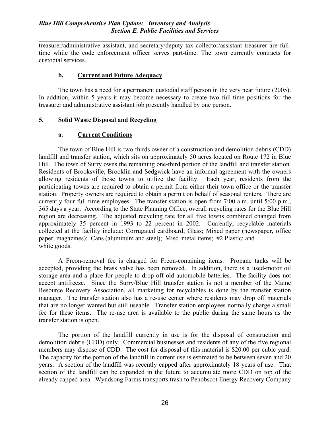treasurer/administrative assistant, and secretary/deputy tax collector/assistant treasurer are fulltime while the code enforcement officer serves part-time. The town currently contracts for custodial services.

## b. Current and Future Adequacy

The town has a need for a permanent custodial staff person in the very near future (2005). In addition, within 5 years it may become necessary to create two full-time positions for the treasurer and administrative assistant job presently handled by one person.

## 5. Solid Waste Disposal and Recycling

## a. Current Conditions

The town of Blue Hill is two-thirds owner of a construction and demolition debris (CDD) landfill and transfer station, which sits on approximately 50 acres located on Route 172 in Blue Hill. The town of Surry owns the remaining one-third portion of the landfill and transfer station. Residents of Brooksville, Brooklin and Sedgwick have an informal agreement with the owners allowing residents of those towns to utilize the facility. Each year, residents from the participating towns are required to obtain a permit from either their town office or the transfer station. Property owners are required to obtain a permit on behalf of seasonal renters. There are currently four full-time employees. The transfer station is open from 7:00 a.m. until 5:00 p.m., 365 days a year. According to the State Planning Office, overall recycling rates for the Blue Hill region are decreasing. The adjusted recycling rate for all five towns combined changed from approximately 35 percent in 1993 to 22 percent in 2002. Currently, recyclable materials collected at the facility include: Corrugated cardboard; Glass; Mixed paper (newspaper, office paper, magazines); Cans (aluminum and steel); Misc. metal items; #2 Plastic; and white goods.

A Freon-removal fee is charged for Freon-containing items. Propane tanks will be accepted, providing the brass valve has been removed. In addition, there is a used-motor oil storage area and a place for people to drop off old automobile batteries. The facility does not accept antifreeze. Since the Surry/Blue Hill transfer station is not a member of the Maine Resource Recovery Association, all marketing for recyclables is done by the transfer station manager. The transfer station also has a re-use center where residents may drop off materials that are no longer wanted but still useable. Transfer station employees normally charge a small fee for these items. The re-use area is available to the public during the same hours as the transfer station is open.

The portion of the landfill currently in use is for the disposal of construction and demolition debris (CDD) only. Commercial businesses and residents of any of the five regional members may dispose of CDD. The cost for disposal of this material is \$20.00 per cubic yard. The capacity for the portion of the landfill in current use is estimated to be between seven and 20 years. A section of the landfill was recently capped after approximately 18 years of use. That section of the landfill can be expanded in the future to accumulate more CDD on top of the already capped area. Wyndsong Farms transports trash to Penobscot Energy Recovery Company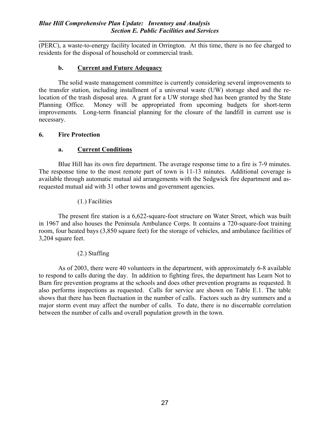(PERC), a waste-to-energy facility located in Orrington. At this time, there is no fee charged to residents for the disposal of household or commercial trash.

## b. Current and Future Adequacy

The solid waste management committee is currently considering several improvements to the transfer station, including installment of a universal waste (UW) storage shed and the relocation of the trash disposal area. A grant for a UW storage shed has been granted by the State Planning Office. Money will be appropriated from upcoming budgets for short-term improvements. Long-term financial planning for the closure of the landfill in current use is necessary.

## 6. Fire Protection

## a. Current Conditions

Blue Hill has its own fire department. The average response time to a fire is 7-9 minutes. The response time to the most remote part of town is 11-13 minutes. Additional coverage is available through automatic mutual aid arrangements with the Sedgwick fire department and asrequested mutual aid with 31 other towns and government agencies.

## (1.) Facilities

The present fire station is a 6,622-square-foot structure on Water Street, which was built in 1967 and also houses the Peninsula Ambulance Corps. It contains a 720-square-foot training room, four heated bays (3,850 square feet) for the storage of vehicles, and ambulance facilities of 3,204 square feet.

## (2.) Staffing

As of 2003, there were 40 volunteers in the department, with approximately 6-8 available to respond to calls during the day. In addition to fighting fires, the department has Learn Not to Burn fire prevention programs at the schools and does other prevention programs as requested. It also performs inspections as requested. Calls for service are shown on Table E.1. The table shows that there has been fluctuation in the number of calls. Factors such as dry summers and a major storm event may affect the number of calls. To date, there is no discernable correlation between the number of calls and overall population growth in the town.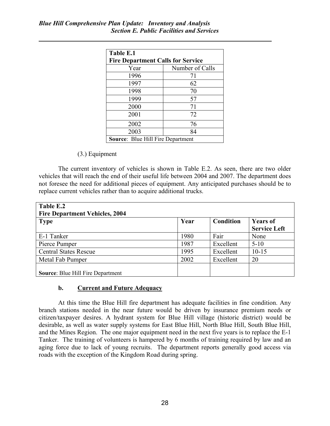| Table E.1                                |                 |  |  |  |
|------------------------------------------|-----------------|--|--|--|
| <b>Fire Department Calls for Service</b> |                 |  |  |  |
| Year                                     | Number of Calls |  |  |  |
| 1996                                     | 71              |  |  |  |
| 1997                                     | 62              |  |  |  |
| 1998                                     | 70              |  |  |  |
| 1999                                     | 57              |  |  |  |
| 2000                                     | 71              |  |  |  |
| 2001                                     | 72              |  |  |  |
| 2002                                     | 76              |  |  |  |
| 2003                                     | 84              |  |  |  |
| <b>Source: Blue Hill Fire Department</b> |                 |  |  |  |

## (3.) Equipment

The current inventory of vehicles is shown in Table E.2. As seen, there are two older vehicles that will reach the end of their useful life between 2004 and 2007. The department does not foresee the need for additional pieces of equipment. Any anticipated purchases should be to replace current vehicles rather than to acquire additional trucks.

| Table E.2<br><b>Fire Department Vehicles, 2004</b> |      |           |                                        |
|----------------------------------------------------|------|-----------|----------------------------------------|
| <b>Type</b>                                        | Year | Condition | <b>Years of</b><br><b>Service Left</b> |
| E-1 Tanker                                         | 1980 | Fair      | None                                   |
| Pierce Pumper                                      | 1987 | Excellent | $5-10$                                 |
| <b>Central States Rescue</b>                       | 1995 | Excellent | $10-15$                                |
| Metal Fab Pumper                                   | 2002 | Excellent | 20                                     |
| <b>Source: Blue Hill Fire Department</b>           |      |           |                                        |

## b. Current and Future Adequacy

At this time the Blue Hill fire department has adequate facilities in fine condition. Any branch stations needed in the near future would be driven by insurance premium needs or citizen/taxpayer desires. A hydrant system for Blue Hill village (historic district) would be desirable, as well as water supply systems for East Blue Hill, North Blue Hill, South Blue Hill, and the Mines Region. The one major equipment need in the next five years is to replace the E-1 Tanker. The training of volunteers is hampered by 6 months of training required by law and an aging force due to lack of young recruits. The department reports generally good access via roads with the exception of the Kingdom Road during spring.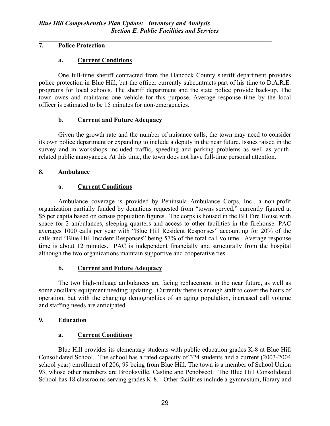# 7. Police Protection

# a. Current Conditions

One full-time sheriff contracted from the Hancock County sheriff department provides police protection in Blue Hill, but the officer currently subcontracts part of his time to D.A.R.E. programs for local schools. The sheriff department and the state police provide back-up. The town owns and maintains one vehicle for this purpose. Average response time by the local officer is estimated to be 15 minutes for non-emergencies.

# b. Current and Future Adequacy

Given the growth rate and the number of nuisance calls, the town may need to consider its own police department or expanding to include a deputy in the near future. Issues raised in the survey and in workshops included traffic, speeding and parking problems as well as youthrelated public annoyances. At this time, the town does not have full-time personal attention.

# 8. Ambulance

# a. Current Conditions

Ambulance coverage is provided by Peninsula Ambulance Corps, Inc., a non-profit organization partially funded by donations requested from "towns served," currently figured at \$5 per capita based on census population figures. The corps is housed in the BH Fire House with space for 2 ambulances, sleeping quarters and access to other facilities in the firehouse. PAC averages 1000 calls per year with "Blue Hill Resident Responses" accounting for 20% of the calls and "Blue Hill Incident Responses" being 57% of the total call volume. Average response time is about 12 minutes. PAC is independent financially and structurally from the hospital although the two organizations maintain supportive and cooperative ties.

# b. Current and Future Adequacy

The two high-mileage ambulances are facing replacement in the near future, as well as some ancillary equipment needing updating. Currently there is enough staff to cover the hours of operation, but with the changing demographics of an aging population, increased call volume and staffing needs are anticipated.

# 9. Education

# a. Current Conditions

Blue Hill provides its elementary students with public education grades K-8 at Blue Hill Consolidated School. The school has a rated capacity of 324 students and a current (2003-2004 school year) enrollment of 206, 99 being from Blue Hill. The town is a member of School Union 93, whose other members are Brooksville, Castine and Penobscot. The Blue Hill Consolidated School has 18 classrooms serving grades K-8. Other facilities include a gymnasium, library and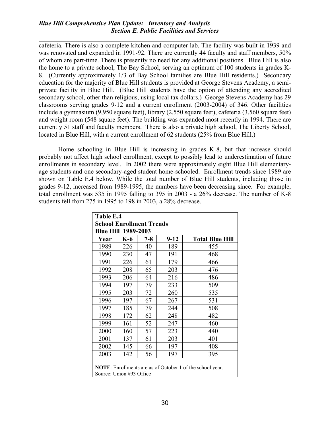## Blue Hill Comprehensive Plan Update: Inventory and Analysis Section E. Public Facilities and Services

cafeteria. There is also a complete kitchen and computer lab. The facility was built in 1939 and was renovated and expanded in 1991-92. There are currently 44 faculty and staff members, 50% of whom are part-time. There is presently no need for any additional positions. Blue Hill is also the home to a private school, The Bay School, serving an optimum of 100 students in grades K-8. (Currently approximately 1/3 of Bay School families are Blue Hill residents.) Secondary education for the majority of Blue Hill students is provided at George Stevens Academy, a semiprivate facility in Blue Hill. (Blue Hill students have the option of attending any accredited secondary school, other than religious, using local tax dollars.) George Stevens Academy has 29 classrooms serving grades 9-12 and a current enrollment (2003-2004) of 346. Other facilities include a gymnasium (9,950 square feet), library (2,550 square feet), cafeteria (3,560 square feet) and weight room (548 square feet). The building was expanded most recently in 1994. There are currently 51 staff and faculty members. There is also a private high school, The Liberty School, located in Blue Hill, with a current enrollment of 62 students (25% from Blue Hill.)

Home schooling in Blue Hill is increasing in grades K-8, but that increase should probably not affect high school enrollment, except to possibly lead to underestimation of future enrollments in secondary level. In 2002 there were approximately eight Blue Hill elementaryage students and one secondary-aged student home-schooled. Enrollment trends since 1989 are shown on Table E.4 below. While the total number of Blue Hill students, including those in grades 9-12, increased from 1989-1995, the numbers have been decreasing since. For example, total enrollment was 535 in 1995 falling to 395 in 2003 - a 26% decrease. The number of K-8 students fell from 275 in 1995 to 198 in 2003, a 28% decrease.

| Table E.4                       |       |         |          |                                                                  |  |  |  |  |  |
|---------------------------------|-------|---------|----------|------------------------------------------------------------------|--|--|--|--|--|
| <b>School Enrollment Trends</b> |       |         |          |                                                                  |  |  |  |  |  |
| <b>Blue Hill 1989-2003</b>      |       |         |          |                                                                  |  |  |  |  |  |
| Year                            | $K-6$ | $7 - 8$ | $9 - 12$ | <b>Total Blue Hill</b>                                           |  |  |  |  |  |
| 1989                            | 226   | 40      | 189      | 455                                                              |  |  |  |  |  |
| 1990                            | 230   | 47      | 191      | 468                                                              |  |  |  |  |  |
| 1991                            | 226   | 61      | 179      | 466                                                              |  |  |  |  |  |
| 1992                            | 208   | 65      | 203      | 476                                                              |  |  |  |  |  |
| 1993                            | 206   | 64      | 216      | 486                                                              |  |  |  |  |  |
| 1994                            | 197   | 79      | 233      | 509                                                              |  |  |  |  |  |
| 1995                            | 203   | 72      | 260      | 535                                                              |  |  |  |  |  |
| 1996                            | 197   | 67      | 267      | 531                                                              |  |  |  |  |  |
| 1997                            | 185   | 79      | 244      | 508                                                              |  |  |  |  |  |
| 1998                            | 172   | 62      | 248      | 482                                                              |  |  |  |  |  |
| 1999                            | 161   | 52      | 247      | 460                                                              |  |  |  |  |  |
| 2000                            | 160   | 57      | 223      | 440                                                              |  |  |  |  |  |
| 2001                            | 137   | 61      | 203      | 401                                                              |  |  |  |  |  |
| 2002                            | 145   | 66      | 197      | 408                                                              |  |  |  |  |  |
| 2003                            | 142   | 56      | 197      | 395                                                              |  |  |  |  |  |
|                                 |       |         |          | <b>NOTE:</b> Enrollments are as of October 1 of the school year. |  |  |  |  |  |

Source: Union #93 Office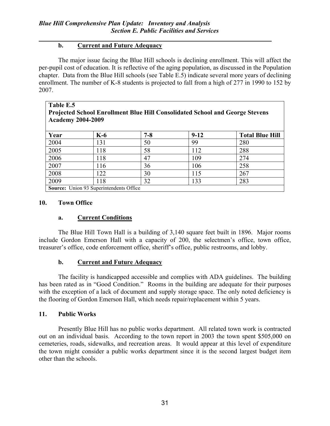# b. Current and Future Adequacy

The major issue facing the Blue Hill schools is declining enrollment. This will affect the per-pupil cost of education. It is reflective of the aging population, as discussed in the Population chapter. Data from the Blue Hill schools (see Table E.5) indicate several more years of declining enrollment. The number of K-8 students is projected to fall from a high of 277 in 1990 to 152 by 2007.

| Table E.5<br><b>Projected School Enrollment Blue Hill Consolidated School and George Stevens</b><br><b>Academy 2004-2009</b> |                                         |         |        |                        |  |  |  |  |
|------------------------------------------------------------------------------------------------------------------------------|-----------------------------------------|---------|--------|------------------------|--|--|--|--|
| Year                                                                                                                         | $K-6$                                   | $7 - 8$ | $9-12$ | <b>Total Blue Hill</b> |  |  |  |  |
| 2004                                                                                                                         | 131                                     | 50      | 99     | 280                    |  |  |  |  |
| 2005                                                                                                                         | 118                                     | 58      | 112    | 288                    |  |  |  |  |
| 2006                                                                                                                         | 118                                     | 47      | 109    | 274                    |  |  |  |  |
| 2007                                                                                                                         | 116                                     | 36      | 106    | 258                    |  |  |  |  |
| 2008                                                                                                                         | 122                                     | 30      | 115    | 267                    |  |  |  |  |
| 2009                                                                                                                         | 118                                     | 32      | 133    | 283                    |  |  |  |  |
|                                                                                                                              | Source: Union 93 Superintendents Office |         |        |                        |  |  |  |  |

 $\blacksquare$  source:

## 10. Town Office

# a. Current Conditions

The Blue Hill Town Hall is a building of 3,140 square feet built in 1896. Major rooms include Gordon Emerson Hall with a capacity of 200, the selectmen's office, town office, treasurer's office, code enforcement office, sheriff's office, public restrooms, and lobby.

# b. Current and Future Adequacy

The facility is handicapped accessible and complies with ADA guidelines. The building has been rated as in "Good Condition." Rooms in the building are adequate for their purposes with the exception of a lack of document and supply storage space. The only noted deficiency is the flooring of Gordon Emerson Hall, which needs repair/replacement within 5 years.

# 11. Public Works

Presently Blue Hill has no public works department. All related town work is contracted out on an individual basis. According to the town report in 2003 the town spent \$505,000 on cemeteries, roads, sidewalks, and recreation areas. It would appear at this level of expenditure the town might consider a public works department since it is the second largest budget item other than the schools.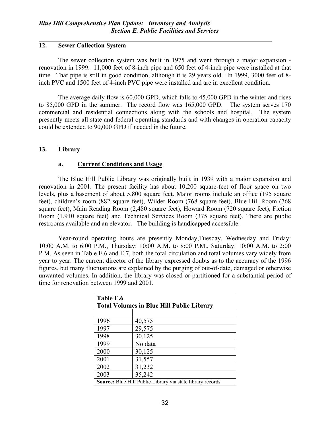# 12. Sewer Collection System

The sewer collection system was built in 1975 and went through a major expansion renovation in 1999. 11,000 feet of 8-inch pipe and 650 feet of 4-inch pipe were installed at that time. That pipe is still in good condition, although it is 29 years old. In 1999, 3000 feet of 8 inch PVC and 1500 feet of 4-inch PVC pipe were installed and are in excellent condition.

The average daily flow is 60,000 GPD, which falls to 45,000 GPD in the winter and rises to 85,000 GPD in the summer. The record flow was 165,000 GPD. The system serves 170 commercial and residential connections along with the schools and hospital. The system presently meets all state and federal operating standards and with changes in operation capacity could be extended to 90,000 GPD if needed in the future.

# 13. Library

# a. Current Conditions and Usage

The Blue Hill Public Library was originally built in 1939 with a major expansion and renovation in 2001. The present facility has about 10,200 square-feet of floor space on two levels, plus a basement of about 5,800 square feet. Major rooms include an office (195 square feet), children's room (882 square feet), Wilder Room (768 square feet), Blue Hill Room (768 square feet), Main Reading Room (2,480 square feet), Howard Room (720 square feet), Fiction Room (1,910 square feet) and Technical Services Room (375 square feet). There are public restrooms available and an elevator. The building is handicapped accessible.

Year-round operating hours are presently Monday,Tuesday, Wednesday and Friday: 10:00 A.M. to 6:00 P.M., Thursday: 10:00 A.M. to 8:00 P.M., Saturday: 10:00 A.M. to 2:00 P.M. As seen in Table E.6 and E.7, both the total circulation and total volumes vary widely from year to year. The current director of the library expressed doubts as to the accuracy of the 1996 figures, but many fluctuations are explained by the purging of out-of-date, damaged or otherwise unwanted volumes. In addition, the library was closed or partitioned for a substantial period of time for renovation between 1999 and 2001.

| Table E.6 |                                                            |  |  |  |  |  |
|-----------|------------------------------------------------------------|--|--|--|--|--|
|           | <b>Total Volumes in Blue Hill Public Library</b>           |  |  |  |  |  |
|           |                                                            |  |  |  |  |  |
| 1996      | 40,575                                                     |  |  |  |  |  |
| 1997      | 29,575                                                     |  |  |  |  |  |
| 1998      | 30,125                                                     |  |  |  |  |  |
| 1999      | No data                                                    |  |  |  |  |  |
| 2000      | 30,125                                                     |  |  |  |  |  |
| 2001      | 31,557                                                     |  |  |  |  |  |
| 2002      | 31,232                                                     |  |  |  |  |  |
| 2003      | 35,242                                                     |  |  |  |  |  |
|           | Source: Blue Hill Public Library via state library records |  |  |  |  |  |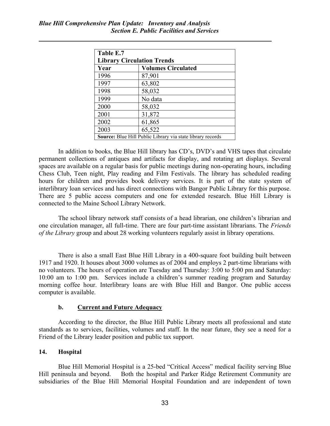| Table E.7                         |                                                            |  |  |  |  |  |  |
|-----------------------------------|------------------------------------------------------------|--|--|--|--|--|--|
| <b>Library Circulation Trends</b> |                                                            |  |  |  |  |  |  |
| Year                              | <b>Volumes Circulated</b>                                  |  |  |  |  |  |  |
| 1996                              | 87,901                                                     |  |  |  |  |  |  |
| 1997                              | 63,802                                                     |  |  |  |  |  |  |
| 1998                              | 58,032                                                     |  |  |  |  |  |  |
| 1999                              | No data                                                    |  |  |  |  |  |  |
| 2000                              | 58,032                                                     |  |  |  |  |  |  |
| 2001                              | 31,872                                                     |  |  |  |  |  |  |
| 2002                              | 61,865                                                     |  |  |  |  |  |  |
| 2003                              | 65,522                                                     |  |  |  |  |  |  |
|                                   | Source: Blue Hill Public Library via state library records |  |  |  |  |  |  |

In addition to books, the Blue Hill library has CD's, DVD's and VHS tapes that circulate permanent collections of antiques and artifacts for display, and rotating art displays. Several spaces are available on a regular basis for public meetings during non-operating hours, including Chess Club, Teen night, Play reading and Film Festivals. The library has scheduled reading hours for children and provides book delivery services. It is part of the state system of interlibrary loan services and has direct connections with Bangor Public Library for this purpose. There are 5 public access computers and one for extended research. Blue Hill Library is connected to the Maine School Library Network.

The school library network staff consists of a head librarian, one children's librarian and one circulation manager, all full-time. There are four part-time assistant librarians. The Friends of the Library group and about 28 working volunteers regularly assist in library operations.

There is also a small East Blue Hill Library in a 400-square foot building built between 1917 and 1920. It houses about 3000 volumes as of 2004 and employs 2 part-time librarians with no volunteers. The hours of operation are Tuesday and Thursday: 3:00 to 5:00 pm and Saturday: 10:00 am to 1:00 pm. Services include a children's summer reading program and Saturday morning coffee hour. Interlibrary loans are with Blue Hill and Bangor. One public access computer is available.

### b. Current and Future Adequacy

According to the director, the Blue Hill Public Library meets all professional and state standards as to services, facilities, volumes and staff. In the near future, they see a need for a Friend of the Library leader position and public tax support.

### 14. Hospital

Blue Hill Memorial Hospital is a 25-bed "Critical Access" medical facility serving Blue Hill peninsula and beyond. Both the hospital and Parker Ridge Retirement Community are subsidiaries of the Blue Hill Memorial Hospital Foundation and are independent of town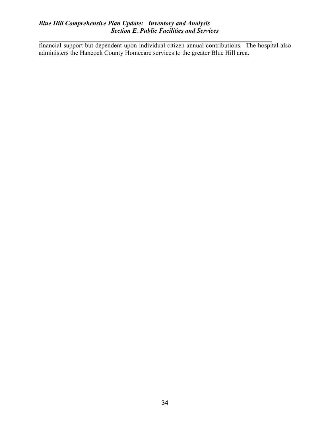# Blue Hill Comprehensive Plan Update: Inventory and Analysis Section E. Public Facilities and Services

financial support but dependent upon individual citizen annual contributions. The hospital also administers the Hancock County Homecare services to the greater Blue Hill area.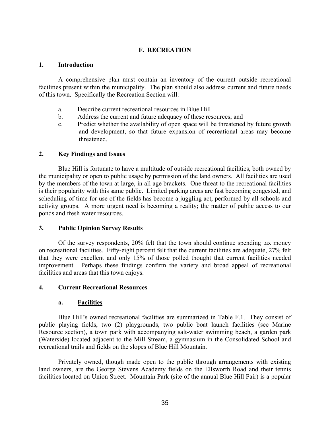## F. RECREATION

#### 1. Introduction

A comprehensive plan must contain an inventory of the current outside recreational facilities present within the municipality. The plan should also address current and future needs of this town. Specifically the Recreation Section will:

- a. Describe current recreational resources in Blue Hill
- b. Address the current and future adequacy of these resources; and
- c. Predict whether the availability of open space will be threatened by future growth and development, so that future expansion of recreational areas may become threatened.

### 2. Key Findings and Issues

Blue Hill is fortunate to have a multitude of outside recreational facilities, both owned by the municipality or open to public usage by permission of the land owners. All facilities are used by the members of the town at large, in all age brackets. One threat to the recreational facilities is their popularity with this same public. Limited parking areas are fast becoming congested, and scheduling of time for use of the fields has become a juggling act, performed by all schools and activity groups. A more urgent need is becoming a reality; the matter of public access to our ponds and fresh water resources.

### 3. Public Opinion Survey Results

Of the survey respondents, 20% felt that the town should continue spending tax money on recreational facilities. Fifty-eight percent felt that the current facilities are adequate, 27% felt that they were excellent and only 15% of those polled thought that current facilities needed improvement. Perhaps these findings confirm the variety and broad appeal of recreational facilities and areas that this town enjoys.

### 4. Current Recreational Resources

### a. Facilities

Blue Hill's owned recreational facilities are summarized in Table F.1. They consist of public playing fields, two (2) playgrounds, two public boat launch facilities (see Marine Resource section), a town park with accompanying salt-water swimming beach, a garden park (Waterside) located adjacent to the Mill Stream, a gymnasium in the Consolidated School and recreational trails and fields on the slopes of Blue Hill Mountain.

Privately owned, though made open to the public through arrangements with existing land owners, are the George Stevens Academy fields on the Ellsworth Road and their tennis facilities located on Union Street. Mountain Park (site of the annual Blue Hill Fair) is a popular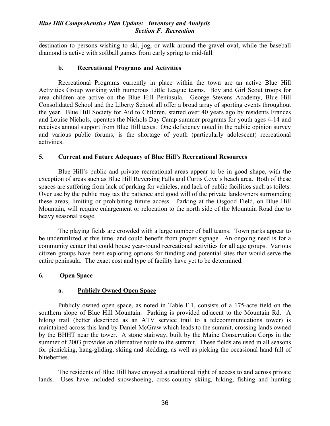destination to persons wishing to ski, jog, or walk around the gravel oval, while the baseball diamond is active with softball games from early spring to mid-fall.

# b. Recreational Programs and Activities

Recreational Programs currently in place within the town are an active Blue Hill Activities Group working with numerous Little League teams. Boy and Girl Scout troops for area children are active on the Blue Hill Peninsula. George Stevens Academy, Blue Hill Consolidated School and the Liberty School all offer a broad array of sporting events throughout the year. Blue Hill Society for Aid to Children, started over 40 years ago by residents Frances and Louise Nichols, operates the Nichols Day Camp summer programs for youth ages 4-14 and receives annual support from Blue Hill taxes. One deficiency noted in the public opinion survey and various public forums, is the shortage of youth (particularly adolescent) recreational activities.

## 5. Current and Future Adequacy of Blue Hill's Recreational Resources

Blue Hill's public and private recreational areas appear to be in good shape, with the exception of areas such as Blue Hill Reversing Falls and Curtis Cove's beach area. Both of these spaces are suffering from lack of parking for vehicles, and lack of public facilities such as toilets. Over use by the public may tax the patience and good will of the private landowners surrounding these areas, limiting or prohibiting future access. Parking at the Osgood Field, on Blue Hill Mountain, will require enlargement or relocation to the north side of the Mountain Road due to heavy seasonal usage.

The playing fields are crowded with a large number of ball teams. Town parks appear to be underutilized at this time, and could benefit from proper signage. An ongoing need is for a community center that could house year-round recreational activities for all age groups. Various citizen groups have been exploring options for funding and potential sites that would serve the entire peninsula. The exact cost and type of facility have yet to be determined.

# 6. Open Space

# a. Publicly Owned Open Space

Publicly owned open space, as noted in Table F.1, consists of a 175-acre field on the southern slope of Blue Hill Mountain. Parking is provided adjacent to the Mountain Rd. A hiking trail (better described as an ATV service trail to a telecommunications tower) is maintained across this land by Daniel McGraw which leads to the summit, crossing lands owned by the BHHT near the tower. A stone stairway, built by the Maine Conservation Corps in the summer of 2003 provides an alternative route to the summit. These fields are used in all seasons for picnicking, hang-gliding, skiing and sledding, as well as picking the occasional hand full of blueberries.

The residents of Blue Hill have enjoyed a traditional right of access to and across private lands. Uses have included snowshoeing, cross-country skiing, hiking, fishing and hunting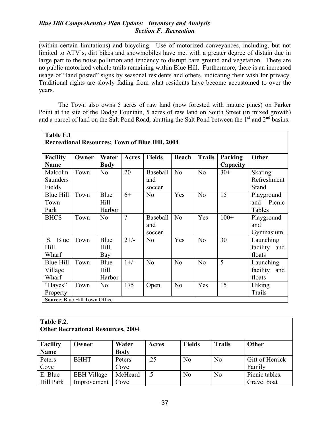# Blue Hill Comprehensive Plan Update: Inventory and Analysis Section F. Recreation

(within certain limitations) and bicycling. Use of motorized conveyances, including, but not limited to ATV's, dirt bikes and snowmobiles have met with a greater degree of distain due in large part to the noise pollution and tendency to disrupt bare ground and vegetation. There are no public motorized vehicle trails remaining within Blue Hill. Furthermore, there is an increased usage of "land posted" signs by seasonal residents and others, indicating their wish for privacy. Traditional rights are slowly fading from what residents have become accustomed to over the years.

The Town also owns 5 acres of raw land (now forested with mature pines) on Parker Point at the site of the Dodge Fountain, 5 acres of raw land on South Street (in mixed growth) and a parcel of land on the Salt Pond Road, abutting the Salt Pond between the  $1<sup>st</sup>$  and  $2<sup>nd</sup>$  basins.

| Table F.1                                              |       |                        |                          |                           |                |                |                     |                                        |  |
|--------------------------------------------------------|-------|------------------------|--------------------------|---------------------------|----------------|----------------|---------------------|----------------------------------------|--|
| <b>Recreational Resources; Town of Blue Hill, 2004</b> |       |                        |                          |                           |                |                |                     |                                        |  |
| <b>Facility</b><br><b>Name</b>                         | Owner | Water<br><b>Body</b>   | <b>Acres</b>             | <b>Fields</b>             | <b>Beach</b>   | <b>Trails</b>  | Parking<br>Capacity | <b>Other</b>                           |  |
| Malcolm<br>Saunders<br>Fields                          | Town  | N <sub>o</sub>         | 20                       | Baseball<br>and<br>soccer | N <sub>o</sub> | N <sub>o</sub> | $30+$               | <b>Skating</b><br>Refreshment<br>Stand |  |
| <b>Blue Hill</b><br>Town<br>Park                       | Town  | Blue<br>Hill<br>Harbor | $6+$                     | N <sub>o</sub>            | Yes            | N <sub>0</sub> | 15                  | Playground<br>Picnic<br>and<br>Tables  |  |
| <b>BHCS</b>                                            | Town  | N <sub>0</sub>         | $\overline{\mathcal{L}}$ | Baseball<br>and<br>soccer | N <sub>o</sub> | Yes            | $100+$              | Playground<br>and<br>Gymnasium         |  |
| Blue<br>$S_{\cdot}$<br>Hill<br>Wharf                   | Town  | Blue<br>Hill<br>Bay    | $2+/-$                   | N <sub>o</sub>            | Yes            | No             | 30                  | Launching<br>facility<br>and<br>floats |  |
| <b>Blue Hill</b><br>Village<br>Wharf                   | Town  | Blue<br>Hill<br>Harbor | $1+/-$                   | N <sub>o</sub>            | N <sub>o</sub> | N <sub>0</sub> | 5                   | Launching<br>facility<br>and<br>floats |  |
| "Hayes"<br>Property<br>Source: Blue Hill Town Office   | Town  | N <sub>o</sub>         | 175                      | Open                      | N <sub>o</sub> | Yes            | 15                  | <b>Hiking</b><br>Trails                |  |

| Table F.2.<br><b>Other Recreational Resources, 2004</b> |             |             |       |               |                |         |  |
|---------------------------------------------------------|-------------|-------------|-------|---------------|----------------|---------|--|
| <b>Facility</b>                                         | Owner       | Water       | Acres | <b>Fields</b> | <b>Trails</b>  | Other   |  |
| <b>Name</b>                                             |             | <b>Body</b> |       |               |                |         |  |
| Peters                                                  | <b>BHHT</b> | Peters      | .25   | No            | N <sub>0</sub> | Gift of |  |

| таше      |                    | DUUV    |       |    |                |                 |
|-----------|--------------------|---------|-------|----|----------------|-----------------|
| Peters    | BHHT               | Peters  | (ت سک | No | N <sub>o</sub> | Gift of Herrick |
| Cove      |                    | Cove    |       |    |                | Family          |
| E. Blue   | <b>EBH</b> Village | McHeard |       | No | N <sub>o</sub> | Picnic tables.  |
| Hill Park | Improvement        | Cove    |       |    |                | Gravel boat     |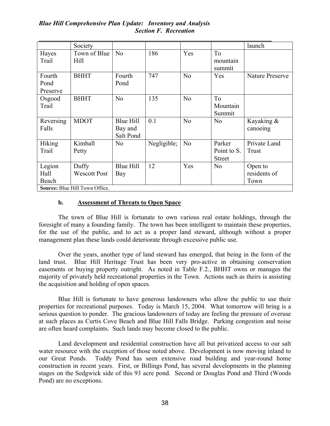## Blue Hill Comprehensive Plan Update: Inventory and Analysis Section F. Recreation

|           | Society                        |                  |             |                |                | launch          |
|-----------|--------------------------------|------------------|-------------|----------------|----------------|-----------------|
| Hayes     | Town of Blue                   | N <sub>0</sub>   | 186         | Yes            | T <sub>o</sub> |                 |
| Trail     | Hill                           |                  |             |                | mountain       |                 |
|           |                                |                  |             |                | summit         |                 |
| Fourth    | <b>BHHT</b>                    | Fourth           | 747         | N <sub>0</sub> | Yes            | Nature Preserve |
| Pond      |                                | Pond             |             |                |                |                 |
| Preserve  |                                |                  |             |                |                |                 |
| Osgood    | <b>BHHT</b>                    | N <sub>0</sub>   | 135         | No             | To             |                 |
| Trail     |                                |                  |             |                | Mountain       |                 |
|           |                                |                  |             |                | Summit         |                 |
| Reversing | <b>MDOT</b>                    | <b>Blue Hill</b> | 0.1         | N <sub>0</sub> | N <sub>0</sub> | Kayaking &      |
| Falls     |                                | Bay and          |             |                |                | canoeing        |
|           |                                | Salt Pond        |             |                |                |                 |
| Hiking    | Kimball                        | N <sub>0</sub>   | Negligible; | N <sub>0</sub> | Parker         | Private Land    |
| Trail     | Petty                          |                  |             |                | Point to S.    | Trust           |
|           |                                |                  |             |                | <b>Street</b>  |                 |
| Legion    | Duffy                          | <b>Blue Hill</b> | 12          | Yes            | N <sub>o</sub> | Open to         |
| Hall      | <b>Wescott Post</b>            | Bay              |             |                |                | residents of    |
| Beach     |                                |                  |             |                |                | Town            |
|           | Source: Blue Hill Town Office. |                  |             |                |                |                 |

# b. Assessment of Threats to Open Space

The town of Blue Hill is fortunate to own various real estate holdings, through the foresight of many a founding family. The town has been intelligent to maintain these properties, for the use of the public, and to act as a proper land steward, although without a proper management plan these lands could deteriorate through excessive public use.

Over the years, another type of land steward has emerged, that being in the form of the land trust. Blue Hill Heritage Trust has been very pro-active in obtaining conservation easements or buying property outright. As noted in Table F.2., BHHT owns or manages the majority of privately held recreational properties in the Town. Actions such as theirs is assisting the acquisition and holding of open spaces.

Blue Hill is fortunate to have generous landowners who allow the public to use their properties for recreational purposes. Today is March 15, 2004. What tomorrow will bring is a serious question to ponder. The gracious landowners of today are feeling the pressure of overuse at such places as Curtis Cove Beach and Blue Hill Falls Bridge. Parking congestion and noise are often heard complaints. Such lands may become closed to the public.

Land development and residential construction have all but privatized access to our salt water resource with the exception of those noted above. Development is now moving inland to our Great Ponds. Toddy Pond has seen extensive road building and year-round home construction in recent years. First, or Billings Pond, has several developments in the planning stages on the Sedgwick side of this 93 acre pond. Second or Douglas Pond and Third (Woods Pond) are no exceptions.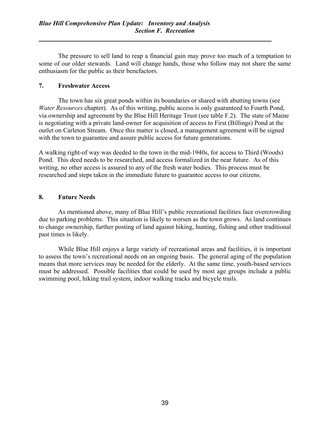The pressure to sell land to reap a financial gain may prove too much of a temptation to some of our older stewards. Land will change hands, those who follow may not share the same enthusiasm for the public as their benefactors.

## 7. Freshwater Access

The town has six great ponds within its boundaries or shared with abutting towns (see Water Resources chapter). As of this writing, public access is only guaranteed to Fourth Pond, via ownership and agreement by the Blue Hill Heritage Trust (see table F.2). The state of Maine is negotiating with a private land-owner for acquisition of access to First (Billings) Pond at the outlet on Carleton Stream. Once this matter is closed, a management agreement will be signed with the town to guarantee and assure public access for future generations.

A walking right-of way was deeded to the town in the mid-1940s, for access to Third (Woods) Pond. This deed needs to be researched, and access formalized in the near future. As of this writing, no other access is assured to any of the fresh water bodies. This process must be researched and steps taken in the immediate future to guarantee access to our citizens.

## 8. Future Needs

As mentioned above, many of Blue Hill's public recreational facilities face overcrowding due to parking problems. This situation is likely to worsen as the town grows. As land continues to change ownership, further posting of land against hiking, hunting, fishing and other traditional past times is likely.

While Blue Hill enjoys a large variety of recreational areas and facilities, it is important to assess the town's recreational needs on an ongoing basis. The general aging of the population means that more services may be needed for the elderly. At the same time, youth-based services must be addressed. Possible facilities that could be used by most age groups include a public swimming pool, hiking trail system, indoor walking tracks and bicycle trails.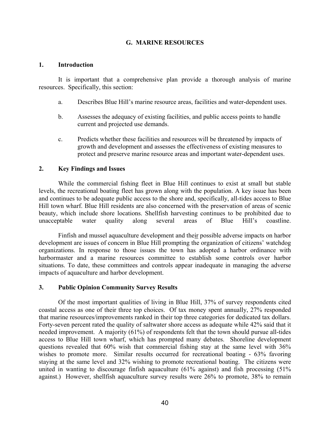# G. MARINE RESOURCES

### 1. Introduction

It is important that a comprehensive plan provide a thorough analysis of marine resources. Specifically, this section:

- a. Describes Blue Hill's marine resource areas, facilities and water-dependent uses.
- b. Assesses the adequacy of existing facilities, and public access points to handle current and projected use demands.
- c. Predicts whether these facilities and resources will be threatened by impacts of growth and development and assesses the effectiveness of existing measures to protect and preserve marine resource areas and important water-dependent uses.

# 2. Key Findings and Issues

While the commercial fishing fleet in Blue Hill continues to exist at small but stable levels, the recreational boating fleet has grown along with the population. A key issue has been and continues to be adequate public access to the shore and, specifically, all-tides access to Blue Hill town wharf. Blue Hill residents are also concerned with the preservation of areas of scenic beauty, which include shore locations. Shellfish harvesting continues to be prohibited due to unacceptable water quality along several areas of Blue Hill's coastline.

Finfish and mussel aquaculture development and their possible adverse impacts on harbor development are issues of concern in Blue Hill prompting the organization of citizens' watchdog organizations. In response to those issues the town has adopted a harbor ordinance with harbormaster and a marine resources committee to establish some controls over harbor situations. To date, these committees and controls appear inadequate in managing the adverse impacts of aquaculture and harbor development.

### 3. Public Opinion Community Survey Results

Of the most important qualities of living in Blue Hill, 37% of survey respondents cited coastal access as one of their three top choices. Of tax money spent annually, 27% responded that marine resources/improvements ranked in their top three categories for dedicated tax dollars. Forty-seven percent rated the quality of saltwater shore access as adequate while 42% said that it needed improvement. A majority (61%) of respondents felt that the town should pursue all-tides access to Blue Hill town wharf, which has prompted many debates. Shoreline development questions revealed that 60% wish that commercial fishing stay at the same level with 36% wishes to promote more. Similar results occurred for recreational boating - 63% favoring staying at the same level and 32% wishing to promote recreational boating. The citizens were united in wanting to discourage finfish aquaculture (61% against) and fish processing (51% against.) However, shellfish aquaculture survey results were 26% to promote, 38% to remain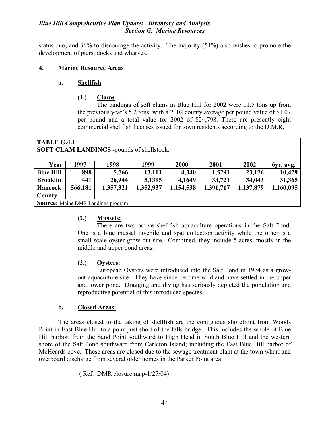### Blue Hill Comprehensive Plan Update: Inventory and Analysis Section G. Marine Resources

status quo, and 36% to discourage the activity. The majority (54%) also wishes to promote the development of piers, docks and wharves.

### 4. Marine Resource Areas

## a. Shellfish

# (1.) Clams

 The landings of soft clams in Blue Hill for 2002 were 11.5 tons up from the previous year's 5.2 tons, with a 2002 county average per pound value of \$1.07 per pound and a total value for 2002 of \$24,798. There are presently eight commercial shellfish licenses issued for town residents according to the D.M.R,

| <b>TABLE G.4.1</b><br><b>SOFT CLAM LANDINGS -pounds of shellstock.</b> |                                           |           |           |           |           |           |           |  |  |
|------------------------------------------------------------------------|-------------------------------------------|-----------|-----------|-----------|-----------|-----------|-----------|--|--|
| Year                                                                   | 1997                                      | 1998      | 1999      | 2000      | 2001      | 2002      | byr. avg. |  |  |
| <b>Blue Hill</b>                                                       | 898                                       | 5,766     | 13,101    | 4,340     | 1,5291    | 23,176    | 10,429    |  |  |
| <b>Brooklin</b>                                                        | 441                                       | 26,944    | 5,1395    | 4,1649    | 33,721    | 34,043    | 31,365    |  |  |
| <b>Hancock</b>                                                         | 566,181                                   | 1,357,321 | 1,352,937 | 1,154,538 | 1,391,717 | 1,137,879 | 1,160,095 |  |  |
| County                                                                 |                                           |           |           |           |           |           |           |  |  |
|                                                                        | <b>Source:</b> Maine DMR Landings program |           |           |           |           |           |           |  |  |

# (2.) Mussels:

 There are two active shellfish aquaculture operations in the Salt Pond. One is a blue mussel juvenile and spat collection activity while the other is a small-scale oyster grow-out site. Combined, they include 5 acres, mostly in the middle and upper pond areas.

# (3.) Oysters:

 European Oysters were introduced into the Salt Pond in 1974 as a growout aquaculture site. They have since become wild and have settled in the upper and lower pond. Dragging and diving has seriously depleted the population and reproductive potential of this introduced species.

# b. Closed Areas:

The areas closed to the taking of shellfish are the contiguous shorefront from Woods Point in East Blue Hill to a point just short of the falls bridge. This includes the whole of Blue Hill harbor, from the Sand Point southward to High Head in South Blue Hill and the western shore of the Salt Pond southward from Carleton Island; including the East Blue Hill harbor of McHeards cove. These areas are closed due to the sewage treatment plant at the town wharf and overboard discharge from several older homes in the Parker Point area

( Ref. DMR closure map-1/27/04)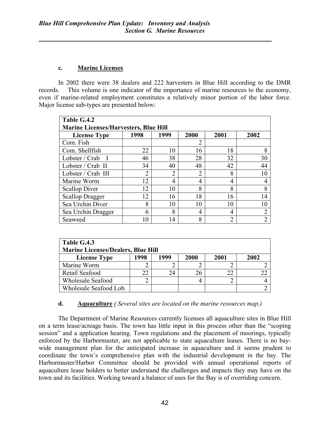# c. Marine Licenses

In 2002 there were 38 dealers and 222 harvesters in Blue Hill according to the DMR records. This volume is one indicator of the importance of marine resources to the economy, even if marine-related employment constitutes a relatively minor portion of the labor force. Major license sub-types are presented below:

| Table G.4.2                                  |               |                |                |                |                |  |  |  |  |
|----------------------------------------------|---------------|----------------|----------------|----------------|----------------|--|--|--|--|
| <b>Marine Licenses/Harvesters, Blue Hill</b> |               |                |                |                |                |  |  |  |  |
| <b>License Type</b>                          | 1998          | 1999           | 2000           | 2001           | 2002           |  |  |  |  |
| Com. Fish                                    |               |                | 2              |                |                |  |  |  |  |
| Com. Shellfish                               | 22            | 10             | 16             | 18             |                |  |  |  |  |
| Lobster / Crab                               | 46            | 38             | 28             | 32             | 30             |  |  |  |  |
| Lobster / Crab II                            | 34            | 40             | 48             | 42             | 44             |  |  |  |  |
| Lobster / Crab III                           | $\mathcal{D}$ | $\overline{2}$ | $\overline{2}$ | 8              | 10             |  |  |  |  |
| Marine Worm                                  | 12            | 4              | 4              | 4              |                |  |  |  |  |
| <b>Scallop Diver</b>                         | 12            | 10             | 8              | 8              | 8              |  |  |  |  |
| <b>Scallop Dragger</b>                       | 12            | 16             | 18             | 16             | 14             |  |  |  |  |
| Sea Urchin Diver                             | 8             | 10             | 10             | 10             | 10             |  |  |  |  |
| Sea Urchin Dragger                           | 6             | 8              | 4              | 4              | $\overline{2}$ |  |  |  |  |
| Seaweed                                      | 10            | 14             | 8              | $\overline{2}$ |                |  |  |  |  |

| Table G.4.3                               |      |      |      |      |      |  |  |  |
|-------------------------------------------|------|------|------|------|------|--|--|--|
| <b>Marine Licenses/Dealers, Blue Hill</b> |      |      |      |      |      |  |  |  |
| <b>License Type</b>                       | 1998 | 1999 | 2000 | 2001 | 2002 |  |  |  |
| Marine Worm                               |      |      |      |      |      |  |  |  |
| Retail Seafood                            | 22   | 24   |      | 22   | 22   |  |  |  |
| <b>Wholesale Seafood</b>                  |      |      |      |      |      |  |  |  |
| Wholesale Seafood Lob.                    |      |      |      |      |      |  |  |  |

# **d.** Aquaculture ( Several sites are located on the marine resources map.)

The Department of Marine Resources currently licenses all aquaculture sites in Blue Hill on a term lease/acreage basis. The town has little input in this process other than the "scoping session" and a application hearing. Town regulations and the placement of moorings, typically enforced by the Harbormaster, are not applicable to state aquaculture leases. There is no baywide management plan for the anticipated increase in aquaculture and it seems prudent to coordinate the town's comprehensive plan with the industrial development in the bay. The Harbormaster/Harbor Committee should be provided with annual operational reports of aquaculture lease holders to better understand the challenges and impacts they may have on the town and its facilities. Working toward a balance of uses for the Bay is of overriding concern.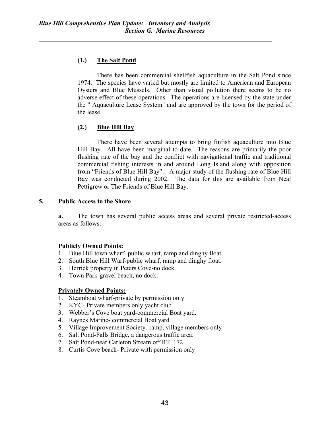# (1.) The Salt Pond

 There has been commercial shellfish aquaculture in the Salt Pond since 1974. The species have varied but mostly are limited to American and European Oysters and Blue Mussels. Other than visual pollution there seems to be no adverse effect of these operations. The operations are licensed by the state under the " Aquaculture Lease System" and are approved by the town for the period of the lease.

# (2.) Blue Hill Bay

 There have been several attempts to bring finfish aquaculture into Blue Hill Bay. All have been marginal to date. The reasons are primarily the poor flushing rate of the bay and the conflict with navigational traffic and traditional commercial fishing interests in and around Long Island along with opposition from "Friends of Blue Hill Bay". A major study of the flushing rate of Blue Hill Bay was conducted during 2002. The data for this are available from Neal Pettigrew or The Friends of Blue Hill Bay.

# 5. Public Access to the Shore

a. The town has several public access areas and several private restricted-access areas as follows:

# Publicly Owned Points:

- 1. Blue Hill town wharf- public wharf, ramp and dinghy float.
- 2. South Blue Hill Warf-public wharf, ramp and dinghy float.
- 3. Herrick property in Peters Cove-no dock.
- 4. Town Park-gravel beach, no dock.

# Privately Owned Points:

- 1. Steamboat wharf-private by permission only
- 2. KYC- Private members only yacht club
- 3. Webber's Cove boat yard-commercial Boat yard.
- 4. Raynes Marine- commercial Boat yard
- 5. Village Improvement Society.-ramp, village members only
- 6. Salt Pond-Falls Bridge, a dangerous traffic area.
- 7. Salt Pond-near Carleton Stream off RT. 172
- 8. Curtis Cove beach- Private with permission only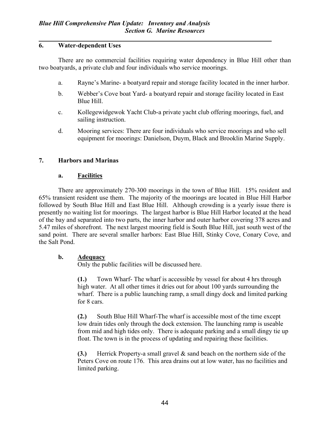# 6. Water-dependent Uses

There are no commercial facilities requiring water dependency in Blue Hill other than two boatyards, a private club and four individuals who service moorings.

- a. Rayne's Marine- a boatyard repair and storage facility located in the inner harbor.
- b. Webber's Cove boat Yard- a boatyard repair and storage facility located in East Blue Hill.
- c. Kollegewidgewok Yacht Club-a private yacht club offering moorings, fuel, and sailing instruction.
- d. Mooring services: There are four individuals who service moorings and who sell equipment for moorings: Danielson, Duym, Black and Brooklin Marine Supply.

# 7. Harbors and Marinas

# a. Facilities

There are approximately 270-300 moorings in the town of Blue Hill. 15% resident and 65% transient resident use them. The majority of the moorings are located in Blue Hill Harbor followed by South Blue Hill and East Blue Hill. Although crowding is a yearly issue there is presently no waiting list for moorings. The largest harbor is Blue Hill Harbor located at the head of the bay and separated into two parts, the inner harbor and outer harbor covering 378 acres and 5.47 miles of shorefront. The next largest mooring field is South Blue Hill, just south west of the sand point. There are several smaller harbors: East Blue Hill, Stinky Cove, Conary Cove, and the Salt Pond.

# b. Adequacy

Only the public facilities will be discussed here.

(1.) Town Wharf- The wharf is accessible by vessel for about 4 hrs through high water. At all other times it dries out for about 100 yards surrounding the wharf. There is a public launching ramp, a small dingy dock and limited parking for 8 cars.

(2.) South Blue Hill Wharf-The wharf is accessible most of the time except low drain tides only through the dock extension. The launching ramp is useable from mid and high tides only. There is adequate parking and a small dingy tie up float. The town is in the process of updating and repairing these facilities.

(3.) Herrick Property-a small gravel & sand beach on the northern side of the Peters Cove on route 176. This area drains out at low water, has no facilities and limited parking.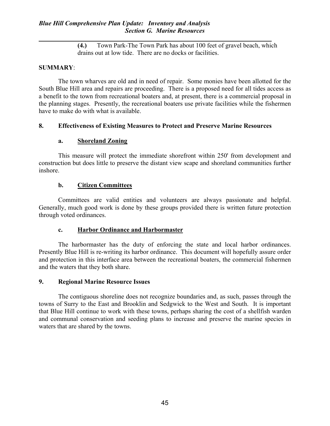(4.) Town Park-The Town Park has about 100 feet of gravel beach, which drains out at low tide. There are no docks or facilities.

## SUMMARY:

The town wharves are old and in need of repair. Some monies have been allotted for the South Blue Hill area and repairs are proceeding. There is a proposed need for all tides access as a benefit to the town from recreational boaters and, at present, there is a commercial proposal in the planning stages. Presently, the recreational boaters use private facilities while the fishermen have to make do with what is available.

## 8. Effectiveness of Existing Measures to Protect and Preserve Marine Resources

## a. Shoreland Zoning

This measure will protect the immediate shorefront within 250' from development and construction but does little to preserve the distant view scape and shoreland communities further inshore.

## b. Citizen Committees

Committees are valid entities and volunteers are always passionate and helpful. Generally, much good work is done by these groups provided there is written future protection through voted ordinances.

### c. Harbor Ordinance and Harbormaster

The harbormaster has the duty of enforcing the state and local harbor ordinances. Presently Blue Hill is re-writing its harbor ordinance. This document will hopefully assure order and protection in this interface area between the recreational boaters, the commercial fishermen and the waters that they both share.

### 9. Regional Marine Resource Issues

The contiguous shoreline does not recognize boundaries and, as such, passes through the towns of Surry to the East and Brooklin and Sedgwick to the West and South. It is important that Blue Hill continue to work with these towns, perhaps sharing the cost of a shellfish warden and communal conservation and seeding plans to increase and preserve the marine species in waters that are shared by the towns.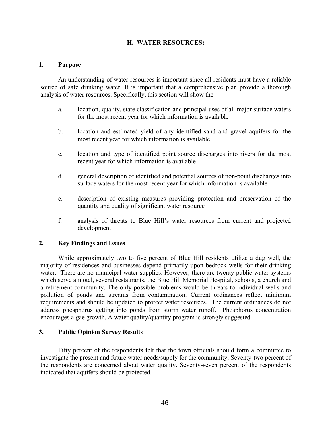## H. WATER RESOURCES:

#### 1. Purpose

 An understanding of water resources is important since all residents must have a reliable source of safe drinking water. It is important that a comprehensive plan provide a thorough analysis of water resources. Specifically, this section will show the

- a. location, quality, state classification and principal uses of all major surface waters for the most recent year for which information is available
- b. location and estimated yield of any identified sand and gravel aquifers for the most recent year for which information is available
- c. location and type of identified point source discharges into rivers for the most recent year for which information is available
- d. general description of identified and potential sources of non-point discharges into surface waters for the most recent year for which information is available
- e. description of existing measures providing protection and preservation of the quantity and quality of significant water resource
- f. analysis of threats to Blue Hill's water resources from current and projected development

### 2. Key Findings and Issues

 While approximately two to five percent of Blue Hill residents utilize a dug well, the majority of residences and businesses depend primarily upon bedrock wells for their drinking water. There are no municipal water supplies. However, there are twenty public water systems which serve a motel, several restaurants, the Blue Hill Memorial Hospital, schools, a church and a retirement community. The only possible problems would be threats to individual wells and pollution of ponds and streams from contamination. Current ordinances reflect minimum requirements and should be updated to protect water resources. The current ordinances do not address phosphorus getting into ponds from storm water runoff. Phosphorus concentration encourages algae growth. A water quality/quantity program is strongly suggested.

### 3. Public Opinion Survey Results

 Fifty percent of the respondents felt that the town officials should form a committee to investigate the present and future water needs/supply for the community. Seventy-two percent of the respondents are concerned about water quality. Seventy-seven percent of the respondents indicated that aquifers should be protected.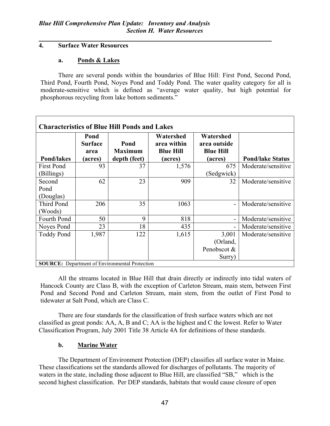# 4. Surface Water Resources

## a. Ponds & Lakes

 There are several ponds within the boundaries of Blue Hill: First Pond, Second Pond, Third Pond, Fourth Pond, Noyes Pond and Toddy Pond. The water quality category for all is moderate-sensitive which is defined as "average water quality, but high potential for phosphorous recycling from lake bottom sediments."

| <b>Characteristics of Blue Hill Ponds and Lakes</b> |                                           |                                                       |                                                         |                                                          |                         |  |  |  |  |
|-----------------------------------------------------|-------------------------------------------|-------------------------------------------------------|---------------------------------------------------------|----------------------------------------------------------|-------------------------|--|--|--|--|
| <b>Pond/lakes</b>                                   | Pond<br><b>Surface</b><br>area<br>(acres) | Pond<br><b>Maximum</b><br>depth (feet)                | Watershed<br>area within<br><b>Blue Hill</b><br>(acres) | Watershed<br>area outside<br><b>Blue Hill</b><br>(acres) | <b>Pond/lake Status</b> |  |  |  |  |
| <b>First Pond</b>                                   | 93                                        | 37                                                    | 1,576                                                   | 675                                                      | Moderate/sensitive      |  |  |  |  |
| (Billings)                                          |                                           |                                                       |                                                         | (Sedgwick)                                               |                         |  |  |  |  |
| Second                                              | 62                                        | 23                                                    | 909                                                     | 32                                                       | Moderate/sensitive      |  |  |  |  |
| Pond                                                |                                           |                                                       |                                                         |                                                          |                         |  |  |  |  |
| (Douglas)                                           |                                           |                                                       |                                                         |                                                          |                         |  |  |  |  |
| Third Pond                                          | 206                                       | 35                                                    | 1063                                                    |                                                          | Moderate/sensitive      |  |  |  |  |
| (Woods)                                             |                                           |                                                       |                                                         |                                                          |                         |  |  |  |  |
| <b>Fourth Pond</b>                                  | 50                                        | 9                                                     | 818                                                     |                                                          | Moderate/sensitive      |  |  |  |  |
| Noyes Pond                                          | 23                                        | 18                                                    | 435                                                     |                                                          | Moderate/sensitive      |  |  |  |  |
| <b>Toddy Pond</b>                                   | 1,987                                     | 122                                                   | 1,615                                                   | 3,001                                                    | Moderate/sensitive      |  |  |  |  |
|                                                     |                                           |                                                       |                                                         | (Orland,                                                 |                         |  |  |  |  |
|                                                     |                                           |                                                       |                                                         | Penobscot &                                              |                         |  |  |  |  |
|                                                     |                                           |                                                       |                                                         | Surry)                                                   |                         |  |  |  |  |
|                                                     |                                           | <b>SOURCE:</b> Department of Environmental Protection |                                                         |                                                          |                         |  |  |  |  |

 All the streams located in Blue Hill that drain directly or indirectly into tidal waters of Hancock County are Class B, with the exception of Carleton Stream, main stem, between First Pond and Second Pond and Carleton Stream, main stem, from the outlet of First Pond to tidewater at Salt Pond, which are Class C.

 There are four standards for the classification of fresh surface waters which are not classified as great ponds: AA, A, B and C; AA is the highest and C the lowest. Refer to Water Classification Program, July 2001 Title 38 Article 4A for definitions of these standards.

# b. Marine Water

 The Department of Environment Protection (DEP) classifies all surface water in Maine. These classifications set the standards allowed for discharges of pollutants. The majority of waters in the state, including those adjacent to Blue Hill, are classified "SB," which is the second highest classification. Per DEP standards, habitats that would cause closure of open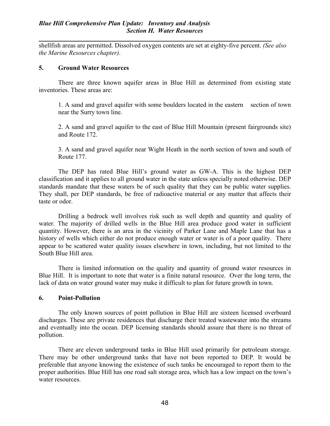shellfish areas are permitted. Dissolved oxygen contents are set at eighty-five percent. (See also the Marine Resources chapter).

### 5. Ground Water Resources

 There are three known aquifer areas in Blue Hill as determined from existing state inventories. These areas are:

1. A sand and gravel aquifer with some boulders located in the eastern section of town near the Surry town line.

2. A sand and gravel aquifer to the east of Blue Hill Mountain (present fairgrounds site) and Route 172.

3. A sand and gravel aquifer near Wight Heath in the north section of town and south of Route 177.

 The DEP has rated Blue Hill's ground water as GW-A. This is the highest DEP classification and it applies to all ground water in the state unless specially noted otherwise. DEP standards mandate that these waters be of such quality that they can be public water supplies. They shall, per DEP standards, be free of radioactive material or any matter that affects their taste or odor.

 Drilling a bedrock well involves risk such as well depth and quantity and quality of water. The majority of drilled wells in the Blue Hill area produce good water in sufficient quantity. However, there is an area in the vicinity of Parker Lane and Maple Lane that has a history of wells which either do not produce enough water or water is of a poor quality. There appear to be scattered water quality issues elsewhere in town, including, but not limited to the South Blue Hill area.

There is limited information on the quality and quantity of ground water resources in Blue Hill. It is important to note that water is a finite natural resource. Over the long term, the lack of data on water ground water may make it difficult to plan for future growth in town.

### 6. Point-Pollution

 The only known sources of point pollution in Blue Hill are sixteen licensed overboard discharges. These are private residences that discharge their treated wastewater into the streams and eventually into the ocean. DEP licensing standards should assure that there is no threat of pollution.

 There are eleven underground tanks in Blue Hill used primarily for petroleum storage. There may be other underground tanks that have not been reported to DEP. It would be preferable that anyone knowing the existence of such tanks be encouraged to report them to the proper authorities. Blue Hill has one road salt storage area, which has a low impact on the town's water resources.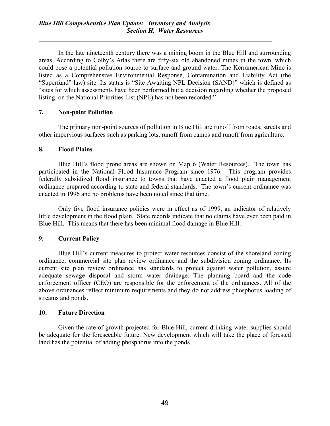In the late nineteenth century there was a mining boom in the Blue Hill and surrounding areas. According to Colby's Atlas there are fifty-six old abandoned mines in the town, which could pose a potential pollution source to surface and ground water. The Kerramerican Mine is listed as a Comprehensive Environmental Response, Contamination and Liability Act (the "Superfund" law) site. Its status is "Site Awaiting NPL Decision (SAND)" which is defined as "sites for which assessments have been performed but a decision regarding whether the proposed listing on the National Priorities List (NPL) has not been recorded."

# 7. Non-point Pollution

 The primary non-point sources of pollution in Blue Hill are runoff from roads, streets and other impervious surfaces such as parking lots, runoff from camps and runoff from agriculture.

# 8. Flood Plains

 Blue Hill's flood prone areas are shown on Map 6 (Water Resources). The town has participated in the National Flood Insurance Program since 1976. This program provides federally subsidized flood insurance to towns that have enacted a flood plain management ordinance prepared according to state and federal standards. The town's current ordinance was enacted in 1996 and no problems have been noted since that time.

 Only five flood insurance policies were in effect as of 1999, an indicator of relatively little development in the flood plain. State records indicate that no claims have ever been paid in Blue Hill. This means that there has been minimal flood damage in Blue Hill.

# 9. Current Policy

 Blue Hill's current measures to protect water resources consist of the shoreland zoning ordinance, commercial site plan review ordinance and the subdivision zoning ordinance. Its current site plan review ordinance has standards to protect against water pollution, assure adequate sewage disposal and storm water drainage. The planning board and the code enforcement officer (CEO) are responsible for the enforcement of the ordinances. All of the above ordinances reflect minimum requirements and they do not address phosphorus loading of streams and ponds.

# 10. Future Direction

 Given the rate of growth projected for Blue Hill, current drinking water supplies should be adequate for the foreseeable future. New development which will take the place of forested land has the potential of adding phosphorus into the ponds.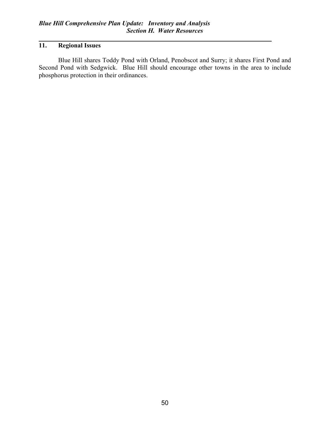# 11. Regional Issues

 Blue Hill shares Toddy Pond with Orland, Penobscot and Surry; it shares First Pond and Second Pond with Sedgwick. Blue Hill should encourage other towns in the area to include phosphorus protection in their ordinances.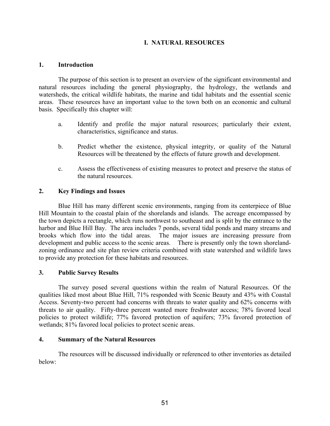# I. NATURAL RESOURCES

## 1. Introduction

 The purpose of this section is to present an overview of the significant environmental and natural resources including the general physiography, the hydrology, the wetlands and watersheds, the critical wildlife habitats, the marine and tidal habitats and the essential scenic areas. These resources have an important value to the town both on an economic and cultural basis. Specifically this chapter will:

- a. Identify and profile the major natural resources; particularly their extent, characteristics, significance and status.
- b. Predict whether the existence, physical integrity, or quality of the Natural Resources will be threatened by the effects of future growth and development.
- c. Assess the effectiveness of existing measures to protect and preserve the status of the natural resources.

# 2. Key Findings and Issues

Blue Hill has many different scenic environments, ranging from its centerpiece of Blue Hill Mountain to the coastal plain of the shorelands and islands. The acreage encompassed by the town depicts a rectangle, which runs northwest to southeast and is split by the entrance to the harbor and Blue Hill Bay. The area includes 7 ponds, several tidal ponds and many streams and brooks which flow into the tidal areas. The major issues are increasing pressure from development and public access to the scenic areas. There is presently only the town shorelandzoning ordinance and site plan review criteria combined with state watershed and wildlife laws to provide any protection for these habitats and resources.

# 3. Public Survey Results

The survey posed several questions within the realm of Natural Resources. Of the qualities liked most about Blue Hill, 71% responded with Scenic Beauty and 43% with Coastal Access. Seventy-two percent had concerns with threats to water quality and 62% concerns with threats to air quality. Fifty-three percent wanted more freshwater access; 78% favored local policies to protect wildlife; 77% favored protection of aquifers; 73% favored protection of wetlands; 81% favored local policies to protect scenic areas.

### 4. Summary of the Natural Resources

The resources will be discussed individually or referenced to other inventories as detailed below: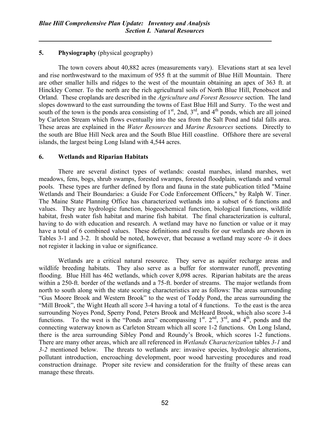# 5. Physiography (physical geography)

The town covers about 40,882 acres (measurements vary). Elevations start at sea level and rise northwestward to the maximum of 955 ft at the summit of Blue Hill Mountain. There are other smaller hills and ridges to the west of the mountain obtaining an apex of 363 ft. at Hinckley Corner. To the north are the rich agricultural soils of North Blue Hill, Penobscot and Orland. These croplands are described in the Agriculture and Forest Resource section. The land slopes downward to the east surrounding the towns of East Blue Hill and Surry. To the west and south of the town is the ponds area consisting of  $1<sup>st</sup>$ , 2nd,  $3<sup>rd</sup>$ , and  $4<sup>th</sup>$  ponds, which are all joined by Carleton Stream which flows eventually into the sea from the Salt Pond and tidal falls area. These areas are explained in the Water Resources and Marine Resources sections. Directly to the south are Blue Hill Neck area and the South Blue Hill coastline. Offshore there are several islands, the largest being Long Island with 4,544 acres.

## 6. Wetlands and Riparian Habitats

There are several distinct types of wetlands: coastal marshes, inland marshes, wet meadows, fens, bogs, shrub swamps, forested swamps, forested floodplain, wetlands and vernal pools. These types are further defined by flora and fauna in the state publication titled "Maine Wetlands and Their Boundaries: a Guide For Code Enforcement Officers," by Ralph W. Tiner. The Maine State Planning Office has characterized wetlands into a subset of 6 functions and values. They are hydrologic function, biogeochemical function, biological functions, wildlife habitat, fresh water fish habitat and marine fish habitat. The final characterization is cultural, having to do with education and research. A wetland may have no function or value or it may have a total of 6 combined values. These definitions and results for our wetlands are shown in Tables 3-1 and 3-2. It should be noted, however, that because a wetland may score -0- it does not register it lacking in value or significance.

Wetlands are a critical natural resource. They serve as aquifer recharge areas and wildlife breeding habitats. They also serve as a buffer for stormwater runoff, preventing flooding. Blue Hill has 462 wetlands, which cover 8,098 acres. Riparian habitats are the areas within a 250-ft. border of the wetlands and a 75-ft. border of streams. The major wetlands from north to south along with the state scoring characteristics are as follows: The areas surrounding "Gus Moore Brook and Western Brook" to the west of Toddy Pond, the areas surrounding the "Mill Brook", the Wight Heath all score 3-4 having a total of 4 functions. To the east is the area surrounding Noyes Pond, Sperry Pond, Peters Brook and McHeard Brook, which also score 3-4 functions. To the west is the "Ponds area" encompassing  $1<sup>st</sup>$ .  $2<sup>nd</sup>$ ,  $3<sup>rd</sup>$ , and  $4<sup>th</sup>$ , ponds and the connecting waterway known as Carleton Stream which all score 1-2 functions. On Long Island, there is the area surrounding Sibley Pond and Roundy's Brook, which scores 1-2 functions. There are many other areas, which are all referenced in Wetlands Characterization tables 3-1 and 3-2 mentioned below. The threats to wetlands are: invasive species, hydrologic alterations, pollutant introduction, encroaching development, poor wood harvesting procedures and road construction drainage. Proper site review and consideration for the frailty of these areas can manage these threats.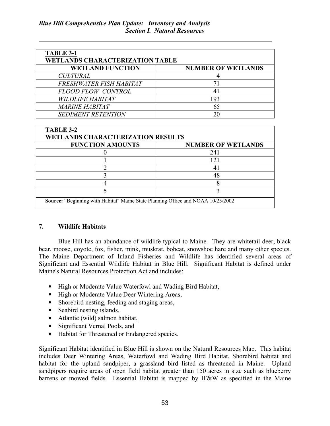| <b>TABLE 3-1</b><br><b>WETLANDS CHARACTERIZATION TABLE</b> |                           |  |  |  |  |
|------------------------------------------------------------|---------------------------|--|--|--|--|
| <b>WETLAND FUNCTION</b>                                    | <b>NUMBER OF WETLANDS</b> |  |  |  |  |
| <b>CULTURAL</b>                                            |                           |  |  |  |  |
| FRESHWATER FISH HABITAT                                    | 71                        |  |  |  |  |
| <b>FLOOD FLOW CONTROL</b>                                  |                           |  |  |  |  |
| <b>WILDLIFE HABITAT</b>                                    | 193                       |  |  |  |  |
| <i><b>MARINE HABITAT</b></i>                               | 65                        |  |  |  |  |
| <b>SEDIMENT RETENTION</b>                                  |                           |  |  |  |  |

| TABLE 3-2<br><b>WETLANDS CHARACTERIZATION RESULTS</b>                            |                           |  |  |  |
|----------------------------------------------------------------------------------|---------------------------|--|--|--|
| <b>FUNCTION AMOUNTS</b>                                                          | <b>NUMBER OF WETLANDS</b> |  |  |  |
|                                                                                  | 241                       |  |  |  |
|                                                                                  | 121                       |  |  |  |
|                                                                                  |                           |  |  |  |
|                                                                                  |                           |  |  |  |
|                                                                                  |                           |  |  |  |
|                                                                                  |                           |  |  |  |
| Source: "Beginning with Habitat" Maine State Planning Office and NOAA 10/25/2002 |                           |  |  |  |

# 7. Wildlife Habitats

 Blue Hill has an abundance of wildlife typical to Maine. They are whitetail deer, black bear, moose, coyote, fox, fisher, mink, muskrat, bobcat, snowshoe hare and many other species. The Maine Department of Inland Fisheries and Wildlife has identified several areas of Significant and Essential Wildlife Habitat in Blue Hill. Significant Habitat is defined under Maine's Natural Resources Protection Act and includes:

- High or Moderate Value Waterfowl and Wading Bird Habitat,
- High or Moderate Value Deer Wintering Areas,
- Shorebird nesting, feeding and staging areas,
- Seabird nesting islands,
- Atlantic (wild) salmon habitat,
- Significant Vernal Pools, and
- Habitat for Threatened or Endangered species.

Significant Habitat identified in Blue Hill is shown on the Natural Resources Map. This habitat includes Deer Wintering Areas, Waterfowl and Wading Bird Habitat, Shorebird habitat and habitat for the upland sandpiper, a grassland bird listed as threatened in Maine. Upland sandpipers require areas of open field habitat greater than 150 acres in size such as blueberry barrens or mowed fields. Essential Habitat is mapped by IF&W as specified in the Maine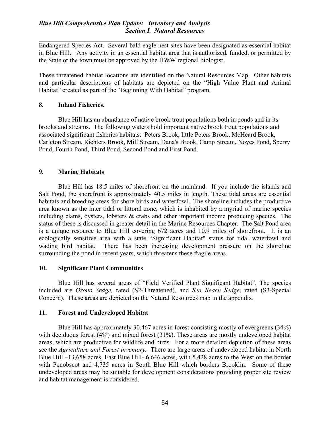Endangered Species Act. Several bald eagle nest sites have been designated as essential habitat in Blue Hill. Any activity in an essential habitat area that is authorized, funded, or permitted by the State or the town must be approved by the IF&W regional biologist.

These threatened habitat locations are identified on the Natural Resources Map. Other habitats and particular descriptions of habitats are depicted on the "High Value Plant and Animal Habitat" created as part of the "Beginning With Habitat" program.

## 8. Inland Fisheries.

Blue Hill has an abundance of native brook trout populations both in ponds and in its brooks and streams. The following waters hold important native brook trout populations and associated significant fisheries habitats: Peters Brook, little Peters Brook, McHeard Brook, Carleton Stream, Richters Brook, Mill Stream, Dana's Brook, Camp Stream, Noyes Pond, Sperry Pond, Fourth Pond, Third Pond, Second Pond and First Pond.

# 9. Marine Habitats

 Blue Hill has 18.5 miles of shorefront on the mainland. If you include the islands and Salt Pond, the shorefront is approximately 40.5 miles in length. These tidal areas are essential habitats and breeding areas for shore birds and waterfowl. The shoreline includes the productive area known as the inter tidal or littoral zone, which is inhabited by a myriad of marine species including clams, oysters, lobsters & crabs and other important income producing species. The status of these is discussed in greater detail in the Marine Resources Chapter. The Salt Pond area is a unique resource to Blue Hill covering 672 acres and 10.9 miles of shorefront. It is an ecologically sensitive area with a state "Significant Habitat" status for tidal waterfowl and wading bird habitat. There has been increasing development pressure on the shoreline surrounding the pond in recent years, which threatens these fragile areas.

### 10. Significant Plant Communities

 Blue Hill has several areas of "Field Verified Plant Significant Habitat". The species included are Orono Sedge, rated (S2-Threatened), and Sea Beach Sedge, rated (S3-Special Concern). These areas are depicted on the Natural Resources map in the appendix.

### 11. Forest and Undeveloped Habitat

 Blue Hill has approximately 30,467 acres in forest consisting mostly of evergreens (34%) with deciduous forest (4%) and mixed forest (31%). These areas are mostly undeveloped habitat areas, which are productive for wildlife and birds. For a more detailed depiction of these areas see the *Agriculture and Forest inventory*. There are large areas of undeveloped habitat in North Blue Hill –13,658 acres, East Blue Hill- 6,646 acres, with 5,428 acres to the West on the border with Penobscot and 4,735 acres in South Blue Hill which borders Brooklin. Some of these undeveloped areas may be suitable for development considerations providing proper site review and habitat management is considered.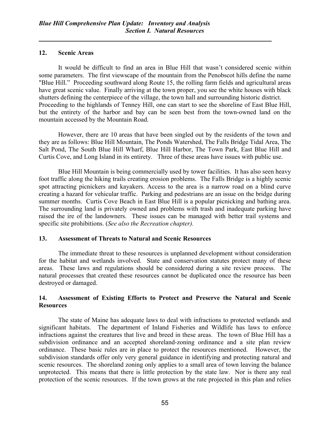## 12. Scenic Areas

 It would be difficult to find an area in Blue Hill that wasn't considered scenic within some parameters. The first viewscape of the mountain from the Penobscot hills define the name "Blue Hill." Proceeding southward along Route 15, the rolling farm fields and agricultural areas have great scenic value. Finally arriving at the town proper, you see the white houses with black shutters defining the centerpiece of the village, the town hall and surrounding historic district. Proceeding to the highlands of Tenney Hill, one can start to see the shoreline of East Blue Hill, but the entirety of the harbor and bay can be seen best from the town-owned land on the mountain accessed by the Mountain Road.

 However, there are 10 areas that have been singled out by the residents of the town and they are as follows: Blue Hill Mountain, The Ponds Watershed, The Falls Bridge Tidal Area, The Salt Pond, The South Blue Hill Wharf, Blue Hill Harbor, The Town Park, East Blue Hill and Curtis Cove, and Long Island in its entirety. Three of these areas have issues with public use.

Blue Hill Mountain is being commercially used by tower facilities. It has also seen heavy foot traffic along the hiking trails creating erosion problems. The Falls Bridge is a highly scenic spot attracting picnickers and kayakers. Access to the area is a narrow road on a blind curve creating a hazard for vehicular traffic. Parking and pedestrians are an issue on the bridge during summer months. Curtis Cove Beach in East Blue Hill is a popular picnicking and bathing area. The surrounding land is privately owned and problems with trash and inadequate parking have raised the ire of the landowners. These issues can be managed with better trail systems and specific site prohibitions. (See also the Recreation chapter).

# 13. Assessment of Threats to Natural and Scenic Resources

 The immediate threat to these resources is unplanned development without consideration for the habitat and wetlands involved. State and conservation statutes protect many of these areas. These laws and regulations should be considered during a site review process. The natural processes that created these resources cannot be duplicated once the resource has been destroyed or damaged.

# 14. Assessment of Existing Efforts to Protect and Preserve the Natural and Scenic **Resources**

 The state of Maine has adequate laws to deal with infractions to protected wetlands and significant habitats. The department of Inland Fisheries and Wildlife has laws to enforce infractions against the creatures that live and breed in these areas. The town of Blue Hill has a subdivision ordinance and an accepted shoreland-zoning ordinance and a site plan review ordinance. These basic rules are in place to protect the resources mentioned. However, the subdivision standards offer only very general guidance in identifying and protecting natural and scenic resources. The shoreland zoning only applies to a small area of town leaving the balance unprotected. This means that there is little protection by the state law. Nor is there any real protection of the scenic resources. If the town grows at the rate projected in this plan and relies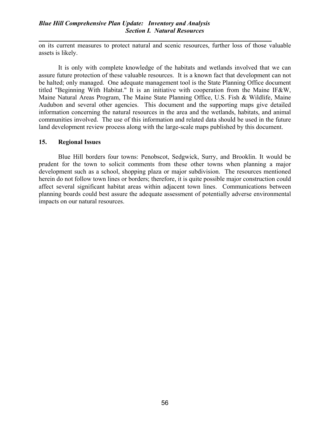## Blue Hill Comprehensive Plan Update: Inventory and Analysis Section I. Natural Resources

on its current measures to protect natural and scenic resources, further loss of those valuable assets is likely.

 It is only with complete knowledge of the habitats and wetlands involved that we can assure future protection of these valuable resources. It is a known fact that development can not be halted; only managed. One adequate management tool is the State Planning Office document titled "Beginning With Habitat." It is an initiative with cooperation from the Maine IF&W, Maine Natural Areas Program, The Maine State Planning Office, U.S. Fish & Wildlife, Maine Audubon and several other agencies. This document and the supporting maps give detailed information concerning the natural resources in the area and the wetlands, habitats, and animal communities involved. The use of this information and related data should be used in the future land development review process along with the large-scale maps published by this document.

### 15. Regional Issues

 Blue Hill borders four towns: Penobscot, Sedgwick, Surry, and Brooklin. It would be prudent for the town to solicit comments from these other towns when planning a major development such as a school, shopping plaza or major subdivision. The resources mentioned herein do not follow town lines or borders; therefore, it is quite possible major construction could affect several significant habitat areas within adjacent town lines. Communications between planning boards could best assure the adequate assessment of potentially adverse environmental impacts on our natural resources.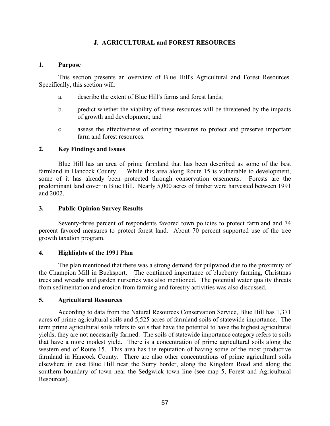# J. AGRICULTURAL and FOREST RESOURCES

## 1. Purpose

 This section presents an overview of Blue Hill's Agricultural and Forest Resources. Specifically, this section will:

- a. describe the extent of Blue Hill's farms and forest lands;
- b. predict whether the viability of these resources will be threatened by the impacts of growth and development; and
- c. assess the effectiveness of existing measures to protect and preserve important farm and forest resources.

## 2. Key Findings and Issues

Blue Hill has an area of prime farmland that has been described as some of the best farmland in Hancock County. While this area along Route 15 is vulnerable to development, some of it has already been protected through conservation easements. Forests are the predominant land cover in Blue Hill. Nearly 5,000 acres of timber were harvested between 1991 and 2002.

## 3. Public Opinion Survey Results

Seventy-three percent of respondents favored town policies to protect farmland and 74 percent favored measures to protect forest land. About 70 percent supported use of the tree growth taxation program.

# 4. Highlights of the 1991 Plan

The plan mentioned that there was a strong demand for pulpwood due to the proximity of the Champion Mill in Bucksport. The continued importance of blueberry farming, Christmas trees and wreaths and garden nurseries was also mentioned. The potential water quality threats from sedimentation and erosion from farming and forestry activities was also discussed.

### 5. Agricultural Resources

According to data from the Natural Resources Conservation Service, Blue Hill has 1,371 acres of prime agricultural soils and 5,525 acres of farmland soils of statewide importance. The term prime agricultural soils refers to soils that have the potential to have the highest agricultural yields, they are not necessarily farmed. The soils of statewide importance category refers to soils that have a more modest yield. There is a concentration of prime agricultural soils along the western end of Route 15. This area has the reputation of having some of the most productive farmland in Hancock County. There are also other concentrations of prime agricultural soils elsewhere in east Blue Hill near the Surry border, along the Kingdom Road and along the southern boundary of town near the Sedgwick town line (see map 5, Forest and Agricultural Resources).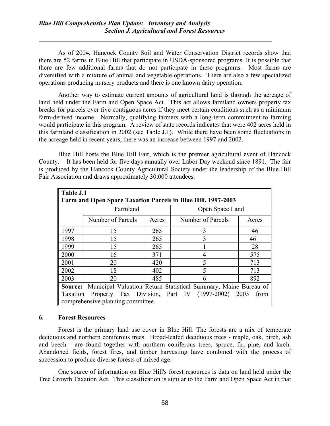As of 2004, Hancock County Soil and Water Conservation District records show that there are 52 farms in Blue Hill that participate in USDA-sponsored programs. It is possible that there are few additional farms that do not participate in these programs. Most farms are diversified with a mixture of animal and vegetable operations. There are also a few specialized operations producing nursery products and there is one known dairy operation.

Another way to estimate current amounts of agricultural land is through the acreage of land held under the Farm and Open Space Act. This act allows farmland owners property tax breaks for parcels over five contiguous acres if they meet certain conditions such as a minimum farm-derived income. Normally, qualifying farmers with a long-term commitment to farming would participate in this program. A review of state records indicates that were 402 acres held in this farmland classification in 2002 (see Table J.1). While there have been some fluctuations in the acreage held in recent years, there was an increase between 1997 and 2002.

 Blue Hill hosts the Blue Hill Fair, which is the premier agricultural event of Hancock County. It has been held for five days annually over Labor Day weekend since 1891. The fair is produced by the Hancock County Agricultural Society under the leadership of the Blue Hill Fair Association and draws approximately 30,000 attendees.

| Table J.1                                                                  |                   |       |                   |       |  |  |
|----------------------------------------------------------------------------|-------------------|-------|-------------------|-------|--|--|
| Farm and Open Space Taxation Parcels in Blue Hill, 1997-2003               |                   |       |                   |       |  |  |
|                                                                            | Farmland          |       | Open Space Land   |       |  |  |
|                                                                            | Number of Parcels | Acres | Number of Parcels | Acres |  |  |
| 1997                                                                       | 15                | 265   | 3                 | 46    |  |  |
| 1998                                                                       | 15                | 265   | 3                 | 46    |  |  |
| 1999                                                                       | 15                | 265   |                   | 28    |  |  |
| 2000                                                                       | 16                | 371   | 4                 | 575   |  |  |
| 2001                                                                       | 20                | 420   |                   | 713   |  |  |
| 2002                                                                       | 18                | 402   |                   | 713   |  |  |
| 2003                                                                       | 20                | 485   |                   | 892   |  |  |
| Municipal Valuation Return Statistical Summary, Maine Bureau of<br>Source: |                   |       |                   |       |  |  |
| Property Tax Division, Part IV (1997-2002)<br>2003<br>Taxation<br>from     |                   |       |                   |       |  |  |
| comprehensive planning committee.                                          |                   |       |                   |       |  |  |

## 6. Forest Resources

 Forest is the primary land use cover in Blue Hill. The forests are a mix of temperate deciduous and northern coniferous trees. Broad-leafed deciduous trees - maple, oak, birch, ash and beech - are found together with northern coniferous trees, spruce, fir, pine, and larch. Abandoned fields, forest fires, and timber harvesting have combined with the process of succession to produce diverse forests of mixed age.

 One source of information on Blue Hill's forest resources is data on land held under the Tree Growth Taxation Act. This classification is similar to the Farm and Open Space Act in that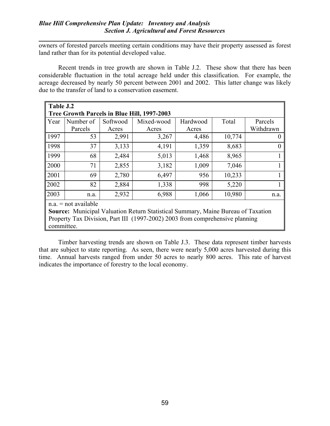owners of forested parcels meeting certain conditions may have their property assessed as forest land rather than for its potential developed value.

Recent trends in tree growth are shown in Table J.2. These show that there has been considerable fluctuation in the total acreage held under this classification. For example, the acreage decreased by nearly 50 percent between 2001 and 2002. This latter change was likely due to the transfer of land to a conservation easement.

| Table J.2                                   |           |          |            |          |        |           |
|---------------------------------------------|-----------|----------|------------|----------|--------|-----------|
| Tree Growth Parcels in Blue Hill, 1997-2003 |           |          |            |          |        |           |
| Year                                        | Number of | Softwood | Mixed-wood | Hardwood | Total  | Parcels   |
|                                             | Parcels   | Acres    | Acres      | Acres    |        | Withdrawn |
| 1997                                        | 53        | 2,991    | 3,267      | 4,486    | 10,774 | $\theta$  |
| 1998                                        | 37        | 3,133    | 4,191      | 1,359    | 8,683  | $\theta$  |
| 1999                                        | 68        | 2,484    | 5,013      | 1,468    | 8,965  |           |
| 2000                                        | 71        | 2,855    | 3,182      | 1,009    | 7,046  |           |
| 2001                                        | 69        | 2,780    | 6,497      | 956      | 10,233 |           |
| 2002                                        | 82        | 2,884    | 1,338      | 998      | 5,220  |           |
| 2003                                        | n.a.      | 2,932    | 6,988      | 1,066    | 10,980 | n.a.      |
| $\parallel$ n.a. = not available            |           |          |            |          |        |           |

Source: Municipal Valuation Return Statistical Summary, Maine Bureau of Taxation Property Tax Division, Part III (1997-2002) 2003 from comprehensive planning committee.

Timber harvesting trends are shown on Table J.3. These data represent timber harvests that are subject to state reporting. As seen, there were nearly 5,000 acres harvested during this time. Annual harvests ranged from under 50 acres to nearly 800 acres. This rate of harvest indicates the importance of forestry to the local economy.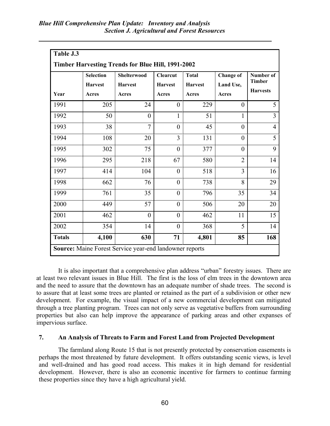|                                                         | Table J.3                                                |                    |                 |                |                  |                 |  |
|---------------------------------------------------------|----------------------------------------------------------|--------------------|-----------------|----------------|------------------|-----------------|--|
|                                                         | <b>Timber Harvesting Trends for Blue Hill, 1991-2002</b> |                    |                 |                |                  |                 |  |
|                                                         | <b>Selection</b>                                         | <b>Shelterwood</b> | <b>Clearcut</b> | <b>Total</b>   | <b>Change of</b> | Number of       |  |
|                                                         | <b>Harvest</b>                                           | <b>Harvest</b>     | <b>Harvest</b>  | <b>Harvest</b> | Land Use,        | <b>Timber</b>   |  |
| Year                                                    | Acres                                                    | Acres              | Acres           | Acres          | Acres            | <b>Harvests</b> |  |
| 1991                                                    | 205                                                      | 24                 | $\overline{0}$  | 229            | $\theta$         | 5               |  |
| 1992                                                    | 50                                                       | $\overline{0}$     | 1               | 51             | $\mathbf{1}$     | 3               |  |
| 1993                                                    | 38                                                       | $\overline{7}$     | $\theta$        | 45             | $\theta$         | $\overline{4}$  |  |
| 1994                                                    | 108                                                      | 20                 | 3               | 131            | $\theta$         | 5               |  |
| 1995                                                    | 302                                                      | 75                 | $\overline{0}$  | 377            | $\theta$         | 9               |  |
| 1996                                                    | 295                                                      | 218                | 67              | 580            | $\overline{2}$   | 14              |  |
| 1997                                                    | 414                                                      | 104                | $\overline{0}$  | 518            | 3                | 16              |  |
| 1998                                                    | 662                                                      | 76                 | $\theta$        | 738            | 8                | 29              |  |
| 1999                                                    | 761                                                      | 35                 | $\overline{0}$  | 796            | 35               | 34              |  |
| 2000                                                    | 449                                                      | 57                 | $\overline{0}$  | 506            | 20               | 20              |  |
| 2001                                                    | 462                                                      | $\theta$           | $\theta$        | 462            | 11               | 15              |  |
| 2002                                                    | 354                                                      | 14                 | $\overline{0}$  | 368            | 5                | 14              |  |
| <b>Totals</b>                                           | 4,100                                                    | 630                | 71              | 4,801          | 85               | 168             |  |
| Source: Maine Forest Service year-end landowner reports |                                                          |                    |                 |                |                  |                 |  |

It is also important that a comprehensive plan address "urban" forestry issues. There are at least two relevant issues in Blue Hill. The first is the loss of elm trees in the downtown area and the need to assure that the downtown has an adequate number of shade trees. The second is to assure that at least some trees are planted or retained as the part of a subdivision or other new development. For example, the visual impact of a new commercial development can mitigated through a tree planting program. Trees can not only serve as vegetative buffers from surrounding properties but also can help improve the appearance of parking areas and other expanses of impervious surface.

### 7. An Analysis of Threats to Farm and Forest Land from Projected Development

 The farmland along Route 15 that is not presently protected by conservation easements is perhaps the most threatened by future development. It offers outstanding scenic views, is level and well-drained and has good road access. This makes it in high demand for residential development. However, there is also an economic incentive for farmers to continue farming these properties since they have a high agricultural yield.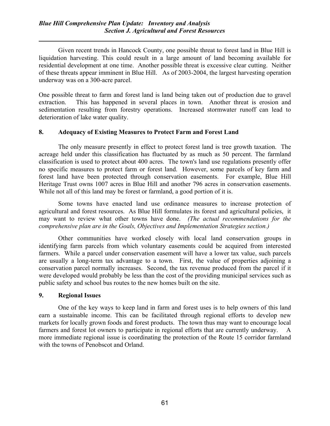Given recent trends in Hancock County, one possible threat to forest land in Blue Hill is liquidation harvesting. This could result in a large amount of land becoming available for residential development at one time. Another possible threat is excessive clear cutting. Neither of these threats appear imminent in Blue Hill. As of 2003-2004, the largest harvesting operation underway was on a 300-acre parcel.

One possible threat to farm and forest land is land being taken out of production due to gravel extraction. This has happened in several places in town. Another threat is erosion and sedimentation resulting from forestry operations. Increased stormwater runoff can lead to deterioration of lake water quality.

# 8. Adequacy of Existing Measures to Protect Farm and Forest Land

 The only measure presently in effect to protect forest land is tree growth taxation. The acreage held under this classification has fluctuated by as much as 50 percent. The farmland classification is used to protect about 400 acres. The town's land use regulations presently offer no specific measures to protect farm or forest land. However, some parcels of key farm and forest land have been protected through conservation easements. For example, Blue Hill Heritage Trust owns 1007 acres in Blue Hill and another 796 acres in conservation easements. While not all of this land may be forest or farmland, a good portion of it is.

 Some towns have enacted land use ordinance measures to increase protection of agricultural and forest resources. As Blue Hill formulates its forest and agricultural policies, it may want to review what other towns have done. (The actual recommendations for the comprehensive plan are in the Goals, Objectives and Implementation Strategies section.)

 Other communities have worked closely with local land conservation groups in identifying farm parcels from which voluntary easements could be acquired from interested farmers. While a parcel under conservation easement will have a lower tax value, such parcels are usually a long-term tax advantage to a town. First, the value of properties adjoining a conservation parcel normally increases. Second, the tax revenue produced from the parcel if it were developed would probably be less than the cost of the providing municipal services such as public safety and school bus routes to the new homes built on the site.

### 9. Regional Issues

 One of the key ways to keep land in farm and forest uses is to help owners of this land earn a sustainable income. This can be facilitated through regional efforts to develop new markets for locally grown foods and forest products. The town thus may want to encourage local farmers and forest lot owners to participate in regional efforts that are currently underway. A more immediate regional issue is coordinating the protection of the Route 15 corridor farmland with the towns of Penobscot and Orland.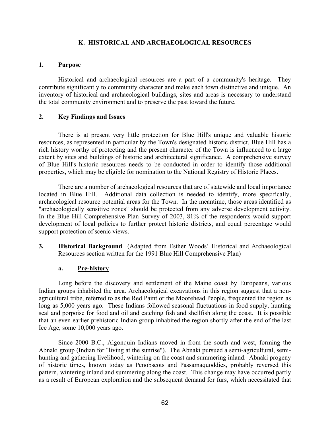## K. HISTORICAL AND ARCHAEOLOGICAL RESOURCES

#### 1. Purpose

 Historical and archaeological resources are a part of a community's heritage. They contribute significantly to community character and make each town distinctive and unique. An inventory of historical and archaeological buildings, sites and areas is necessary to understand the total community environment and to preserve the past toward the future.

### 2. Key Findings and Issues

 There is at present very little protection for Blue Hill's unique and valuable historic resources, as represented in particular by the Town's designated historic district. Blue Hill has a rich history worthy of protecting and the present character of the Town is influenced to a large extent by sites and buildings of historic and architectural significance. A comprehensive survey of Blue Hill's historic resources needs to be conducted in order to identify those additional properties, which may be eligible for nomination to the National Registry of Historic Places.

 There are a number of archaeological resources that are of statewide and local importance located in Blue Hill. Additional data collection is needed to identify, more specifically, archaeological resource potential areas for the Town. In the meantime, those areas identified as "archaeologically sensitive zones" should be protected from any adverse development activity. In the Blue Hill Comprehensive Plan Survey of 2003, 81% of the respondents would support development of local policies to further protect historic districts, and equal percentage would support protection of scenic views.

3. Historical Background (Adapted from Esther Woods' Historical and Archaeological Resources section written for the 1991 Blue Hill Comprehensive Plan)

### a. Pre-history

 Long before the discovery and settlement of the Maine coast by Europeans, various Indian groups inhabited the area. Archaeological excavations in this region suggest that a nonagricultural tribe, referred to as the Red Paint or the Moorehead People, frequented the region as long as 5,000 years ago. These Indians followed seasonal fluctuations in food supply, hunting seal and porpoise for food and oil and catching fish and shellfish along the coast. It is possible that an even earlier prehistoric Indian group inhabited the region shortly after the end of the last Ice Age, some 10,000 years ago.

 Since 2000 B.C., Algonquin Indians moved in from the south and west, forming the Abnaki group (Indian for "living at the sunrise"). The Abnaki pursued a semi-agricultural, semihunting and gathering livelihood, wintering on the coast and summering inland. Abnaki progeny of historic times, known today as Penobscots and Passamaquoddies, probably reversed this pattern, wintering inland and summering along the coast. This change may have occurred partly as a result of European exploration and the subsequent demand for furs, which necessitated that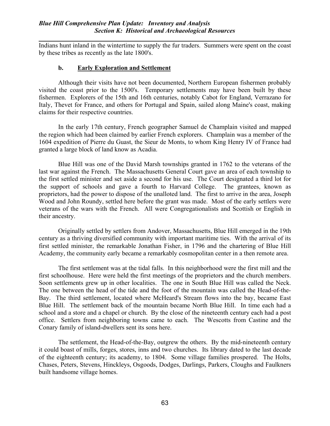Indians hunt inland in the wintertime to supply the fur traders. Summers were spent on the coast by these tribes as recently as the late 1800's.

### b. Early Exploration and Settlement

l,

 Although their visits have not been documented, Northern European fishermen probably visited the coast prior to the 1500's. Temporary settlements may have been built by these fishermen. Explorers of the 15th and 16th centuries, notably Cabot for England, Verrazano for Italy, Thevet for France, and others for Portugal and Spain, sailed along Maine's coast, making claims for their respective countries.

 In the early 17th century, French geographer Samuel de Champlain visited and mapped the region which had been claimed by earlier French explorers. Champlain was a member of the 1604 expedition of Pierre du Guast, the Sieur de Monts, to whom King Henry IV of France had granted a large block of land know as Acadia.

 Blue Hill was one of the David Marsh townships granted in 1762 to the veterans of the last war against the French. The Massachusetts General Court gave an area of each township to the first settled minister and set aside a second for his use. The Court designated a third lot for the support of schools and gave a fourth to Harvard College. The grantees, known as proprietors, had the power to dispose of the unalloted land. The first to arrive in the area, Joseph Wood and John Roundy, settled here before the grant was made. Most of the early settlers were veterans of the wars with the French. All were Congregationalists and Scottish or English in their ancestry.

 Originally settled by settlers from Andover, Massachusetts, Blue Hill emerged in the 19th century as a thriving diversified community with important maritime ties. With the arrival of its first settled minister, the remarkable Jonathan Fisher, in 1796 and the chartering of Blue Hill Academy, the community early became a remarkably cosmopolitan center in a then remote area.

 The first settlement was at the tidal falls. In this neighborhood were the first mill and the first schoolhouse. Here were held the first meetings of the proprietors and the church members. Soon settlements grew up in other localities. The one in South Blue Hill was called the Neck. The one between the head of the tide and the foot of the mountain was called the Head-of-the-Bay. The third settlement, located where McHeard's Stream flows into the bay, became East Blue Hill. The settlement back of the mountain became North Blue Hill. In time each had a school and a store and a chapel or church. By the close of the nineteenth century each had a post office. Settlers from neighboring towns came to each. The Wescotts from Castine and the Conary family of island-dwellers sent its sons here.

 The settlement, the Head-of-the-Bay, outgrew the others. By the mid-nineteenth century it could boast of mills, forges, stores, inns and two churches. Its library dated to the last decade of the eighteenth century; its academy, to 1804. Some village families prospered. The Holts, Chases, Peters, Stevens, Hinckleys, Osgoods, Dodges, Darlings, Parkers, Cloughs and Faulkners built handsome village homes.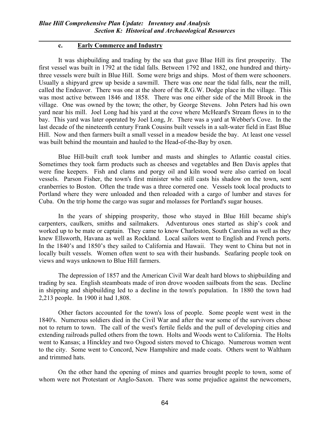### c. Early Commerce and Industry

l,

 It was shipbuilding and trading by the sea that gave Blue Hill its first prosperity. The first vessel was built in 1792 at the tidal falls. Between 1792 and 1882, one hundred and thirtythree vessels were built in Blue Hill. Some were brigs and ships. Most of them were schooners. Usually a shipyard grew up beside a sawmill. There was one near the tidal falls, near the mill, called the Endeavor. There was one at the shore of the R.G.W. Dodge place in the village. This was most active between 1846 and 1858. There was one either side of the Mill Brook in the village. One was owned by the town; the other, by George Stevens. John Peters had his own yard near his mill. Joel Long had his yard at the cove where McHeard's Stream flows in to the bay. This yard was later operated by Joel Long, Jr. There was a yard at Webber's Cove. In the last decade of the nineteenth century Frank Cousins built vessels in a salt-water field in East Blue Hill. Now and then farmers built a small vessel in a meadow beside the bay. At least one vessel was built behind the mountain and hauled to the Head-of-the-Bay by oxen.

 Blue Hill-built craft took lumber and masts and shingles to Atlantic coastal cities. Sometimes they took farm products such as cheeses and vegetables and Ben Davis apples that were fine keepers. Fish and clams and porgy oil and kiln wood were also carried on local vessels. Parson Fisher, the town's first minister who still casts his shadow on the town, sent cranberries to Boston. Often the trade was a three cornered one. Vessels took local products to Portland where they were unloaded and then reloaded with a cargo of lumber and staves for Cuba. On the trip home the cargo was sugar and molasses for Portland's sugar houses.

 In the years of shipping prosperity, those who stayed in Blue Hill became ship's carpenters, caulkers, smiths and sailmakers. Adventurous ones started as ship's cook and worked up to be mate or captain. They came to know Charleston, South Carolina as well as they knew Ellsworth, Havana as well as Rockland. Local sailors went to English and French ports. In the 1840's and 1850's they sailed to California and Hawaii. They went to China but not in locally built vessels. Women often went to sea with their husbands. Seafaring people took on views and ways unknown to Blue Hill farmers.

 The depression of 1857 and the American Civil War dealt hard blows to shipbuilding and trading by sea. English steamboats made of iron drove wooden sailboats from the seas. Decline in shipping and shipbuilding led to a decline in the town's population. In 1880 the town had 2,213 people. In 1900 it had 1,808.

 Other factors accounted for the town's loss of people. Some people went west in the 1840's. Numerous soldiers died in the Civil War and after the war some of the survivors chose not to return to town. The call of the west's fertile fields and the pull of developing cities and extending railroads pulled others from the town. Holts and Woods went to California. The Holts went to Kansas; a Hinckley and two Osgood sisters moved to Chicago. Numerous women went to the city. Some went to Concord, New Hampshire and made coats. Others went to Waltham and trimmed hats.

 On the other hand the opening of mines and quarries brought people to town, some of whom were not Protestant or Anglo-Saxon. There was some prejudice against the newcomers,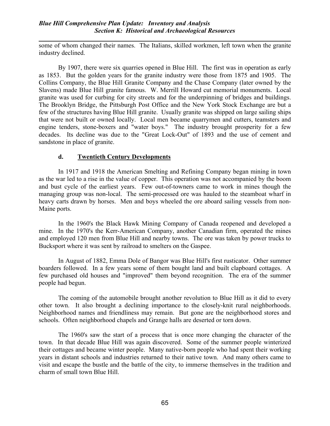#### Blue Hill Comprehensive Plan Update: Inventory and Analysis Section K: Historical and Archaeological Resources

l, some of whom changed their names. The Italians, skilled workmen, left town when the granite industry declined.

 By 1907, there were six quarries opened in Blue Hill. The first was in operation as early as 1853. But the golden years for the granite industry were those from 1875 and 1905. The Collins Company, the Blue Hill Granite Company and the Chase Company (later owned by the Slavens) made Blue Hill granite famous. W. Merrill Howard cut memorial monuments. Local granite was used for curbing for city streets and for the underpinning of bridges and buildings. The Brooklyn Bridge, the Pittsburgh Post Office and the New York Stock Exchange are but a few of the structures having Blue Hill granite. Usually granite was shipped on large sailing ships that were not built or owned locally. Local men became quarrymen and cutters, teamsters and engine tenders, stone-boxers and "water boys." The industry brought prosperity for a few decades. Its decline was due to the "Great Lock-Out" of 1893 and the use of cement and sandstone in place of granite.

#### d. Twentieth Century Developments

 In 1917 and 1918 the American Smelting and Refining Company began mining in town as the war led to a rise in the value of copper. This operation was not accompanied by the boom and bust cycle of the earliest years. Few out-of-towners came to work in mines though the managing group was non-local. The semi-processed ore was hauled to the steamboat wharf in heavy carts drawn by horses. Men and boys wheeled the ore aboard sailing vessels from non-Maine ports.

 In the 1960's the Black Hawk Mining Company of Canada reopened and developed a mine. In the 1970's the Kerr-American Company, another Canadian firm, operated the mines and employed 120 men from Blue Hill and nearby towns. The ore was taken by power trucks to Bucksport where it was sent by railroad to smelters on the Gaspee.

 In August of 1882, Emma Dole of Bangor was Blue Hill's first rusticator. Other summer boarders followed. In a few years some of them bought land and built clapboard cottages. A few purchased old houses and "improved" them beyond recognition. The era of the summer people had begun.

 The coming of the automobile brought another revolution to Blue Hill as it did to every other town. It also brought a declining importance to the closely-knit rural neighborhoods. Neighborhood names and friendliness may remain. But gone are the neighborhood stores and schools. Often neighborhood chapels and Grange halls are deserted or torn down.

 The 1960's saw the start of a process that is once more changing the character of the town. In that decade Blue Hill was again discovered. Some of the summer people winterized their cottages and became winter people. Many native-born people who had spent their working years in distant schools and industries returned to their native town. And many others came to visit and escape the bustle and the battle of the city, to immerse themselves in the tradition and charm of small town Blue Hill.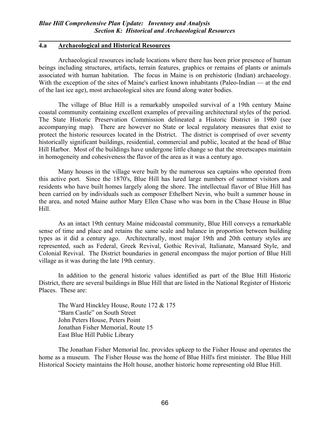#### 4.a Archaeological and Historical Resources

l,

 Archaeological resources include locations where there has been prior presence of human beings including structures, artifacts, terrain features, graphics or remains of plants or animals associated with human habitation. The focus in Maine is on prehistoric (Indian) archaeology. With the exception of the sites of Maine's earliest known inhabitants (Paleo-Indian — at the end of the last ice age), most archaeological sites are found along water bodies.

 The village of Blue Hill is a remarkably unspoiled survival of a 19th century Maine coastal community containing excellent examples of prevailing architectural styles of the period. The State Historic Preservation Commission delineated a Historic District in 1980 (see accompanying map). There are however no State or local regulatory measures that exist to protect the historic resources located in the District. The district is comprised of over seventy historically significant buildings, residential, commercial and public, located at the head of Blue Hill Harbor. Most of the buildings have undergone little change so that the streetscapes maintain in homogeneity and cohesiveness the flavor of the area as it was a century ago.

 Many houses in the village were built by the numerous sea captains who operated from this active port. Since the 1870's, Blue Hill has lured large numbers of summer visitors and residents who have built homes largely along the shore. The intellectual flavor of Blue Hill has been carried on by individuals such as composer Ethelbert Nevin, who built a summer house in the area, and noted Maine author Mary Ellen Chase who was born in the Chase House in Blue Hill.

 As an intact 19th century Maine midcoastal community, Blue Hill conveys a remarkable sense of time and place and retains the same scale and balance in proportion between building types as it did a century ago. Architecturally, most major 19th and 20th century styles are represented, such as Federal, Greek Revival, Gothic Revival, Italianate, Mansard Style, and Colonial Revival. The District boundaries in general encompass the major portion of Blue Hill village as it was during the late 19th century.

 In addition to the general historic values identified as part of the Blue Hill Historic District, there are several buildings in Blue Hill that are listed in the National Register of Historic Places. These are:

The Ward Hinckley House, Route 172 & 175 "Barn Castle" on South Street John Peters House, Peters Point Jonathan Fisher Memorial, Route 15 East Blue Hill Public Library

 The Jonathan Fisher Memorial Inc. provides upkeep to the Fisher House and operates the home as a museum. The Fisher House was the home of Blue Hill's first minister. The Blue Hill Historical Society maintains the Holt house, another historic home representing old Blue Hill.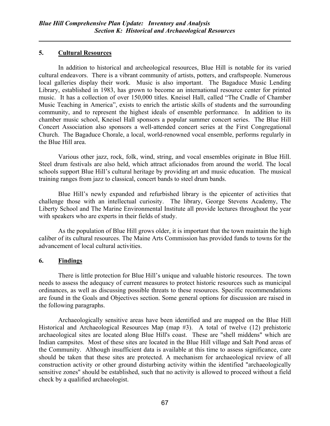## 5. Cultural Resources

l,

In addition to historical and archeological resources, Blue Hill is notable for its varied cultural endeavors. There is a vibrant community of artists, potters, and craftspeople. Numerous local galleries display their work. Music is also important. The Bagaduce Music Lending Library, established in 1983, has grown to become an international resource center for printed music. It has a collection of over 150,000 titles. Kneisel Hall, called "The Cradle of Chamber Music Teaching in America", exists to enrich the artistic skills of students and the surrounding community, and to represent the highest ideals of ensemble performance. In addition to its chamber music school, Kneisel Hall sponsors a popular summer concert series. The Blue Hill Concert Association also sponsors a well-attended concert series at the First Congregational Church. The Bagaduce Chorale, a local, world-renowned vocal ensemble, performs regularly in the Blue Hill area.

Various other jazz, rock, folk, wind, string, and vocal ensembles originate in Blue Hill. Steel drum festivals are also held, which attract aficionados from around the world. The local schools support Blue Hill's cultural heritage by providing art and music education. The musical training ranges from jazz to classical, concert bands to steel drum bands.

Blue Hill's newly expanded and refurbished library is the epicenter of activities that challenge those with an intellectual curiosity. The library, George Stevens Academy, The Liberty School and The Marine Environmental Institute all provide lectures throughout the year with speakers who are experts in their fields of study.

As the population of Blue Hill grows older, it is important that the town maintain the high caliber of its cultural resources. The Maine Arts Commission has provided funds to towns for the advancement of local cultural activities.

## 6. Findings

 There is little protection for Blue Hill's unique and valuable historic resources. The town needs to assess the adequacy of current measures to protect historic resources such as municipal ordinances, as well as discussing possible threats to these resources. Specific recommendations are found in the Goals and Objectives section. Some general options for discussion are raised in the following paragraphs.

 Archaeologically sensitive areas have been identified and are mapped on the Blue Hill Historical and Archaeological Resources Map (map #3). A total of twelve (12) prehistoric archaeological sites are located along Blue Hill's coast. These are "shell middens" which are Indian campsites. Most of these sites are located in the Blue Hill village and Salt Pond areas of the Community. Although insufficient data is available at this time to assess significance, care should be taken that these sites are protected. A mechanism for archaeological review of all construction activity or other ground disturbing activity within the identified "archaeologically sensitive zones" should be established, such that no activity is allowed to proceed without a field check by a qualified archaeologist.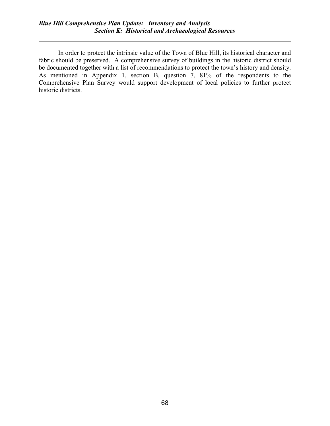l,

 In order to protect the intrinsic value of the Town of Blue Hill, its historical character and fabric should be preserved. A comprehensive survey of buildings in the historic district should be documented together with a list of recommendations to protect the town's history and density. As mentioned in Appendix 1, section B, question 7, 81% of the respondents to the Comprehensive Plan Survey would support development of local policies to further protect historic districts.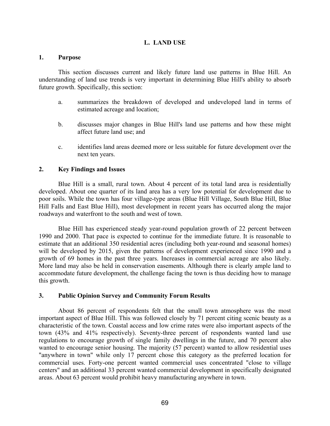#### L. LAND USE

#### 1. Purpose

 This section discusses current and likely future land use patterns in Blue Hill. An understanding of land use trends is very important in determining Blue Hill's ability to absorb future growth. Specifically, this section:

- a. summarizes the breakdown of developed and undeveloped land in terms of estimated acreage and location;
- b. discusses major changes in Blue Hill's land use patterns and how these might affect future land use; and
- c. identifies land areas deemed more or less suitable for future development over the next ten years.

#### 2. Key Findings and Issues

 Blue Hill is a small, rural town. About 4 percent of its total land area is residentially developed. About one quarter of its land area has a very low potential for development due to poor soils. While the town has four village-type areas (Blue Hill Village, South Blue Hill, Blue Hill Falls and East Blue Hill), most development in recent years has occurred along the major roadways and waterfront to the south and west of town.

 Blue Hill has experienced steady year-round population growth of 22 percent between 1990 and 2000. That pace is expected to continue for the immediate future. It is reasonable to estimate that an additional 350 residential acres (including both year-round and seasonal homes) will be developed by 2015, given the patterns of development experienced since 1990 and a growth of 69 homes in the past three years. Increases in commercial acreage are also likely. More land may also be held in conservation easements. Although there is clearly ample land to accommodate future development, the challenge facing the town is thus deciding how to manage this growth.

#### 3. Public Opinion Survey and Community Forum Results

 About 86 percent of respondents felt that the small town atmosphere was the most important aspect of Blue Hill. This was followed closely by 71 percent citing scenic beauty as a characteristic of the town. Coastal access and low crime rates were also important aspects of the town (43% and 41% respectively). Seventy-three percent of respondents wanted land use regulations to encourage growth of single family dwellings in the future, and 70 percent also wanted to encourage senior housing. The majority (57 percent) wanted to allow residential uses "anywhere in town" while only 17 percent chose this category as the preferred location for commercial uses. Forty-one percent wanted commercial uses concentrated "close to village centers" and an additional 33 percent wanted commercial development in specifically designated areas. About 63 percent would prohibit heavy manufacturing anywhere in town.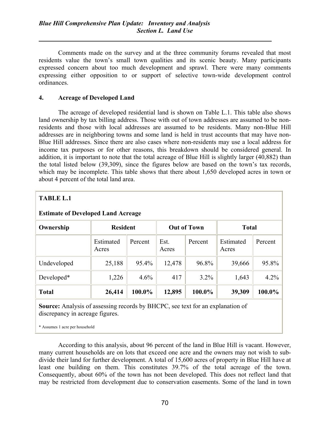Comments made on the survey and at the three community forums revealed that most residents value the town's small town qualities and its scenic beauty. Many participants expressed concern about too much development and sprawl. There were many comments expressing either opposition to or support of selective town-wide development control ordinances.

## 4. Acreage of Developed Land

l,

 The acreage of developed residential land is shown on Table L.1. This table also shows land ownership by tax billing address. Those with out of town addresses are assumed to be nonresidents and those with local addresses are assumed to be residents. Many non-Blue Hill addresses are in neighboring towns and some land is held in trust accounts that may have non-Blue Hill addresses. Since there are also cases where non-residents may use a local address for income tax purposes or for other reasons, this breakdown should be considered general. In addition, it is important to note that the total acreage of Blue Hill is slightly larger (40,882) than the total listed below (39,309), since the figures below are based on the town's tax records, which may be incomplete. This table shows that there about 1,650 developed acres in town or about 4 percent of the total land area.

| <b>TABLE L.1</b>                                                              |                    |         |               |         |                    |         |  |  |
|-------------------------------------------------------------------------------|--------------------|---------|---------------|---------|--------------------|---------|--|--|
| <b>Estimate of Developed Land Acreage</b>                                     |                    |         |               |         |                    |         |  |  |
| <b>Out of Town</b><br>Ownership<br><b>Resident</b><br><b>Total</b>            |                    |         |               |         |                    |         |  |  |
|                                                                               | Estimated<br>Acres | Percent | Est.<br>Acres | Percent | Estimated<br>Acres | Percent |  |  |
| Undeveloped                                                                   | 25,188             | 95.4%   | 12,478        | 96.8%   | 39,666             | 95.8%   |  |  |
| Developed*                                                                    | 1,226              | 4.6%    | 417           | 3.2%    | 1,643              | 4.2%    |  |  |
| <b>Total</b>                                                                  | 26,414             | 100.0%  | 12,895        | 100.0%  | 39,309             | 100.0%  |  |  |
| Sources Applying of associng regards by DUCDC, see toxi for an evalenction of |                    |         |               |         |                    |         |  |  |

Source: Analysis of assessing records by BHCPC, see text for an explanation of discrepancy in acreage figures.

\* Assumes 1 acre per household

 According to this analysis, about 96 percent of the land in Blue Hill is vacant. However, many current households are on lots that exceed one acre and the owners may not wish to subdivide their land for further development. A total of 15,600 acres of property in Blue Hill have at least one building on them. This constitutes 39.7% of the total acreage of the town. Consequently, about 60% of the town has not been developed. This does not reflect land that may be restricted from development due to conservation easements. Some of the land in town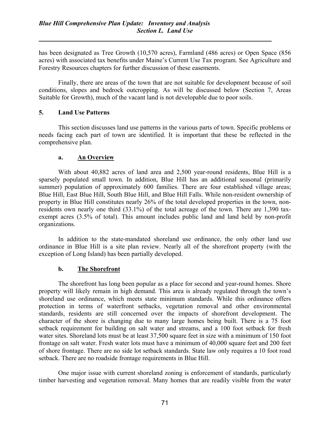has been designated as Tree Growth (10,570 acres), Farmland (486 acres) or Open Space (856 acres) with associated tax benefits under Maine's Current Use Tax program. See Agriculture and Forestry Resources chapters for further discussion of these easements.

 Finally, there are areas of the town that are not suitable for development because of soil conditions, slopes and bedrock outcropping. As will be discussed below (Section 7, Areas Suitable for Growth), much of the vacant land is not developable due to poor soils.

## 5. Land Use Patterns

l,

 This section discusses land use patterns in the various parts of town. Specific problems or needs facing each part of town are identified. It is important that these be reflected in the comprehensive plan.

#### a. An Overview

 With about 40,882 acres of land area and 2,500 year-round residents, Blue Hill is a sparsely populated small town. In addition, Blue Hill has an additional seasonal (primarily summer) population of approximately 600 families. There are four established village areas; Blue Hill, East Blue Hill, South Blue Hill, and Blue Hill Falls. While non-resident ownership of property in Blue Hill constitutes nearly 26% of the total developed properties in the town, nonresidents own nearly one third (33.1%) of the total acreage of the town. There are 1,390 taxexempt acres (3.5% of total). This amount includes public land and land held by non-profit organizations.

 In addition to the state-mandated shoreland use ordinance, the only other land use ordinance in Blue Hill is a site plan review. Nearly all of the shorefront property (with the exception of Long Island) has been partially developed.

#### b. The Shorefront

 The shorefront has long been popular as a place for second and year-round homes. Shore property will likely remain in high demand. This area is already regulated through the town's shoreland use ordinance, which meets state minimum standards. While this ordinance offers protection in terms of waterfront setbacks, vegetation removal and other environmental standards, residents are still concerned over the impacts of shorefront development. The character of the shore is changing due to many large homes being built. There is a 75 foot setback requirement for building on salt water and streams, and a 100 foot setback for fresh water sites. Shoreland lots must be at least 37,500 square feet in size with a minimum of 150 foot frontage on salt water. Fresh water lots must have a minimum of 40,000 square feet and 200 feet of shore frontage. There are no side lot setback standards. State law only requires a 10 foot road setback. There are no roadside frontage requirements in Blue Hill.

 One major issue with current shoreland zoning is enforcement of standards, particularly timber harvesting and vegetation removal. Many homes that are readily visible from the water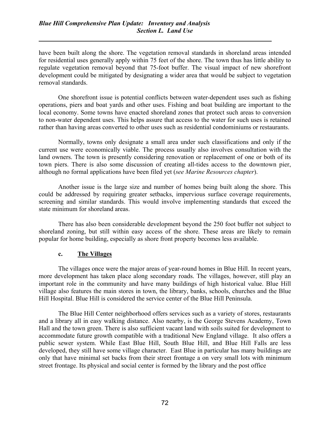l,

have been built along the shore. The vegetation removal standards in shoreland areas intended for residential uses generally apply within 75 feet of the shore. The town thus has little ability to regulate vegetation removal beyond that 75-foot buffer. The visual impact of new shorefront development could be mitigated by designating a wider area that would be subject to vegetation removal standards.

 One shorefront issue is potential conflicts between water-dependent uses such as fishing operations, piers and boat yards and other uses. Fishing and boat building are important to the local economy. Some towns have enacted shoreland zones that protect such areas to conversion to non-water dependent uses. This helps assure that access to the water for such uses is retained rather than having areas converted to other uses such as residential condominiums or restaurants.

 Normally, towns only designate a small area under such classifications and only if the current use were economically viable. The process usually also involves consultation with the land owners. The town is presently considering renovation or replacement of one or both of its town piers. There is also some discussion of creating all-tides access to the downtown pier, although no formal applications have been filed yet (see Marine Resources chapter).

 Another issue is the large size and number of homes being built along the shore. This could be addressed by requiring greater setbacks, impervious surface coverage requirements, screening and similar standards. This would involve implementing standards that exceed the state minimum for shoreland areas.

 There has also been considerable development beyond the 250 foot buffer not subject to shoreland zoning, but still within easy access of the shore. These areas are likely to remain popular for home building, especially as shore front property becomes less available.

#### c. The Villages

 The villages once were the major areas of year-round homes in Blue Hill. In recent years, more development has taken place along secondary roads. The villages, however, still play an important role in the community and have many buildings of high historical value. Blue Hill village also features the main stores in town, the library, banks, schools, churches and the Blue Hill Hospital. Blue Hill is considered the service center of the Blue Hill Peninsula.

 The Blue Hill Center neighborhood offers services such as a variety of stores, restaurants and a library all in easy walking distance. Also nearby, is the George Stevens Academy, Town Hall and the town green. There is also sufficient vacant land with soils suited for development to accommodate future growth compatible with a traditional New England village. It also offers a public sewer system. While East Blue Hill, South Blue Hill, and Blue Hill Falls are less developed, they still have some village character. East Blue in particular has many buildings are only that have minimal set backs from their street frontage a on very small lots with minimum street frontage. Its physical and social center is formed by the library and the post office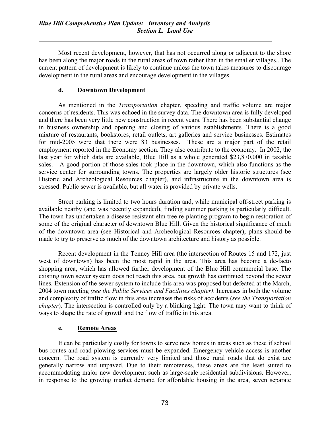Most recent development, however, that has not occurred along or adjacent to the shore has been along the major roads in the rural areas of town rather than in the smaller villages.. The current pattern of development is likely to continue unless the town takes measures to discourage development in the rural areas and encourage development in the villages.

#### d. Downtown Development

l,

As mentioned in the *Transportation* chapter, speeding and traffic volume are major concerns of residents. This was echoed in the survey data. The downtown area is fully developed and there has been very little new construction in recent years. There has been substantial change in business ownership and opening and closing of various establishments. There is a good mixture of restaurants, bookstores, retail outlets, art galleries and service businesses. Estimates for mid-2005 were that there were 83 businesses. These are a major part of the retail employment reported in the Economy section. They also contribute to the economy. In 2002, the last year for which data are available, Blue Hill as a whole generated \$23,870,000 in taxable sales. A good portion of those sales took place in the downtown, which also functions as the service center for surrounding towns. The properties are largely older historic structures (see Historic and Archeological Resources chapter), and infrastructure in the downtown area is stressed. Public sewer is available, but all water is provided by private wells.

 Street parking is limited to two hours duration and, while municipal off-street parking is available nearby (and was recently expanded), finding summer parking is particularly difficult. The town has undertaken a disease-resistant elm tree re-planting program to begin restoration of some of the original character of downtown Blue Hill. Given the historical significance of much of the downtown area (see Historical and Archeological Resources chapter), plans should be made to try to preserve as much of the downtown architecture and history as possible.

 Recent development in the Tenney Hill area (the intersection of Routes 15 and 172, just west of downtown) has been the most rapid in the area. This area has become a de-facto shopping area, which has allowed further development of the Blue Hill commercial base. The existing town sewer system does not reach this area, but growth has continued beyond the sewer lines. Extension of the sewer system to include this area was proposed but defeated at the March, 2004 town meeting (see the Public Services and Facilities chapter). Increases in both the volume and complexity of traffic flow in this area increases the risks of accidents (see the Transportation chapter). The intersection is controlled only by a blinking light. The town may want to think of ways to shape the rate of growth and the flow of traffic in this area.

## e. Remote Areas

 It can be particularly costly for towns to serve new homes in areas such as these if school bus routes and road plowing services must be expanded. Emergency vehicle access is another concern. The road system is currently very limited and those rural roads that do exist are generally narrow and unpaved. Due to their remoteness, these areas are the least suited to accommodating major new development such as large-scale residential subdivisions. However, in response to the growing market demand for affordable housing in the area, seven separate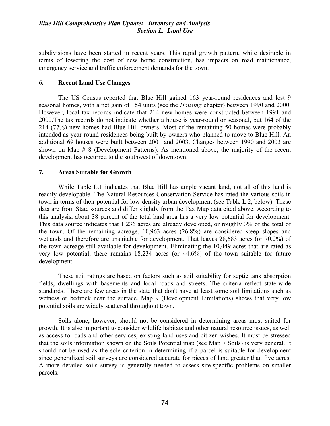subdivisions have been started in recent years. This rapid growth pattern, while desirable in terms of lowering the cost of new home construction, has impacts on road maintenance, emergency service and traffic enforcement demands for the town.

#### 6. Recent Land Use Changes

l,

 The US Census reported that Blue Hill gained 163 year-round residences and lost 9 seasonal homes, with a net gain of 154 units (see the Housing chapter) between 1990 and 2000. However, local tax records indicate that 214 new homes were constructed between 1991 and 2000.The tax records do not indicate whether a house is year-round or seasonal, but 164 of the 214 (77%) new homes had Blue Hill owners. Most of the remaining 50 homes were probably intended as year-round residences being built by owners who planned to move to Blue Hill. An additional 69 houses were built between 2001 and 2003. Changes between 1990 and 2003 are shown on Map # 8 (Development Patterns). As mentioned above, the majority of the recent development has occurred to the southwest of downtown.

#### 7. Areas Suitable for Growth

 While Table L.1 indicates that Blue Hill has ample vacant land, not all of this land is readily developable. The Natural Resources Conservation Service has rated the various soils in town in terms of their potential for low-density urban development (see Table L.2, below). These data are from State sources and differ slightly from the Tax Map data cited above. According to this analysis, about 38 percent of the total land area has a very low potential for development. This data source indicates that 1,236 acres are already developed, or roughly 3% of the total of the town. Of the remaining acreage, 10,963 acres (26.8%) are considered steep slopes and wetlands and therefore are unsuitable for development. That leaves 28,683 acres (or 70.2%) of the town acreage still available for development. Eliminating the 10,449 acres that are rated as very low potential, there remains 18,234 acres (or 44.6%) of the town suitable for future development.

 These soil ratings are based on factors such as soil suitability for septic tank absorption fields, dwellings with basements and local roads and streets. The criteria reflect state-wide standards. There are few areas in the state that don't have at least some soil limitations such as wetness or bedrock near the surface. Map 9 (Development Limitations) shows that very low potential soils are widely scattered throughout town.

 Soils alone, however, should not be considered in determining areas most suited for growth. It is also important to consider wildlife habitats and other natural resource issues, as well as access to roads and other services, existing land uses and citizen wishes. It must be stressed that the soils information shown on the Soils Potential map (see Map 7 Soils) is very general. It should not be used as the sole criterion in determining if a parcel is suitable for development since generalized soil surveys are considered accurate for pieces of land greater than five acres. A more detailed soils survey is generally needed to assess site-specific problems on smaller parcels.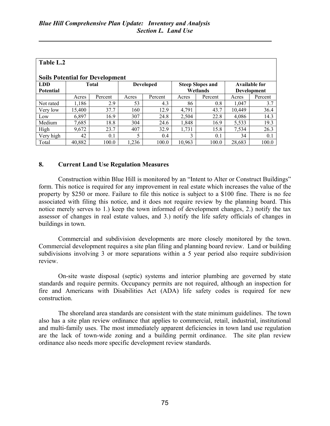l,

| Table L.2                                                                                                                                                                                         |        |         |       |         |        |         |        |         |  |
|---------------------------------------------------------------------------------------------------------------------------------------------------------------------------------------------------|--------|---------|-------|---------|--------|---------|--------|---------|--|
| <b>Soils Potential for Development</b><br><b>LDD</b><br><b>Total</b><br><b>Steep Slopes and</b><br><b>Available for</b><br><b>Developed</b><br>Wetlands<br><b>Potential</b><br><b>Development</b> |        |         |       |         |        |         |        |         |  |
|                                                                                                                                                                                                   | Acres  | Percent | Acres | Percent | Acres  | Percent | Acres  | Percent |  |
| Not rated                                                                                                                                                                                         | 1,186  | 2.9     | 53    | 4.3     | 86     | 0.8     | 1.047  | 3.7     |  |
| Very low                                                                                                                                                                                          | 15,400 | 37.7    | 160   | 12.9    | 4,791  | 43.7    | 10.449 | 36.4    |  |
| Low                                                                                                                                                                                               | 6,897  | 16.9    | 307   | 24.8    | 2,504  | 22.8    | 4,086  | 14.3    |  |
| Medium                                                                                                                                                                                            | 7,685  | 18.8    | 304   | 24.6    | 1,848  | 16.9    | 5,533  | 19.3    |  |
| High                                                                                                                                                                                              | 9,672  | 23.7    | 407   | 32.9    | 1,731  | 15.8    | 7,534  | 26.3    |  |
| Very high                                                                                                                                                                                         | 42     | 0.1     | 5     | 0.4     | 3      | 0.1     | 34     | 0.1     |  |
| Total                                                                                                                                                                                             | 40,882 | 100.0   | 1,236 | 100.0   | 10,963 | 100.0   | 28,683 | 100.0   |  |

#### 8. Current Land Use Regulation Measures

 Construction within Blue Hill is monitored by an "Intent to Alter or Construct Buildings" form. This notice is required for any improvement in real estate which increases the value of the property by \$250 or more. Failure to file this notice is subject to a \$100 fine. There is no fee associated with filing this notice, and it does not require review by the planning board. This notice merely serves to 1.) keep the town informed of development changes, 2.) notify the tax assessor of changes in real estate values, and 3.) notify the life safety officials of changes in buildings in town.

 Commercial and subdivision developments are more closely monitored by the town. Commercial development requires a site plan filing and planning board review. Land or building subdivisions involving 3 or more separations within a 5 year period also require subdivision review.

 On-site waste disposal (septic) systems and interior plumbing are governed by state standards and require permits. Occupancy permits are not required, although an inspection for fire and Americans with Disabilities Act (ADA) life safety codes is required for new construction.

 The shoreland area standards are consistent with the state minimum guidelines. The town also has a site plan review ordinance that applies to commercial, retail, industrial, institutional and multi-family uses. The most immediately apparent deficiencies in town land use regulation are the lack of town-wide zoning and a building permit ordinance. The site plan review ordinance also needs more specific development review standards.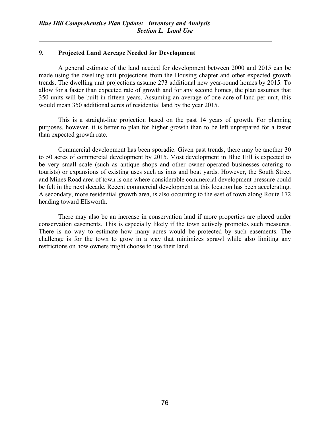## 9. Projected Land Acreage Needed for Development

l,

 A general estimate of the land needed for development between 2000 and 2015 can be made using the dwelling unit projections from the Housing chapter and other expected growth trends. The dwelling unit projections assume 273 additional new year-round homes by 2015. To allow for a faster than expected rate of growth and for any second homes, the plan assumes that 350 units will be built in fifteen years. Assuming an average of one acre of land per unit, this would mean 350 additional acres of residential land by the year 2015.

 This is a straight-line projection based on the past 14 years of growth. For planning purposes, however, it is better to plan for higher growth than to be left unprepared for a faster than expected growth rate.

 Commercial development has been sporadic. Given past trends, there may be another 30 to 50 acres of commercial development by 2015. Most development in Blue Hill is expected to be very small scale (such as antique shops and other owner-operated businesses catering to tourists) or expansions of existing uses such as inns and boat yards. However, the South Street and Mines Road area of town is one where considerable commercial development pressure could be felt in the next decade. Recent commercial development at this location has been accelerating. A secondary, more residential growth area, is also occurring to the east of town along Route 172 heading toward Ellsworth.

 There may also be an increase in conservation land if more properties are placed under conservation easements. This is especially likely if the town actively promotes such measures. There is no way to estimate how many acres would be protected by such easements. The challenge is for the town to grow in a way that minimizes sprawl while also limiting any restrictions on how owners might choose to use their land.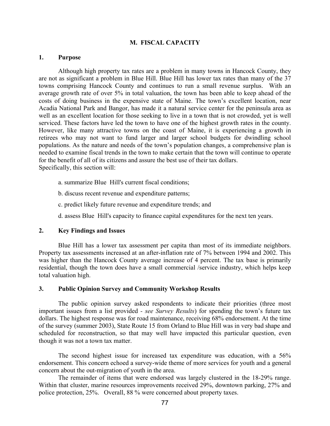#### M. FISCAL CAPACITY

#### 1. Purpose

 Although high property tax rates are a problem in many towns in Hancock County, they are not as significant a problem in Blue Hill. Blue Hill has lower tax rates than many of the 37 towns comprising Hancock County and continues to run a small revenue surplus. With an average growth rate of over 5% in total valuation, the town has been able to keep ahead of the costs of doing business in the expensive state of Maine. The town's excellent location, near Acadia National Park and Bangor, has made it a natural service center for the peninsula area as well as an excellent location for those seeking to live in a town that is not crowded, yet is well serviced. These factors have led the town to have one of the highest growth rates in the county. However, like many attractive towns on the coast of Maine, it is experiencing a growth in retirees who may not want to fund larger and larger school budgets for dwindling school populations. As the nature and needs of the town's population changes, a comprehensive plan is needed to examine fiscal trends in the town to make certain that the town will continue to operate for the benefit of all of its citizens and assure the best use of their tax dollars. Specifically, this section will:

- a. summarize Blue Hill's current fiscal conditions;
- b. discuss recent revenue and expenditure patterns;
- c. predict likely future revenue and expenditure trends; and
- d. assess Blue Hill's capacity to finance capital expenditures for the next ten years.

#### 2. Key Findings and Issues

 Blue Hill has a lower tax assessment per capita than most of its immediate neighbors. Property tax assessments increased at an after-inflation rate of 7% between 1994 and 2002. This was higher than the Hancock County average increase of 4 percent. The tax base is primarily residential, though the town does have a small commercial /service industry, which helps keep total valuation high.

#### 3. Public Opinion Survey and Community Workshop Results

 The public opinion survey asked respondents to indicate their priorities (three most important issues from a list provided - see Survey Results) for spending the town's future tax dollars. The highest response was for road maintenance, receiving 68% endorsement. At the time of the survey (summer 2003), State Route 15 from Orland to Blue Hill was in very bad shape and scheduled for reconstruction, so that may well have impacted this particular question, even though it was not a town tax matter.

 The second highest issue for increased tax expenditure was education, with a 56% endorsement. This concern echoed a survey-wide theme of more services for youth and a general concern about the out-migration of youth in the area.

 The remainder of items that were endorsed was largely clustered in the 18-29% range. Within that cluster, marine resources improvements received 29%, downtown parking, 27% and police protection, 25%. Overall, 88 % were concerned about property taxes.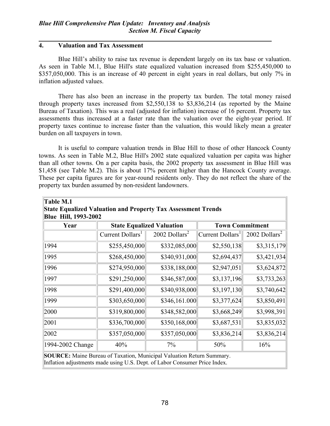## 4. Valuation and Tax Assessment

l,

 Blue Hill's ability to raise tax revenue is dependent largely on its tax base or valuation. As seen in Table M.1, Blue Hill's state equalized valuation increased from \$255,450,000 to \$357,050,000. This is an increase of 40 percent in eight years in real dollars, but only 7% in inflation adjusted values.

 There has also been an increase in the property tax burden. The total money raised through property taxes increased from \$2,550,138 to \$3,836,214 (as reported by the Maine Bureau of Taxation). This was a real (adjusted for inflation) increase of 16 percent. Property tax assessments thus increased at a faster rate than the valuation over the eight-year period. If property taxes continue to increase faster than the valuation, this would likely mean a greater burden on all taxpayers in town.

 It is useful to compare valuation trends in Blue Hill to those of other Hancock County towns. As seen in Table M.2, Blue Hill's 2002 state equalized valuation per capita was higher than all other towns. On a per capita basis, the 2002 property tax assessment in Blue Hill was \$1,458 (see Table M.2). This is about 17% percent higher than the Hancock County average. These per capita figures are for year-round residents only. They do not reflect the share of the property tax burden assumed by non-resident landowners.

| <b>Table M.1</b>                                                             |                              |                                  |                        |                             |  |  |  |  |  |
|------------------------------------------------------------------------------|------------------------------|----------------------------------|------------------------|-----------------------------|--|--|--|--|--|
| <b>State Equalized Valuation and Property Tax Assessment Trends</b>          |                              |                                  |                        |                             |  |  |  |  |  |
| <b>Blue Hill, 1993-2002</b>                                                  |                              |                                  |                        |                             |  |  |  |  |  |
| Year                                                                         |                              | <b>State Equalized Valuation</b> | <b>Town Commitment</b> |                             |  |  |  |  |  |
|                                                                              | Current Dollars <sup>1</sup> | 2002 Dollars <sup>2</sup>        | $ Current\,Dollars^1 $ | $2002$ Dollars <sup>2</sup> |  |  |  |  |  |
| 1994                                                                         | \$255,450,000                | \$332,085,000                    | \$2,550,138            | \$3,315,179                 |  |  |  |  |  |
| 1995                                                                         | \$268,450,000                | \$340,931,000                    | \$2,694,437            | \$3,421,934                 |  |  |  |  |  |
| 1996                                                                         | \$274,950,000                | \$338,188,000                    | \$2,947,051            | \$3,624,872                 |  |  |  |  |  |
| 1997                                                                         | \$291,250,000                | \$346,587,000                    | \$3,137,196            | \$3,733,263                 |  |  |  |  |  |
| 1998                                                                         | \$291,400,000                | \$340,938,000                    | \$3,197,130            | \$3,740,642                 |  |  |  |  |  |
| 1999                                                                         | \$303,650,000                | \$346,161.000                    | \$3,377,624            | \$3,850,491                 |  |  |  |  |  |
| 2000                                                                         | \$319,800,000                | \$348,582,000                    | \$3,668,249            | \$3,998,391                 |  |  |  |  |  |
| 2001                                                                         | \$336,700,000                | \$350,168,000                    | \$3,687,531            | \$3,835,032                 |  |  |  |  |  |
| 2002                                                                         | \$357,050,000                | \$357,050,000                    | \$3,836,214            | \$3,836,214                 |  |  |  |  |  |
| 1994-2002 Change                                                             | 40%                          | 7%                               | 50%                    | 16%                         |  |  |  |  |  |
| <b>SOURCE:</b> Maine Bureau of Taxation, Municipal Valuation Return Summary. |                              |                                  |                        |                             |  |  |  |  |  |

Inflation adjustments made using U.S. Dept. of Labor Consumer Price Index.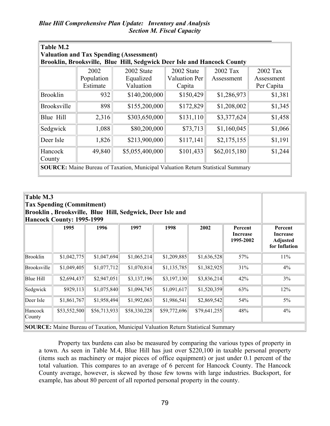| Table M.2<br><b>Valuation and Tax Spending (Assessment)</b>                             |            |                                                                         |                      |              |            |  |  |
|-----------------------------------------------------------------------------------------|------------|-------------------------------------------------------------------------|----------------------|--------------|------------|--|--|
|                                                                                         |            | Brooklin, Brooksville, Blue Hill, Sedgwick Deer Isle and Hancock County |                      |              |            |  |  |
|                                                                                         | 2002       | 2002 State                                                              | 2002 State           | 2002 Tax     | $2002$ Tax |  |  |
|                                                                                         | Population | Equalized                                                               | <b>Valuation Per</b> | Assessment   | Assessment |  |  |
|                                                                                         | Estimate   | Valuation                                                               | Capita               |              | Per Capita |  |  |
| <b>Brooklin</b>                                                                         | 932        | \$140,200,000                                                           | \$150,429            | \$1,286,973  | \$1,381    |  |  |
| <b>Brooksville</b>                                                                      | 898        | \$155,200,000                                                           | \$172,829            | \$1,208,002  | \$1,345    |  |  |
| Blue Hill                                                                               | 2,316      | \$303,650,000                                                           | \$131,110            | \$3,377,624  | \$1,458    |  |  |
| Sedgwick                                                                                | 1,088      | \$80,200,000                                                            | \$73,713             | \$1,160,045  | \$1,066    |  |  |
| Deer Isle                                                                               | 1,826      | \$213,900,000                                                           | \$117,141            | \$2,175,155  | \$1,191    |  |  |
| Hancock<br>County                                                                       | 49,840     | \$5,055,400,000                                                         | \$101,433            | \$62,015,180 | \$1,244    |  |  |
| <b>SOURCE:</b> Maine Bureau of Taxation, Municipal Valuation Return Statistical Summary |            |                                                                         |                      |              |            |  |  |

| Table M.3<br><b>Tax Spending (Commitment)</b><br>Brooklin, Brooksville, Blue Hill, Sedgwick, Deer Isle and<br><b>Hancock County: 1995-1999</b> |              |              |              |              |              |     |       |  |
|------------------------------------------------------------------------------------------------------------------------------------------------|--------------|--------------|--------------|--------------|--------------|-----|-------|--|
| 2002<br>1997<br>1998<br>1995<br>1996<br>Percent<br><b>Increase</b><br>1995-2002                                                                |              |              |              |              |              |     |       |  |
| <b>Brooklin</b>                                                                                                                                | \$1,042,775  | \$1,047,694  | \$1,065,214  | \$1,209,885  | \$1,636,528  | 57% | 11%   |  |
| Brooksville                                                                                                                                    | \$1,049,405  | \$1,077,712  | \$1,070,814  | \$1,135,785  | \$1,382,925  | 31% | $4\%$ |  |
| <b>Blue Hill</b>                                                                                                                               | \$2,694,437  | \$2,947,051  | \$3,137,196  | \$3,197,130  | \$3,836,214  | 42% | 3%    |  |
| Sedgwick                                                                                                                                       | \$929,113    | \$1,075,840  | \$1,094,745  | \$1,091,617  | \$1,520,359  | 63% | 12%   |  |
| Deer Isle                                                                                                                                      | \$1,861,767  | \$1,958,494  | \$1,992,063  | \$1,986,541  | \$2,869,542  | 54% | 5%    |  |
| Hancock<br>County                                                                                                                              | \$53,552,500 | \$56,713,933 | \$58,330,228 | \$59,772,696 | \$79,641,255 | 48% | 4%    |  |

 Property tax burdens can also be measured by comparing the various types of property in a town. As seen in Table M.4, Blue Hill has just over \$220,100 in taxable personal property (items such as machinery or major pieces of office equipment) or just under 0.1 percent of the total valuation. This compares to an average of 6 percent for Hancock County. The Hancock County average, however, is skewed by those few towns with large industries. Bucksport, for example, has about 80 percent of all reported personal property in the county.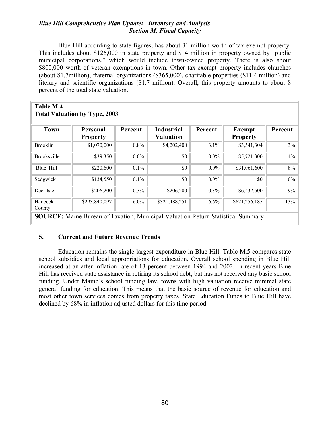## Blue Hill Comprehensive Plan Update: Inventory and Analysis Section M. Fiscal Capacity

l, Blue Hill according to state figures, has about 31 million worth of tax-exempt property. This includes about \$126,000 in state property and \$14 million in property owned by "public municipal corporations," which would include town-owned property. There is also about \$800,000 worth of veteran exemptions in town. Other tax-exempt property includes churches (about \$1.7million), fraternal organizations (\$365,000), charitable properties (\$11.4 million) and literary and scientific organizations (\$1.7 million). Overall, this property amounts to about 8 percent of the total state valuation.

# Table M.4 Total Valuation by Type, 2003

| <b>Town</b>                                                                             | <b>Personal</b><br><b>Property</b> | Percent | <b>Industrial</b><br><b>Valuation</b> | Percent | <b>Exempt</b><br><b>Property</b> | Percent |  |
|-----------------------------------------------------------------------------------------|------------------------------------|---------|---------------------------------------|---------|----------------------------------|---------|--|
| <b>Brooklin</b>                                                                         | \$1,070,000                        | $0.8\%$ | \$4,202,400                           | 3.1%    | \$3,541,304                      | 3%      |  |
| <b>Brooksville</b>                                                                      | \$39,350                           | $0.0\%$ | \$0                                   | $0.0\%$ | \$5,721,300                      | 4%      |  |
| Blue Hill                                                                               | \$220,600                          | $0.1\%$ | \$0                                   | $0.0\%$ | \$31,061,600                     | 8%      |  |
| Sedgwick                                                                                | \$134,550                          | $0.1\%$ | \$0                                   | $0.0\%$ | \$0                              | $0\%$   |  |
| Deer Isle                                                                               | \$206,200                          | $0.3\%$ | \$206,200                             | $0.3\%$ | \$6,432,500                      | 9%      |  |
| Hancock<br>County                                                                       | \$293,840,097                      | $6.0\%$ | \$321,488,251                         | 6.6%    | \$621,256,185                    | 13%     |  |
| <b>SOURCE:</b> Maine Bureau of Taxation, Municipal Valuation Return Statistical Summary |                                    |         |                                       |         |                                  |         |  |

## 5. Current and Future Revenue Trends

 Education remains the single largest expenditure in Blue Hill. Table M.5 compares state school subsidies and local appropriations for education. Overall school spending in Blue Hill increased at an after-inflation rate of 13 percent between 1994 and 2002. In recent years Blue Hill has received state assistance in retiring its school debt, but has not received any basic school funding. Under Maine's school funding law, towns with high valuation receive minimal state general funding for education. This means that the basic source of revenue for education and most other town services comes from property taxes. State Education Funds to Blue Hill have declined by 68% in inflation adjusted dollars for this time period.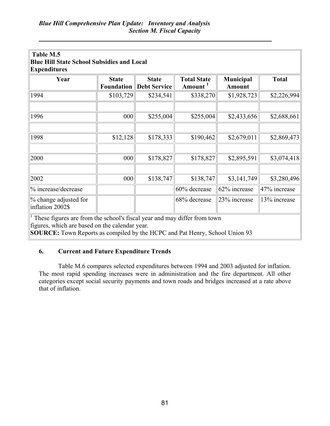l,

| Table M.5<br><b>Blue Hill State School Subsidies and Local</b><br><b>Expenditures</b>                                                                                                                     |                                   |                                     |                                           |                                   |              |  |  |  |
|-----------------------------------------------------------------------------------------------------------------------------------------------------------------------------------------------------------|-----------------------------------|-------------------------------------|-------------------------------------------|-----------------------------------|--------------|--|--|--|
| Year                                                                                                                                                                                                      | <b>State</b><br><b>Foundation</b> | <b>State</b><br><b>Debt Service</b> | <b>Total State</b><br>Amount <sup>1</sup> | <b>Municipal</b><br><b>Amount</b> | <b>Total</b> |  |  |  |
| 1994                                                                                                                                                                                                      | \$103,729                         | \$234,541                           | \$338,270                                 | \$1,928,723                       | \$2,226,994  |  |  |  |
| 1996                                                                                                                                                                                                      | 000                               | \$255,004                           | \$255,004                                 | \$2,433,656                       | \$2,688,661  |  |  |  |
| 1998                                                                                                                                                                                                      | \$12,128                          | \$178,333                           | \$190,462                                 | \$2,679,011                       | \$2,869,473  |  |  |  |
| 2000                                                                                                                                                                                                      | 000                               | \$178,827                           | \$178,827                                 | \$2,895,591                       | \$3,074,418  |  |  |  |
| 2002                                                                                                                                                                                                      | 000                               | \$138,747                           | \$138,747                                 | \$3,141,749                       | \$3,280,496  |  |  |  |
| % increase/decrease                                                                                                                                                                                       |                                   |                                     | 60% decrease                              | 62% increase                      | 47% increase |  |  |  |
| % change adjusted for<br>68% decrease<br>23% increase<br>13% increase<br>inflation 2002\$                                                                                                                 |                                   |                                     |                                           |                                   |              |  |  |  |
| These figures are from the school's fiscal year and may differ from town<br>figures, which are based on the calendar year.<br>SOURCE: Town Reports as compiled by the HCPC and Pat Henry, School Union 93 |                                   |                                     |                                           |                                   |              |  |  |  |

## 6. Current and Future Expenditure Trends

 Table M.6 compares selected expenditures between 1994 and 2003 adjusted for inflation. The most rapid spending increases were in administration and the fire department. All other categories except social security payments and town roads and bridges increased at a rate above that of inflation.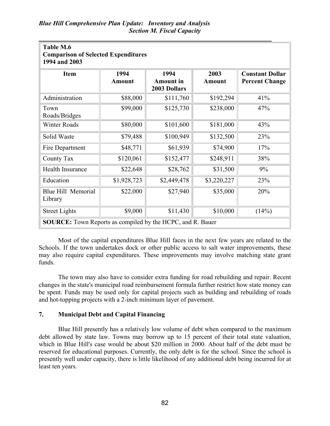l,

| Table M.6<br><b>Comparison of Selected Expenditures</b><br>1994 and 2003 |                       |                                          |                       |                                                 |  |  |  |
|--------------------------------------------------------------------------|-----------------------|------------------------------------------|-----------------------|-------------------------------------------------|--|--|--|
| <b>Item</b>                                                              | 1994<br><b>Amount</b> | 1994<br><b>Amount</b> in<br>2003 Dollars | 2003<br><b>Amount</b> | <b>Constant Dollar</b><br><b>Percent Change</b> |  |  |  |
| Administration                                                           | \$88,000              | \$111,760                                | \$192,294             | 41%                                             |  |  |  |
| Town<br>Roads/Bridges                                                    | \$99,000              | \$125,730                                | \$238,000             | 47%                                             |  |  |  |
| <b>Winter Roads</b>                                                      | \$80,000              | \$101,600                                | \$181,000             | 43%                                             |  |  |  |
| Solid Waste                                                              | \$79,488              | \$100,949                                | \$132,500             | 23%                                             |  |  |  |
| Fire Department                                                          | \$48,771              | \$61,939                                 | \$74,900              | 17%                                             |  |  |  |
| County Tax                                                               | \$120,061             | \$152,477                                | \$248,911             | 38%                                             |  |  |  |
| Health Insurance                                                         | \$22,648              | \$28,762                                 | \$31,500              | 9%                                              |  |  |  |
| Education                                                                | \$1,928,723           | \$2,449,478                              | \$3,220,227           | 23%                                             |  |  |  |
| Blue Hill Memorial<br>Library                                            | \$22,000              | \$27,940                                 | \$35,000              | 20%                                             |  |  |  |
| <b>Street Lights</b>                                                     | \$9,000               | \$11,430                                 | \$10,000              | (14%)                                           |  |  |  |
| <b>SOURCE:</b> Town Reports as compiled by the HCPC, and R. Bauer        |                       |                                          |                       |                                                 |  |  |  |

 Most of the capital expenditures Blue Hill faces in the next few years are related to the Schools. If the town undertakes dock or other public access to salt water improvements, these may also require capital expenditures. These improvements may involve matching state grant funds.

 The town may also have to consider extra funding for road rebuilding and repair. Recent changes in the state's municipal road reimbursement formula further restrict how state money can be spent. Funds may be used only for capital projects such as building and rebuilding of roads and hot-topping projects with a 2-inch minimum layer of pavement.

## 7. Municipal Debt and Capital Financing

 Blue Hill presently has a relatively low volume of debt when compared to the maximum debt allowed by state law. Towns may borrow up to 15 percent of their total state valuation, which in Blue Hill's case would be about \$20 million in 2000. About half of the debt must be reserved for educational purposes. Currently, the only debt is for the school. Since the school is presently well under capacity, there is little likelihood of any additional debt being incurred for at least ten years.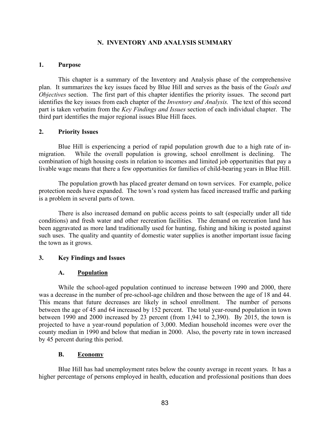#### N. INVENTORY AND ANALYSIS SUMMARY

#### 1. Purpose

This chapter is a summary of the Inventory and Analysis phase of the comprehensive plan. It summarizes the key issues faced by Blue Hill and serves as the basis of the Goals and Objectives section. The first part of this chapter identifies the priority issues. The second part identifies the key issues from each chapter of the Inventory and Analysis. The text of this second part is taken verbatim from the Key Findings and Issues section of each individual chapter. The third part identifies the major regional issues Blue Hill faces.

#### 2. Priority Issues

Blue Hill is experiencing a period of rapid population growth due to a high rate of inmigration. While the overall population is growing, school enrollment is declining. The combination of high housing costs in relation to incomes and limited job opportunities that pay a livable wage means that there a few opportunities for families of child-bearing years in Blue Hill.

The population growth has placed greater demand on town services. For example, police protection needs have expanded. The town's road system has faced increased traffic and parking is a problem in several parts of town.

There is also increased demand on public access points to salt (especially under all tide conditions) and fresh water and other recreation facilities. The demand on recreation land has been aggravated as more land traditionally used for hunting, fishing and hiking is posted against such uses. The quality and quantity of domestic water supplies is another important issue facing the town as it grows.

## 3. Key Findings and Issues

## A. Population

While the school-aged population continued to increase between 1990 and 2000, there was a decrease in the number of pre-school-age children and those between the age of 18 and 44. This means that future decreases are likely in school enrollment. The number of persons between the age of 45 and 64 increased by 152 percent. The total year-round population in town between 1990 and 2000 increased by 23 percent (from 1,941 to 2,390). By 2015, the town is projected to have a year-round population of 3,000. Median household incomes were over the county median in 1990 and below that median in 2000. Also, the poverty rate in town increased by 45 percent during this period.

## B. Economy

Blue Hill has had unemployment rates below the county average in recent years. It has a higher percentage of persons employed in health, education and professional positions than does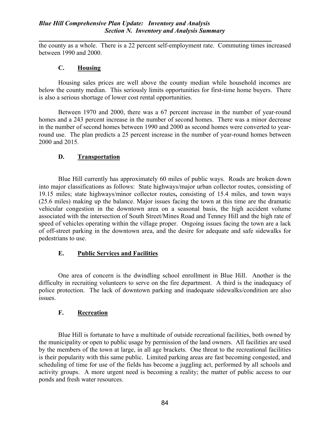the county as a whole. There is a 22 percent self-employment rate. Commuting times increased between 1990 and 2000.

## C. Housing

Housing sales prices are well above the county median while household incomes are below the county median. This seriously limits opportunities for first-time home buyers. There is also a serious shortage of lower cost rental opportunities.

Between 1970 and 2000, there was a 67 percent increase in the number of year-round homes and a 243 percent increase in the number of second homes. There was a minor decrease in the number of second homes between 1990 and 2000 as second homes were converted to yearround use. The plan predicts a 25 percent increase in the number of year-round homes between 2000 and 2015.

## D. Transportation

Blue Hill currently has approximately 60 miles of public ways. Roads are broken down into major classifications as follows: State highways/major urban collector routes, consisting of 19.15 miles; state highways/minor collector routes, consisting of 15.4 miles, and town ways (25.6 miles) making up the balance. Major issues facing the town at this time are the dramatic vehicular congestion in the downtown area on a seasonal basis, the high accident volume associated with the intersection of South Street/Mines Road and Tenney Hill and the high rate of speed of vehicles operating within the village proper. Ongoing issues facing the town are a lack of off-street parking in the downtown area, and the desire for adequate and safe sidewalks for pedestrians to use.

## E. Public Services and Facilities

One area of concern is the dwindling school enrollment in Blue Hill. Another is the difficulty in recruiting volunteers to serve on the fire department. A third is the inadequacy of police protection. The lack of downtown parking and inadequate sidewalks/condition are also issues.

## F. Recreation

Blue Hill is fortunate to have a multitude of outside recreational facilities, both owned by the municipality or open to public usage by permission of the land owners. All facilities are used by the members of the town at large, in all age brackets. One threat to the recreational facilities is their popularity with this same public. Limited parking areas are fast becoming congested, and scheduling of time for use of the fields has become a juggling act, performed by all schools and activity groups. A more urgent need is becoming a reality; the matter of public access to our ponds and fresh water resources.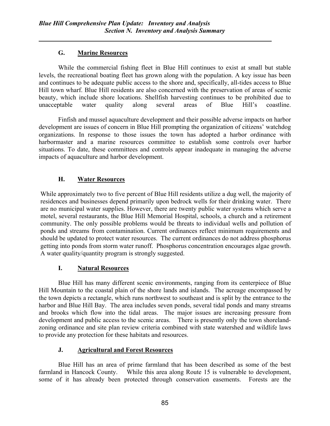# G. Marine Resources

While the commercial fishing fleet in Blue Hill continues to exist at small but stable levels, the recreational boating fleet has grown along with the population. A key issue has been and continues to be adequate public access to the shore and, specifically, all-tides access to Blue Hill town wharf. Blue Hill residents are also concerned with the preservation of areas of scenic beauty, which include shore locations. Shellfish harvesting continues to be prohibited due to unacceptable water quality along several areas of Blue Hill's coastline.

 Finfish and mussel aquaculture development and their possible adverse impacts on harbor development are issues of concern in Blue Hill prompting the organization of citizens' watchdog organizations. In response to those issues the town has adopted a harbor ordinance with harbormaster and a marine resources committee to establish some controls over harbor situations. To date, these committees and controls appear inadequate in managing the adverse impacts of aquaculture and harbor development.

# H. Water Resources

While approximately two to five percent of Blue Hill residents utilize a dug well, the majority of residences and businesses depend primarily upon bedrock wells for their drinking water. There are no municipal water supplies. However, there are twenty public water systems which serve a motel, several restaurants, the Blue Hill Memorial Hospital, schools, a church and a retirement community. The only possible problems would be threats to individual wells and pollution of ponds and streams from contamination. Current ordinances reflect minimum requirements and should be updated to protect water resources. The current ordinances do not address phosphorus getting into ponds from storm water runoff. Phosphorus concentration encourages algae growth. A water quality/quantity program is strongly suggested.

## I. Natural Resources

Blue Hill has many different scenic environments, ranging from its centerpiece of Blue Hill Mountain to the coastal plain of the shore lands and islands. The acreage encompassed by the town depicts a rectangle, which runs northwest to southeast and is split by the entrance to the harbor and Blue Hill Bay. The area includes seven ponds, several tidal ponds and many streams and brooks which flow into the tidal areas. The major issues are increasing pressure from development and public access to the scenic areas. There is presently only the town shorelandzoning ordinance and site plan review criteria combined with state watershed and wildlife laws to provide any protection for these habitats and resources.

## J. Agricultural and Forest Resources

Blue Hill has an area of prime farmland that has been described as some of the best farmland in Hancock County. While this area along Route 15 is vulnerable to development, some of it has already been protected through conservation easements. Forests are the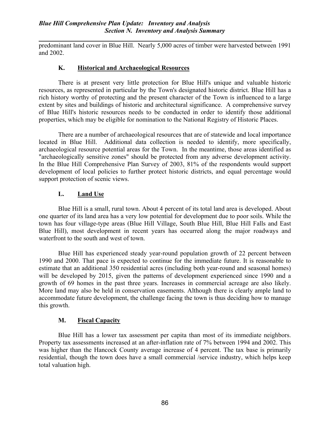predominant land cover in Blue Hill. Nearly 5,000 acres of timber were harvested between 1991 and 2002.

## K. Historical and Archaeological Resources

 There is at present very little protection for Blue Hill's unique and valuable historic resources, as represented in particular by the Town's designated historic district. Blue Hill has a rich history worthy of protecting and the present character of the Town is influenced to a large extent by sites and buildings of historic and architectural significance. A comprehensive survey of Blue Hill's historic resources needs to be conducted in order to identify those additional properties, which may be eligible for nomination to the National Registry of Historic Places.

 There are a number of archaeological resources that are of statewide and local importance located in Blue Hill. Additional data collection is needed to identify, more specifically, archaeological resource potential areas for the Town. In the meantime, those areas identified as "archaeologically sensitive zones" should be protected from any adverse development activity. In the Blue Hill Comprehensive Plan Survey of 2003, 81% of the respondents would support development of local policies to further protect historic districts, and equal percentage would support protection of scenic views.

## L. Land Use

 Blue Hill is a small, rural town. About 4 percent of its total land area is developed. About one quarter of its land area has a very low potential for development due to poor soils. While the town has four village-type areas (Blue Hill Village, South Blue Hill, Blue Hill Falls and East Blue Hill), most development in recent years has occurred along the major roadways and waterfront to the south and west of town.

 Blue Hill has experienced steady year-round population growth of 22 percent between 1990 and 2000. That pace is expected to continue for the immediate future. It is reasonable to estimate that an additional 350 residential acres (including both year-round and seasonal homes) will be developed by 2015, given the patterns of development experienced since 1990 and a growth of 69 homes in the past three years. Increases in commercial acreage are also likely. More land may also be held in conservation easements. Although there is clearly ample land to accommodate future development, the challenge facing the town is thus deciding how to manage this growth.

## M. Fiscal Capacity

 Blue Hill has a lower tax assessment per capita than most of its immediate neighbors. Property tax assessments increased at an after-inflation rate of 7% between 1994 and 2002. This was higher than the Hancock County average increase of 4 percent. The tax base is primarily residential, though the town does have a small commercial /service industry, which helps keep total valuation high.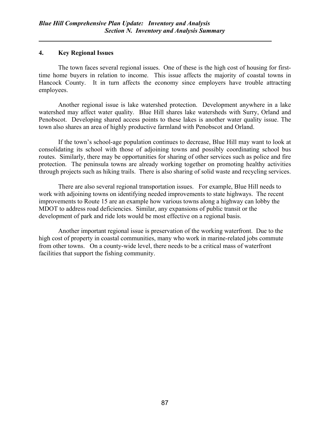#### 4. Key Regional Issues

The town faces several regional issues. One of these is the high cost of housing for firsttime home buyers in relation to income. This issue affects the majority of coastal towns in Hancock County. It in turn affects the economy since employers have trouble attracting employees.

Another regional issue is lake watershed protection. Development anywhere in a lake watershed may affect water quality. Blue Hill shares lake watersheds with Surry, Orland and Penobscot. Developing shared access points to these lakes is another water quality issue. The town also shares an area of highly productive farmland with Penobscot and Orland.

If the town's school-age population continues to decrease, Blue Hill may want to look at consolidating its school with those of adjoining towns and possibly coordinating school bus routes. Similarly, there may be opportunities for sharing of other services such as police and fire protection. The peninsula towns are already working together on promoting healthy activities through projects such as hiking trails. There is also sharing of solid waste and recycling services.

There are also several regional transportation issues. For example, Blue Hill needs to work with adjoining towns on identifying needed improvements to state highways. The recent improvements to Route 15 are an example how various towns along a highway can lobby the MDOT to address road deficiencies. Similar, any expansions of public transit or the development of park and ride lots would be most effective on a regional basis.

Another important regional issue is preservation of the working waterfront. Due to the high cost of property in coastal communities, many who work in marine-related jobs commute from other towns. On a county-wide level, there needs to be a critical mass of waterfront facilities that support the fishing community.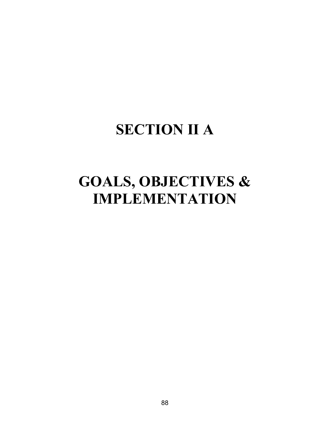# SECTION II A

# GOALS, OBJECTIVES & IMPLEMENTATION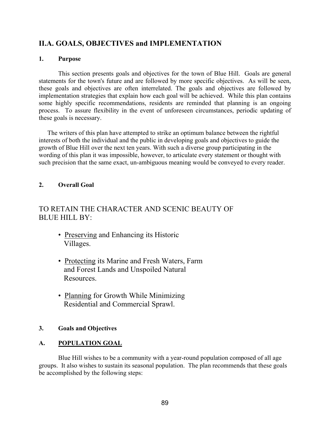# II.A. GOALS, OBJECTIVES and IMPLEMENTATION

## 1. Purpose

This section presents goals and objectives for the town of Blue Hill. Goals are general statements for the town's future and are followed by more specific objectives. As will be seen, these goals and objectives are often interrelated. The goals and objectives are followed by implementation strategies that explain how each goal will be achieved. While this plan contains some highly specific recommendations, residents are reminded that planning is an ongoing process. To assure flexibility in the event of unforeseen circumstances, periodic updating of these goals is necessary.

The writers of this plan have attempted to strike an optimum balance between the rightful interests of both the individual and the public in developing goals and objectives to guide the growth of Blue Hill over the next ten years. With such a diverse group participating in the wording of this plan it was impossible, however, to articulate every statement or thought with such precision that the same exact, un-ambiguous meaning would be conveyed to every reader.

# 2. Overall Goal

# TO RETAIN THE CHARACTER AND SCENIC BEAUTY OF BLUE HILL BY:

- Preserving and Enhancing its Historic Villages.
- Protecting its Marine and Fresh Waters, Farm and Forest Lands and Unspoiled Natural Resources.
- Planning for Growth While Minimizing Residential and Commercial Sprawl.

## 3. Goals and Objectives

# A. POPULATION GOAL

Blue Hill wishes to be a community with a year-round population composed of all age groups. It also wishes to sustain its seasonal population. The plan recommends that these goals be accomplished by the following steps: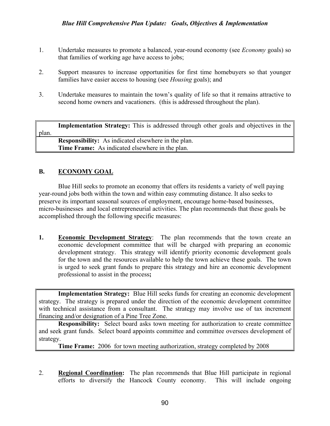- 1. Undertake measures to promote a balanced, year-round economy (see Economy goals) so that families of working age have access to jobs;
- 2. Support measures to increase opportunities for first time homebuyers so that younger families have easier access to housing (see *Housing goals*); and
- 3. Undertake measures to maintain the town's quality of life so that it remains attractive to second home owners and vacationers. (this is addressed throughout the plan).

Implementation Strategy: This is addressed through other goals and objectives in the plan. Responsibility: As indicated elsewhere in the plan. Time Frame: As indicated elsewhere in the plan.

## B. ECONOMY GOAL

Blue Hill seeks to promote an economy that offers its residents a variety of well paying year-round jobs both within the town and within easy commuting distance. It also seeks to preserve its important seasonal sources of employment, encourage home-based businesses, micro-businesses and local entrepreneurial activities. The plan recommends that these goals be accomplished through the following specific measures:

1. Economic Development Strategy: The plan recommends that the town create an economic development committee that will be charged with preparing an economic development strategy. This strategy will identify priority economic development goals for the town and the resources available to help the town achieve these goals. The town is urged to seek grant funds to prepare this strategy and hire an economic development professional to assist in the process;

Implementation Strategy: Blue Hill seeks funds for creating an economic development strategy. The strategy is prepared under the direction of the economic development committee with technical assistance from a consultant. The strategy may involve use of tax increment financing and/or designation of a Pine Tree Zone.

Responsibility: Select board asks town meeting for authorization to create committee and seek grant funds. Select board appoints committee and committee oversees development of strategy.

Time Frame: 2006 for town meeting authorization, strategy completed by 2008

2. Regional Coordination: The plan recommends that Blue Hill participate in regional efforts to diversify the Hancock County economy. This will include ongoing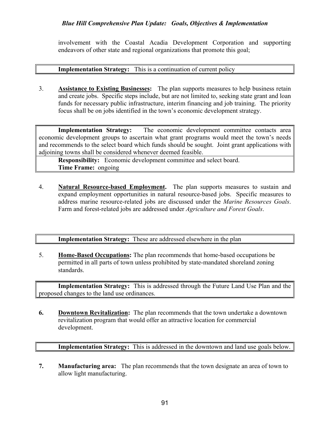involvement with the Coastal Acadia Development Corporation and supporting endeavors of other state and regional organizations that promote this goal;

#### Implementation Strategy: This is a continuation of current policy

3. Assistance to Existing Businesses: The plan supports measures to help business retain and create jobs. Specific steps include, but are not limited to, seeking state grant and loan funds for necessary public infrastructure, interim financing and job training. The priority focus shall be on jobs identified in the town's economic development strategy.

Implementation Strategy: The economic development committee contacts area economic development groups to ascertain what grant programs would meet the town's needs and recommends to the select board which funds should be sought. Joint grant applications with adjoining towns shall be considered whenever deemed feasible.

Responsibility: Economic development committee and select board. Time Frame: ongoing

4. Natural Resource-based Employment. The plan supports measures to sustain and expand employment opportunities in natural resource-based jobs. Specific measures to address marine resource-related jobs are discussed under the Marine Resources Goals. Farm and forest-related jobs are addressed under *Agriculture and Forest Goals*.

## Implementation Strategy: These are addressed elsewhere in the plan

5. Home-Based Occupations: The plan recommends that home-based occupations be permitted in all parts of town unless prohibited by state-mandated shoreland zoning standards.

Implementation Strategy: This is addressed through the Future Land Use Plan and the proposed changes to the land use ordinances.

6. Downtown Revitalization: The plan recommends that the town undertake a downtown revitalization program that would offer an attractive location for commercial development.

Implementation Strategy: This is addressed in the downtown and land use goals below.

7. Manufacturing area: The plan recommends that the town designate an area of town to allow light manufacturing.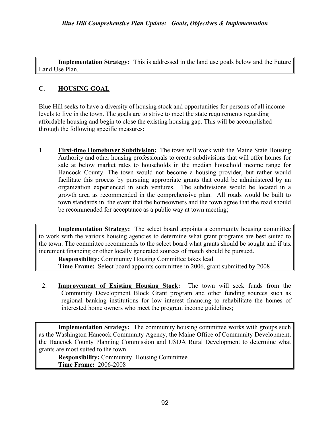Implementation Strategy: This is addressed in the land use goals below and the Future Land Use Plan.

# C. HOUSING GOAL

Blue Hill seeks to have a diversity of housing stock and opportunities for persons of all income levels to live in the town. The goals are to strive to meet the state requirements regarding affordable housing and begin to close the existing housing gap. This will be accomplished through the following specific measures:

1. First-time Homebuyer Subdivision: The town will work with the Maine State Housing Authority and other housing professionals to create subdivisions that will offer homes for sale at below market rates to households in the median household income range for Hancock County. The town would not become a housing provider, but rather would facilitate this process by pursuing appropriate grants that could be administered by an organization experienced in such ventures. The subdivisions would be located in a growth area as recommended in the comprehensive plan. All roads would be built to town standards in the event that the homeowners and the town agree that the road should be recommended for acceptance as a public way at town meeting;

Implementation Strategy: The select board appoints a community housing committee to work with the various housing agencies to determine what grant programs are best suited to the town. The committee recommends to the select board what grants should be sought and if tax increment financing or other locally generated sources of match should be pursued.

Responsibility: Community Housing Committee takes lead. Time Frame: Select board appoints committee in 2006, grant submitted by 2008

2. Improvement of Existing Housing Stock: The town will seek funds from the Community Development Block Grant program and other funding sources such as regional banking institutions for low interest financing to rehabilitate the homes of interested home owners who meet the program income guidelines;

Implementation Strategy: The community housing committee works with groups such as the Washington Hancock Community Agency, the Maine Office of Community Development, the Hancock County Planning Commission and USDA Rural Development to determine what grants are most suited to the town.

Responsibility: Community Housing Committee Time Frame: 2006-2008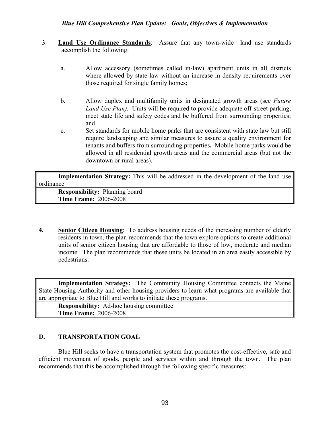## Blue Hill Comprehensive Plan Update: Goals, Objectives & Implementation

- 3. Land Use Ordinance Standards: Assure that any town-wide land use standards accomplish the following:
	- a. Allow accessory (sometimes called in-law) apartment units in all districts where allowed by state law without an increase in density requirements over those required for single family homes;
	- b. Allow duplex and multifamily units in designated growth areas (see *Future* Land Use Plan). Units will be required to provide adequate off-street parking, meet state life and safety codes and be buffered from surrounding properties; and
	- c. Set standards for mobile home parks that are consistent with state law but still require landscaping and similar measures to assure a quality environment for tenants and buffers from surrounding properties. Mobile home parks would be allowed in all residential growth areas and the commercial areas (but not the downtown or rural areas).

Implementation Strategy: This will be addressed in the development of the land use ordinance Responsibility: Planning board

Time Frame: 2006-2008

4. Senior Citizen Housing: To address housing needs of the increasing number of elderly residents in town, the plan recommends that the town explore options to create additional units of senior citizen housing that are affordable to those of low, moderate and median income. The plan recommends that these units be located in an area easily accessible by pedestrians.

Implementation Strategy: The Community Housing Committee contacts the Maine State Housing Authority and other housing providers to learn what programs are available that are appropriate to Blue Hill and works to initiate these programs.

Responsibility: Ad-hoc housing committee Time Frame: 2006-2008

## D. TRANSPORTATION GOAL

Blue Hill seeks to have a transportation system that promotes the cost-effective, safe and efficient movement of goods, people and services within and through the town. The plan recommends that this be accomplished through the following specific measures: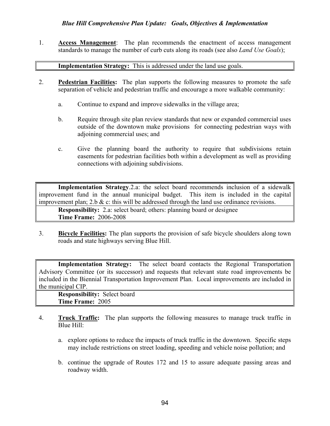## Blue Hill Comprehensive Plan Update: Goals, Objectives & Implementation

1. Access Management: The plan recommends the enactment of access management standards to manage the number of curb cuts along its roads (see also *Land Use Goals*);

#### Implementation Strategy: This is addressed under the land use goals.

- 2. Pedestrian Facilities: The plan supports the following measures to promote the safe separation of vehicle and pedestrian traffic and encourage a more walkable community:
	- a. Continue to expand and improve sidewalks in the village area;
	- b. Require through site plan review standards that new or expanded commercial uses outside of the downtown make provisions for connecting pedestrian ways with adjoining commercial uses; and
	- c. Give the planning board the authority to require that subdivisions retain easements for pedestrian facilities both within a development as well as providing connections with adjoining subdivisions.

Implementation Strategy.2.a: the select board recommends inclusion of a sidewalk improvement fund in the annual municipal budget. This item is included in the capital improvement plan; 2.b  $\&$  c: this will be addressed through the land use ordinance revisions.

Responsibility: 2.a: select board; others: planning board or designee Time Frame: 2006-2008

3. Bicycle Facilities: The plan supports the provision of safe bicycle shoulders along town roads and state highways serving Blue Hill.

Implementation Strategy: The select board contacts the Regional Transportation Advisory Committee (or its successor) and requests that relevant state road improvements be included in the Biennial Transportation Improvement Plan. Local improvements are included in the municipal CIP.

Responsibility: Select board Time Frame: 2005

- 4. Truck Traffic: The plan supports the following measures to manage truck traffic in Blue Hill:
	- a. explore options to reduce the impacts of truck traffic in the downtown. Specific steps may include restrictions on street loading, speeding and vehicle noise pollution; and
	- b. continue the upgrade of Routes 172 and 15 to assure adequate passing areas and roadway width.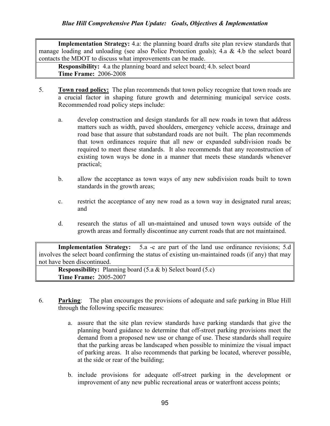Implementation Strategy: 4.a: the planning board drafts site plan review standards that manage loading and unloading (see also Police Protection goals); 4.a & 4.b the select board contacts the MDOT to discuss what improvements can be made.

Responsibility: 4.a the planning board and select board; 4.b. select board Time Frame: 2006-2008

- 5. Town road policy: The plan recommends that town policy recognize that town roads are a crucial factor in shaping future growth and determining municipal service costs. Recommended road policy steps include:
	- a. develop construction and design standards for all new roads in town that address matters such as width, paved shoulders, emergency vehicle access, drainage and road base that assure that substandard roads are not built. The plan recommends that town ordinances require that all new or expanded subdivision roads be required to meet these standards. It also recommends that any reconstruction of existing town ways be done in a manner that meets these standards whenever practical;
	- b. allow the acceptance as town ways of any new subdivision roads built to town standards in the growth areas;
	- c. restrict the acceptance of any new road as a town way in designated rural areas; and
	- d. research the status of all un-maintained and unused town ways outside of the growth areas and formally discontinue any current roads that are not maintained.

Implementation Strategy: 5.a -c are part of the land use ordinance revisions; 5.d involves the select board confirming the status of existing un-maintained roads (if any) that may not have been discontinued.

**Responsibility:** Planning board  $(5.a & b)$  Select board  $(5.c)$ Time Frame: 2005-2007

- 6. Parking: The plan encourages the provisions of adequate and safe parking in Blue Hill through the following specific measures:
	- a. assure that the site plan review standards have parking standards that give the planning board guidance to determine that off-street parking provisions meet the demand from a proposed new use or change of use. These standards shall require that the parking areas be landscaped when possible to minimize the visual impact of parking areas. It also recommends that parking be located, wherever possible, at the side or rear of the building;
	- b. include provisions for adequate off-street parking in the development or improvement of any new public recreational areas or waterfront access points;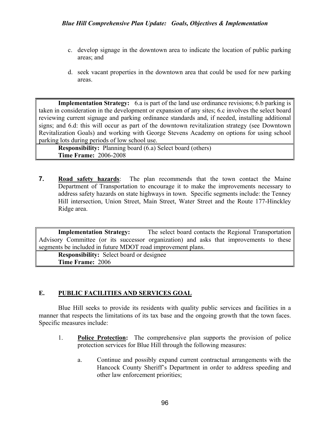- c. develop signage in the downtown area to indicate the location of public parking areas; and
- d. seek vacant properties in the downtown area that could be used for new parking areas.

Implementation Strategy: 6.a is part of the land use ordinance revisions; 6.b parking is taken in consideration in the development or expansion of any sites; 6.c involves the select board reviewing current signage and parking ordinance standards and, if needed, installing additional signs; and 6.d: this will occur as part of the downtown revitalization strategy (see Downtown Revitalization Goals) and working with George Stevens Academy on options for using school parking lots during periods of low school use.

Responsibility: Planning board (6.a) Select board (others) Time Frame: 2006-2008

7. Road safety hazards: The plan recommends that the town contact the Maine Department of Transportation to encourage it to make the improvements necessary to address safety hazards on state highways in town. Specific segments include: the Tenney Hill intersection, Union Street, Main Street, Water Street and the Route 177-Hinckley Ridge area.

Implementation Strategy: The select board contacts the Regional Transportation Advisory Committee (or its successor organization) and asks that improvements to these segments be included in future MDOT road improvement plans.

Responsibility: Select board or designee Time Frame: 2006

## E. PUBLIC FACILITIES AND SERVICES GOAL

 Blue Hill seeks to provide its residents with quality public services and facilities in a manner that respects the limitations of its tax base and the ongoing growth that the town faces. Specific measures include:

- 1. Police Protection: The comprehensive plan supports the provision of police protection services for Blue Hill through the following measures:
	- a. Continue and possibly expand current contractual arrangements with the Hancock County Sheriff's Department in order to address speeding and other law enforcement priorities;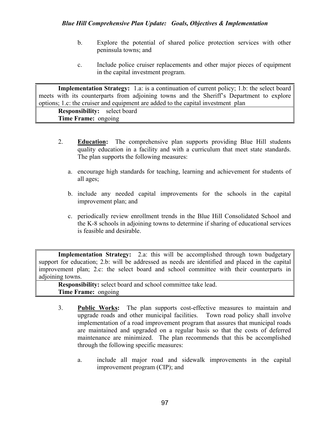- b. Explore the potential of shared police protection services with other peninsula towns; and
- c. Include police cruiser replacements and other major pieces of equipment in the capital investment program.

Implementation Strategy: 1.a: is a continuation of current policy; 1.b: the select board meets with its counterparts from adjoining towns and the Sheriff's Department to explore options; 1.c: the cruiser and equipment are added to the capital investment plan

Responsibility: select board Time Frame: ongoing

- 2. Education: The comprehensive plan supports providing Blue Hill students quality education in a facility and with a curriculum that meet state standards. The plan supports the following measures:
	- a. encourage high standards for teaching, learning and achievement for students of all ages;
	- b. include any needed capital improvements for the schools in the capital improvement plan; and
	- c. periodically review enrollment trends in the Blue Hill Consolidated School and the K-8 schools in adjoining towns to determine if sharing of educational services is feasible and desirable.

Implementation Strategy: 2.a: this will be accomplished through town budgetary support for education; 2.b: will be addressed as needs are identified and placed in the capital improvement plan; 2.c: the select board and school committee with their counterparts in adjoining towns.

Responsibility: select board and school committee take lead. Time Frame: ongoing

- 3. Public Works: The plan supports cost-effective measures to maintain and upgrade roads and other municipal facilities. Town road policy shall involve implementation of a road improvement program that assures that municipal roads are maintained and upgraded on a regular basis so that the costs of deferred maintenance are minimized. The plan recommends that this be accomplished through the following specific measures:
	- a. include all major road and sidewalk improvements in the capital improvement program (CIP); and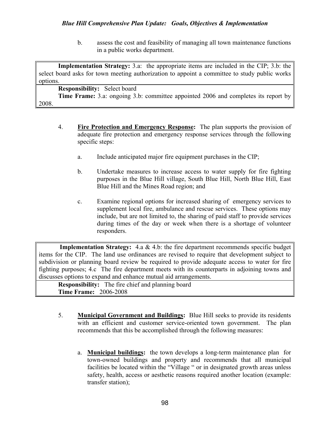## Blue Hill Comprehensive Plan Update: Goals, Objectives & Implementation

b. assess the cost and feasibility of managing all town maintenance functions in a public works department.

Implementation Strategy: 3.a: the appropriate items are included in the CIP; 3.b: the select board asks for town meeting authorization to appoint a committee to study public works options. Responsibility: Select board Time Frame: 3.a: ongoing 3.b: committee appointed 2006 and completes its report by 2008.

- 4. Fire Protection and Emergency Response: The plan supports the provision of adequate fire protection and emergency response services through the following specific steps:
	- a. Include anticipated major fire equipment purchases in the CIP;
	- b. Undertake measures to increase access to water supply for fire fighting purposes in the Blue Hill village, South Blue Hill, North Blue Hill, East Blue Hill and the Mines Road region; and
	- c. Examine regional options for increased sharing of emergency services to supplement local fire, ambulance and rescue services. These options may include, but are not limited to, the sharing of paid staff to provide services during times of the day or week when there is a shortage of volunteer responders.

Implementation Strategy: 4.a & 4.b: the fire department recommends specific budget items for the CIP. The land use ordinances are revised to require that development subject to subdivision or planning board review be required to provide adequate access to water for fire fighting purposes; 4.c The fire department meets with its counterparts in adjoining towns and discusses options to expand and enhance mutual aid arrangements.

Responsibility: The fire chief and planning board Time Frame: 2006-2008

- 5. Municipal Government and Buildings: Blue Hill seeks to provide its residents with an efficient and customer service-oriented town government. The plan recommends that this be accomplished through the following measures:
	- a. Municipal buildings: the town develops a long-term maintenance plan for town-owned buildings and property and recommends that all municipal facilities be located within the "Village " or in designated growth areas unless safety, health, access or aesthetic reasons required another location (example: transfer station);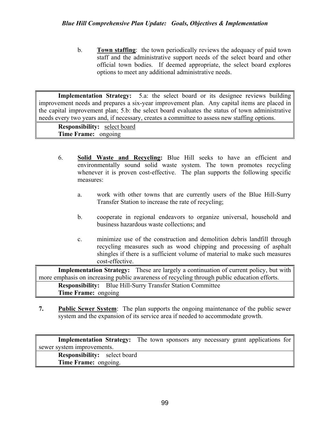b. **Town staffing**: the town periodically reviews the adequacy of paid town staff and the administrative support needs of the select board and other official town bodies. If deemed appropriate, the select board explores options to meet any additional administrative needs.

Implementation Strategy: 5.a: the select board or its designee reviews building improvement needs and prepares a six-year improvement plan. Any capital items are placed in the capital improvement plan; 5.b: the select board evaluates the status of town administrative needs every two years and, if necessary, creates a committee to assess new staffing options.

Responsibility: select board Time Frame: ongoing

- 6. Solid Waste and Recycling: Blue Hill seeks to have an efficient and environmentally sound solid waste system. The town promotes recycling whenever it is proven cost-effective. The plan supports the following specific measures:
	- a. work with other towns that are currently users of the Blue Hill-Surry Transfer Station to increase the rate of recycling;
	- b. cooperate in regional endeavors to organize universal, household and business hazardous waste collections; and
	- c. minimize use of the construction and demolition debris landfill through recycling measures such as wood chipping and processing of asphalt shingles if there is a sufficient volume of material to make such measures cost-effective.

Implementation Strategy: These are largely a continuation of current policy, but with more emphasis on increasing public awareness of recycling through public education efforts. Responsibility: Blue Hill-Surry Transfer Station Committee Time Frame: ongoing

7. Public Sewer System: The plan supports the ongoing maintenance of the public sewer system and the expansion of its service area if needed to accommodate growth.

Implementation Strategy: The town sponsors any necessary grant applications for sewer system improvements. Responsibility: select board Time Frame: ongoing.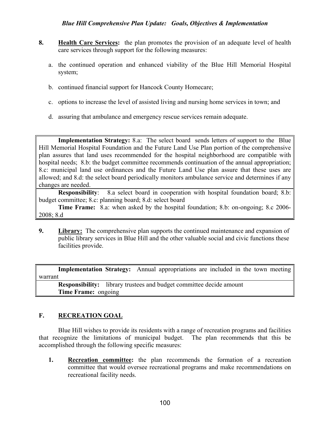## Blue Hill Comprehensive Plan Update: Goals, Objectives & Implementation

- 8. Health Care Services: the plan promotes the provision of an adequate level of health care services through support for the following measures:
	- a. the continued operation and enhanced viability of the Blue Hill Memorial Hospital system;
	- b. continued financial support for Hancock County Homecare;
	- c. options to increase the level of assisted living and nursing home services in town; and
	- d. assuring that ambulance and emergency rescue services remain adequate.

Implementation Strategy: 8.a: The select board sends letters of support to the Blue Hill Memorial Hospital Foundation and the Future Land Use Plan portion of the comprehensive plan assures that land uses recommended for the hospital neighborhood are compatible with hospital needs; 8.b: the budget committee recommends continuation of the annual appropriation; 8.c: municipal land use ordinances and the Future Land Use plan assure that these uses are allowed; and 8.d: the select board periodically monitors ambulance service and determines if any changes are needed.

Responsibility: 8.a select board in cooperation with hospital foundation board; 8.b: budget committee; 8.c: planning board; 8.d: select board

Time Frame: 8.a: when asked by the hospital foundation; 8.b: on-ongoing; 8.c 2006- 2008; 8.d

9. Library: The comprehensive plan supports the continued maintenance and expansion of public library services in Blue Hill and the other valuable social and civic functions these facilities provide.

Implementation Strategy: Annual appropriations are included in the town meeting warrant

Responsibility: library trustees and budget committee decide amount Time Frame: ongoing

## F. RECREATION GOAL

Blue Hill wishes to provide its residents with a range of recreation programs and facilities that recognize the limitations of municipal budget. The plan recommends that this be accomplished through the following specific measures:

1. Recreation committee: the plan recommends the formation of a recreation committee that would oversee recreational programs and make recommendations on recreational facility needs.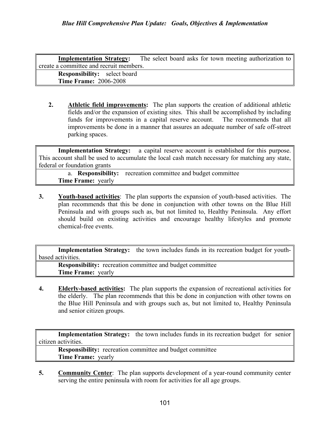**Implementation Strategy:** The select board asks for town meeting authorization to create a committee and recruit members. Responsibility: select board Time Frame: 2006-2008

2. Athletic field improvements: The plan supports the creation of additional athletic fields and/or the expansion of existing sites. This shall be accomplished by including funds for improvements in a capital reserve account. The recommends that all improvements be done in a manner that assures an adequate number of safe off-street parking spaces.

Implementation Strategy: a capital reserve account is established for this purpose. This account shall be used to accumulate the local cash match necessary for matching any state, federal or foundation grants

a. Responsibility: recreation committee and budget committee Time Frame: yearly

3. Youth-based activities: The plan supports the expansion of youth-based activities. The plan recommends that this be done in conjunction with other towns on the Blue Hill Peninsula and with groups such as, but not limited to, Healthy Peninsula. Any effort should build on existing activities and encourage healthy lifestyles and promote chemical-free events.

Implementation Strategy: the town includes funds in its recreation budget for youthbased activities.

Responsibility: recreation committee and budget committee Time Frame: yearly

4. Elderly-based activities: The plan supports the expansion of recreational activities for the elderly. The plan recommends that this be done in conjunction with other towns on the Blue Hill Peninsula and with groups such as, but not limited to, Healthy Peninsula and senior citizen groups.

Implementation Strategy: the town includes funds in its recreation budget for senior citizen activities.

Responsibility: recreation committee and budget committee Time Frame: yearly

5. Community Center: The plan supports development of a year-round community center serving the entire peninsula with room for activities for all age groups.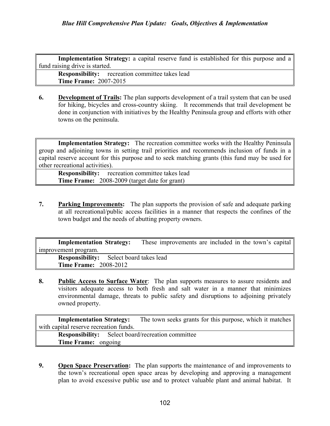Implementation Strategy: a capital reserve fund is established for this purpose and a fund raising drive is started.

Responsibility: recreation committee takes lead Time Frame: 2007-2015

6. Development of Trails: The plan supports development of a trail system that can be used for hiking, bicycles and cross-country skiing. It recommends that trail development be done in conjunction with initiatives by the Healthy Peninsula group and efforts with other towns on the peninsula.

Implementation Strategy: The recreation committee works with the Healthy Peninsula group and adjoining towns in setting trail priorities and recommends inclusion of funds in a capital reserve account for this purpose and to seek matching grants (this fund may be used for other recreational activities).

Responsibility: recreation committee takes lead Time Frame: 2008-2009 (target date for grant)

7. Parking Improvements: The plan supports the provision of safe and adequate parking at all recreational/public access facilities in a manner that respects the confines of the town budget and the needs of abutting property owners.

Implementation Strategy: These improvements are included in the town's capital improvement program.

Responsibility: Select board takes lead Time Frame: 2008-2012

8. Public Access to Surface Water: The plan supports measures to assure residents and visitors adequate access to both fresh and salt water in a manner that minimizes environmental damage, threats to public safety and disruptions to adjoining privately owned property.

Implementation Strategy: The town seeks grants for this purpose, which it matches with capital reserve recreation funds. Responsibility: Select board/recreation committee

Time Frame: ongoing

9. Open Space Preservation: The plan supports the maintenance of and improvements to the town's recreational open space areas by developing and approving a management plan to avoid excessive public use and to protect valuable plant and animal habitat. It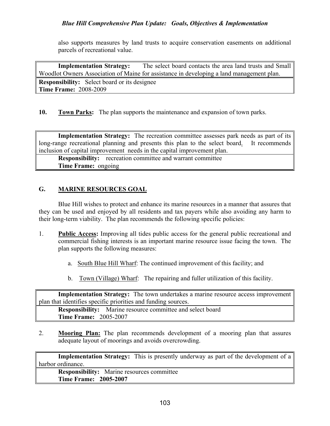also supports measures by land trusts to acquire conservation easements on additional parcels of recreational value.

Implementation Strategy: The select board contacts the area land trusts and Small Woodlot Owners Association of Maine for assistance in developing a land management plan.

Responsibility: Select board or its designee Time Frame: 2008-2009

10. Town Parks: The plan supports the maintenance and expansion of town parks.

Implementation Strategy: The recreation committee assesses park needs as part of its long-range recreational planning and presents this plan to the select board. It recommends inclusion of capital improvement needs in the capital improvement plan.

Responsibility: recreation committee and warrant committee Time Frame: ongoing

#### G. MARINE RESOURCES GOAL

 Blue Hill wishes to protect and enhance its marine resources in a manner that assures that they can be used and enjoyed by all residents and tax payers while also avoiding any harm to their long-term viability. The plan recommends the following specific policies:

- 1. Public Access: Improving all tides public access for the general public recreational and commercial fishing interests is an important marine resource issue facing the town. The plan supports the following measures:
	- a. South Blue Hill Wharf: The continued improvement of this facility; and
	- b. Town (Village) Wharf: The repairing and fuller utilization of this facility.

Implementation Strategy: The town undertakes a marine resource access improvement plan that identifies specific priorities and funding sources.

Responsibility: Marine resource committee and select board Time Frame: 2005-2007

2. Mooring Plan: The plan recommends development of a mooring plan that assures adequate layout of moorings and avoids overcrowding.

Implementation Strategy: This is presently underway as part of the development of a harbor ordinance.

Responsibility: Marine resources committee Time Frame: 2005-2007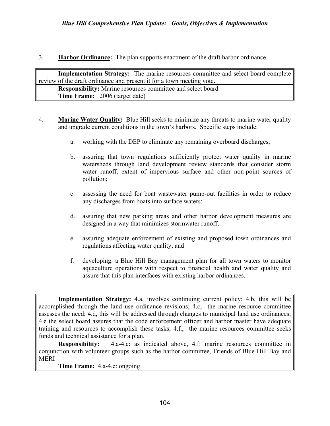3. Harbor Ordinance: The plan supports enactment of the draft harbor ordinance.

Implementation Strategy: The marine resources committee and select board complete review of the draft ordinance and present it for a town meeting vote. Responsibility: Marine resources committee and select board Time Frame: 2006 (target date)

- 4. **Marine Water Quality:** Blue Hill seeks to minimize any threats to marine water quality and upgrade current conditions in the town's harbors. Specific steps include:
	- a. working with the DEP to eliminate any remaining overboard discharges;
	- b. assuring that town regulations sufficiently protect water quality in marine watersheds through land development review standards that consider storm water runoff, extent of impervious surface and other non-point sources of pollution;
	- c. assessing the need for boat wastewater pump-out facilities in order to reduce any discharges from boats into surface waters;
	- d. assuring that new parking areas and other harbor development measures are designed in a way that minimizes stormwater runoff;
	- e. assuring adequate enforcement of existing and proposed town ordinances and regulations affecting water quality; and
	- f. developing. a Blue Hill Bay management plan for all town waters to monitor aquaculture operations with respect to financial health and water quality and assure that this plan interfaces with existing harbor ordinances.

Implementation Strategy: 4.a, involves continuing current policy; 4.b, this will be accomplished through the land use ordinance revisions; 4.c, the marine resource committee assesses the need; 4.d, this will be addressed through changes to municipal land use ordinances; 4.e the select board assures that the code enforcement officer and harbor master have adequate training and resources to accomplish these tasks; 4.f., the marine resources committee seeks funds and technical assistance for a plan.

Responsibility: 4.a-4.e: as indicated above, 4.f: marine resources committee in conjunction with volunteer groups such as the harbor committee, Friends of Blue Hill Bay and MERI

Time Frame: 4.a-4.e: ongoing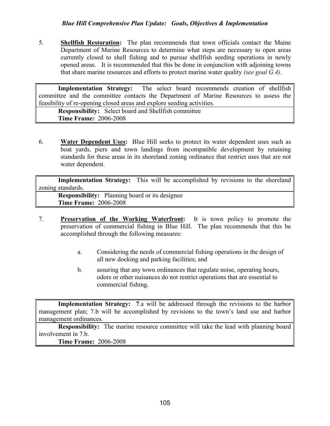5. Shellfish Restoration: The plan recommends that town officials contact the Maine Department of Marine Resources to determine what steps are necessary to open areas currently closed to shell fishing and to pursue shellfish seeding operations in newly opened areas. It is recommended that this be done in conjunction with adjoining towns that share marine resources and efforts to protect marine water quality (see goal G.4).

Implementation Strategy: The select board recommends creation of shellfish committee and the committee contacts the Department of Marine Resources to assess the feasibility of re-opening closed areas and explore seeding activities.

Responsibility: Select board and Shellfish committee Time Frame: 2006-2008

6. Water Dependent Uses: Blue Hill seeks to protect its water dependent uses such as boat yards, piers and town landings from incompatible development by retaining standards for these areas in its shoreland zoning ordinance that restrict uses that are not water dependent.

Implementation Strategy: This will be accomplished by revisions to the shoreland zoning standards.

Responsibility: Planning board or its designee Time Frame: 2006-2008

- 7. Preservation of the Working Waterfront: It is town policy to promote the preservation of commercial fishing in Blue Hill. The plan recommends that this be accomplished through the following measures:
	- a. Considering the needs of commercial fishing operations in the design of all new docking and parking facilities; and
	- b. assuring that any town ordinances that regulate noise, operating hours, odors or other nuisances do not restrict operations that are essential to commercial fishing.

Implementation Strategy: 7.a will be addressed through the revisions to the harbor management plan; 7.b will be accomplished by revisions to the town's land use and harbor management ordinances.

Responsibility: The marine resource committee will take the lead with planning board involvement in 7.b.

Time Frame: 2006-2008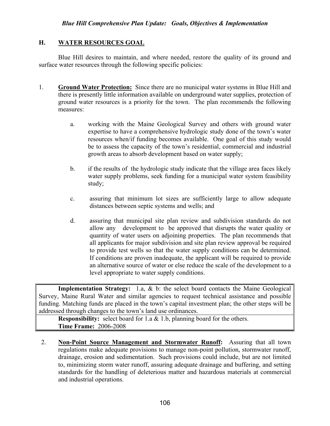#### H. WATER RESOURCES GOAL

 Blue Hill desires to maintain, and where needed, restore the quality of its ground and surface water resources through the following specific policies:

- 1. Ground Water Protection: Since there are no municipal water systems in Blue Hill and there is presently little information available on underground water supplies, protection of ground water resources is a priority for the town. The plan recommends the following measures:
	- a. working with the Maine Geological Survey and others with ground water expertise to have a comprehensive hydrologic study done of the town's water resources when/if funding becomes available. One goal of this study would be to assess the capacity of the town's residential, commercial and industrial growth areas to absorb development based on water supply;
	- b. if the results of the hydrologic study indicate that the village area faces likely water supply problems, seek funding for a municipal water system feasibility study;
	- c. assuring that minimum lot sizes are sufficiently large to allow adequate distances between septic systems and wells; and
	- d. assuring that municipal site plan review and subdivision standards do not allow any development to be approved that disrupts the water quality or quantity of water users on adjoining properties. The plan recommends that all applicants for major subdivision and site plan review approval be required to provide test wells so that the water supply conditions can be determined. If conditions are proven inadequate, the applicant will be required to provide an alternative source of water or else reduce the scale of the development to a level appropriate to water supply conditions.

Implementation Strategy: 1.a, & b: the select board contacts the Maine Geological Survey, Maine Rural Water and similar agencies to request technical assistance and possible funding. Matching funds are placed in the town's capital investment plan; the other steps will be addressed through changes to the town's land use ordinances.

**Responsibility:** select board for 1.a & 1.b, planning board for the others. Time Frame: 2006-2008

2. Non-Point Source Management and Stormwater Runoff: Assuring that all town regulations make adequate provisions to manage non-point pollution, stormwater runoff, drainage, erosion and sedimentation. Such provisions could include, but are not limited to, minimizing storm water runoff, assuring adequate drainage and buffering, and setting standards for the handling of deleterious matter and hazardous materials at commercial and industrial operations.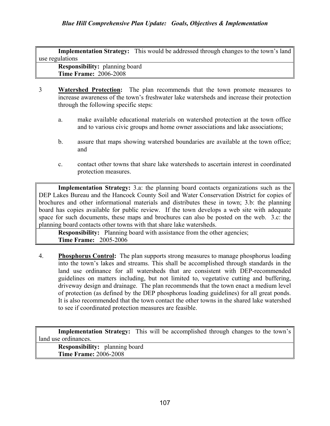Implementation Strategy: This would be addressed through changes to the town's land use regulations

Responsibility: planning board Time Frame: 2006-2008

- 3 Watershed Protection: The plan recommends that the town promote measures to increase awareness of the town's freshwater lake watersheds and increase their protection through the following specific steps:
	- a. make available educational materials on watershed protection at the town office and to various civic groups and home owner associations and lake associations;
	- b. assure that maps showing watershed boundaries are available at the town office; and
	- c. contact other towns that share lake watersheds to ascertain interest in coordinated protection measures.

Implementation Strategy: 3.a: the planning board contacts organizations such as the DEP Lakes Bureau and the Hancock County Soil and Water Conservation District for copies of brochures and other informational materials and distributes these in town; 3.b: the planning board has copies available for public review. If the town develops a web site with adequate space for such documents, these maps and brochures can also be posted on the web. 3.c: the planning board contacts other towns with that share lake watersheds.

**Responsibility:** Planning board with assistance from the other agencies; Time Frame: 2005-2006

4. Phosphorus Control: The plan supports strong measures to manage phosphorus loading into the town's lakes and streams. This shall be accomplished through standards in the land use ordinance for all watersheds that are consistent with DEP-recommended guidelines on matters including, but not limited to, vegetative cutting and buffering, driveway design and drainage. The plan recommends that the town enact a medium level of protection (as defined by the DEP phosphorus loading guidelines) for all great ponds. It is also recommended that the town contact the other towns in the shared lake watershed to see if coordinated protection measures are feasible.

Implementation Strategy: This will be accomplished through changes to the town's land use ordinances.

Responsibility: planning board Time Frame: 2006-2008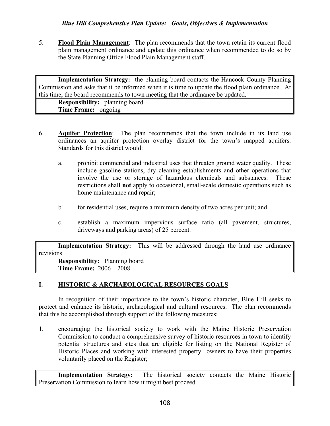5. Flood Plain Management: The plan recommends that the town retain its current flood plain management ordinance and update this ordinance when recommended to do so by the State Planning Office Flood Plain Management staff.

Implementation Strategy: the planning board contacts the Hancock County Planning Commission and asks that it be informed when it is time to update the flood plain ordinance. At this time, the board recommends to town meeting that the ordinance be updated.

Responsibility: planning board Time Frame: ongoing

- 6. Aquifer Protection: The plan recommends that the town include in its land use ordinances an aquifer protection overlay district for the town's mapped aquifers. Standards for this district would:
	- a. prohibit commercial and industrial uses that threaten ground water quality. These include gasoline stations, dry cleaning establishments and other operations that involve the use or storage of hazardous chemicals and substances. These restrictions shall not apply to occasional, small-scale domestic operations such as home maintenance and repair;
	- b. for residential uses, require a minimum density of two acres per unit; and
	- c. establish a maximum impervious surface ratio (all pavement, structures, driveways and parking areas) of 25 percent.

| <b>Implementation Strategy:</b> This will be addressed through the land use ordinance |  |  |  |  |  |
|---------------------------------------------------------------------------------------|--|--|--|--|--|
| revisions                                                                             |  |  |  |  |  |
| <b>Responsibility:</b> Planning board                                                 |  |  |  |  |  |
| <b>Time Frame:</b> $2006 - 2008$                                                      |  |  |  |  |  |

#### I. HISTORIC & ARCHAEOLOGICAL RESOURCES GOALS

 In recognition of their importance to the town's historic character, Blue Hill seeks to protect and enhance its historic, archaeological and cultural resources. The plan recommends that this be accomplished through support of the following measures:

1. encouraging the historical society to work with the Maine Historic Preservation Commission to conduct a comprehensive survey of historic resources in town to identify potential structures and sites that are eligible for listing on the National Register of Historic Places and working with interested property owners to have their properties voluntarily placed on the Register;

Implementation Strategy: The historical society contacts the Maine Historic Preservation Commission to learn how it might best proceed.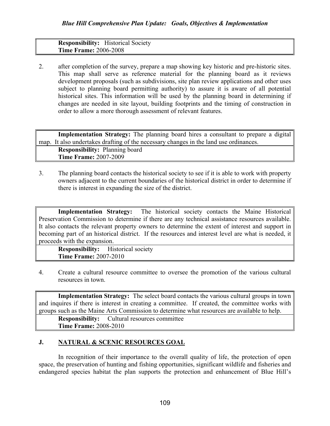#### Responsibility: Historical Society Time Frame: 2006-2008

2. after completion of the survey, prepare a map showing key historic and pre-historic sites. This map shall serve as reference material for the planning board as it reviews development proposals (such as subdivisions, site plan review applications and other uses subject to planning board permitting authority) to assure it is aware of all potential historical sites. This information will be used by the planning board in determining if changes are needed in site layout, building footprints and the timing of construction in order to allow a more thorough assessment of relevant features.

Implementation Strategy: The planning board hires a consultant to prepare a digital map. It also undertakes drafting of the necessary changes in the land use ordinances. Responsibility: Planning board Time Frame: 2007-2009

3. The planning board contacts the historical society to see if it is able to work with property owners adjacent to the current boundaries of the historical district in order to determine if there is interest in expanding the size of the district.

Implementation Strategy: The historical society contacts the Maine Historical Preservation Commission to determine if there are any technical assistance resources available. It also contacts the relevant property owners to determine the extent of interest and support in becoming part of an historical district. If the resources and interest level are what is needed, it proceeds with the expansion.

Responsibility: Historical society Time Frame: 2007-2010

4. Create a cultural resource committee to oversee the promotion of the various cultural resources in town.

Implementation Strategy: The select board contacts the various cultural groups in town and inquires if there is interest in creating a committee. If created, the committee works with groups such as the Maine Arts Commission to determine what resources are available to help.

Responsibility: Cultural resources committee Time Frame: 2008-2010

#### J. NATURAL & SCENIC RESOURCES GOAL

In recognition of their importance to the overall quality of life, the protection of open space, the preservation of hunting and fishing opportunities, significant wildlife and fisheries and endangered species habitat the plan supports the protection and enhancement of Blue Hill's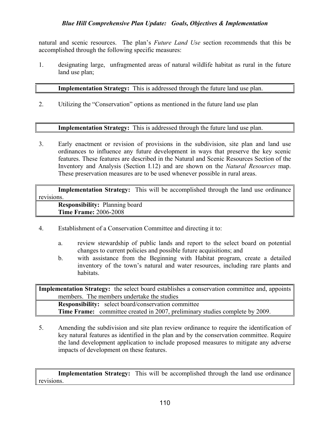natural and scenic resources. The plan's *Future Land Use* section recommends that this be accomplished through the following specific measures:

1. designating large, unfragmented areas of natural wildlife habitat as rural in the future land use plan;

#### Implementation Strategy: This is addressed through the future land use plan.

2. Utilizing the "Conservation" options as mentioned in the future land use plan

#### Implementation Strategy: This is addressed through the future land use plan.

3. Early enactment or revision of provisions in the subdivision, site plan and land use ordinances to influence any future development in ways that preserve the key scenic features. These features are described in the Natural and Scenic Resources Section of the Inventory and Analysis (Section I.12) and are shown on the Natural Resources map. These preservation measures are to be used whenever possible in rural areas.

| <b>Implementation Strategy:</b> This will be accomplished through the land use ordinance |  |  |  |
|------------------------------------------------------------------------------------------|--|--|--|
| revisions.                                                                               |  |  |  |
| <b>Responsibility:</b> Planning board                                                    |  |  |  |
| <b>Time Frame: 2006-2008</b>                                                             |  |  |  |

- 4. Establishment of a Conservation Committee and directing it to:
	- a. review stewardship of public lands and report to the select board on potential changes to current policies and possible future acquisitions; and
	- b. with assistance from the Beginning with Habitat program, create a detailed inventory of the town's natural and water resources, including rare plants and habitats.

Implementation Strategy: the select board establishes a conservation committee and, appoints members. The members undertake the studies Responsibility: select board/conservation committee Time Frame: committee created in 2007, preliminary studies complete by 2009.

5. Amending the subdivision and site plan review ordinance to require the identification of key natural features as identified in the plan and by the conservation committee. Require the land development application to include proposed measures to mitigate any adverse impacts of development on these features.

Implementation Strategy: This will be accomplished through the land use ordinance revisions.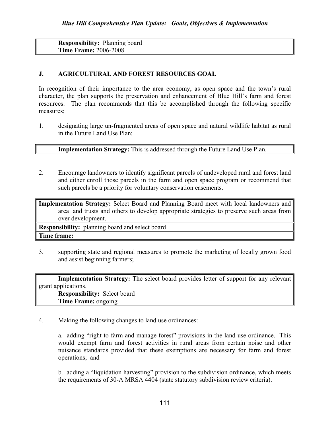Responsibility: Planning board Time Frame: 2006-2008

#### J. AGRICULTURAL AND FOREST RESOURCES GOAL

In recognition of their importance to the area economy, as open space and the town's rural character, the plan supports the preservation and enhancement of Blue Hill's farm and forest resources. The plan recommends that this be accomplished through the following specific measures;

1. designating large un-fragmented areas of open space and natural wildlife habitat as rural in the Future Land Use Plan;

#### Implementation Strategy: This is addressed through the Future Land Use Plan.

2. Encourage landowners to identify significant parcels of undeveloped rural and forest land and either enroll those parcels in the farm and open space program or recommend that such parcels be a priority for voluntary conservation easements.

Implementation Strategy: Select Board and Planning Board meet with local landowners and area land trusts and others to develop appropriate strategies to preserve such areas from over development.

Responsibility: planning board and select board

#### Time frame:

3. supporting state and regional measures to promote the marketing of locally grown food and assist beginning farmers;

| <b>Implementation Strategy:</b> The select board provides letter of support for any relevant |
|----------------------------------------------------------------------------------------------|
| grant applications.                                                                          |
| <b>Responsibility:</b> Select board                                                          |
| <b>Time Frame: ongoing</b>                                                                   |

4. Making the following changes to land use ordinances:

 a. adding "right to farm and manage forest" provisions in the land use ordinance. This would exempt farm and forest activities in rural areas from certain noise and other nuisance standards provided that these exemptions are necessary for farm and forest operations; and

 b. adding a "liquidation harvesting" provision to the subdivision ordinance, which meets the requirements of 30-A MRSA 4404 (state statutory subdivision review criteria).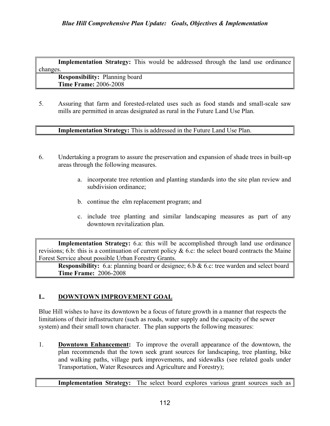Implementation Strategy: This would be addressed through the land use ordinance changes. Responsibility: Planning board

Time Frame: 2006-2008

5. Assuring that farm and forested-related uses such as food stands and small-scale saw mills are permitted in areas designated as rural in the Future Land Use Plan.

Implementation Strategy: This is addressed in the Future Land Use Plan.

- 6. Undertaking a program to assure the preservation and expansion of shade trees in built-up areas through the following measures.
	- a. incorporate tree retention and planting standards into the site plan review and subdivision ordinance;
	- b. continue the elm replacement program; and
	- c. include tree planting and similar landscaping measures as part of any downtown revitalization plan.

Implementation Strategy: 6.a: this will be accomplished through land use ordinance revisions; 6.b: this is a continuation of current policy  $\&$  6.c: the select board contracts the Maine Forest Service about possible Urban Forestry Grants.

Responsibility: 6.a: planning board or designee; 6.b & 6.c: tree warden and select board Time Frame: 2006-2008

#### L. DOWNTOWN IMPROVEMENT GOAL

 Blue Hill wishes to have its downtown be a focus of future growth in a manner that respects the limitations of their infrastructure (such as roads, water supply and the capacity of the sewer system) and their small town character. The plan supports the following measures:

1. Downtown Enhancement: To improve the overall appearance of the downtown, the plan recommends that the town seek grant sources for landscaping, tree planting, bike and walking paths, village park improvements, and sidewalks (see related goals under Transportation, Water Resources and Agriculture and Forestry);

Implementation Strategy: The select board explores various grant sources such as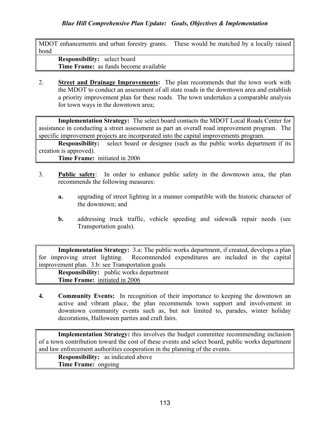MDOT enhancements and urban forestry grants. These would be matched by a locally raised bond

Responsibility: select board Time Frame: as funds become available

2. Street and Drainage Improvements: The plan recommends that the town work with the MDOT to conduct an assessment of all state roads in the downtown area and establish a priority improvement plan for these roads. The town undertakes a comparable analysis for town ways in the downtown area;

Implementation Strategy: The select board contacts the MDOT Local Roads Center for assistance in conducting a street assessment as part an overall road improvement program. The specific improvement projects are incorporated into the capital improvements program.

**Responsibility:** select board or designee (such as the public works department if its creation is approved).

Time Frame: initiated in 2006

- 3. Public safety: In order to enhance public safety in the downtown area, the plan recommends the following measures:
	- a. upgrading of street lighting in a manner compatible with the historic character of the downtown; and
	- b. addressing truck traffic, vehicle speeding and sidewalk repair needs (see Transportation goals).

Implementation Strategy: 3.a: The public works department, if created, develops a plan for improving street lighting. Recommended expenditures are included in the capital improvement plan. 3.b: see Transportation goals

Responsibility: public works department Time Frame: initiated in 2006

4. Community Events: In recognition of their importance to keeping the downtown an active and vibrant place, the plan recommends town support and involvement in downtown community events such as, but not limited to, parades, winter holiday decorations, Halloween parties and craft fairs.

Implementation Strategy: this involves the budget committee recommending inclusion of a town contribution toward the cost of these events and select board, public works department and law enforcement authorities cooperation in the planning of the events.

Responsibility: as indicated above Time Frame: ongoing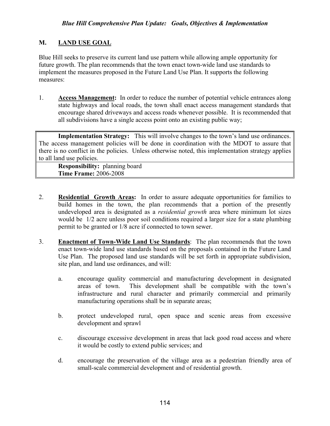#### M. LAND USE GOAL

Blue Hill seeks to preserve its current land use pattern while allowing ample opportunity for future growth. The plan recommends that the town enact town-wide land use standards to implement the measures proposed in the Future Land Use Plan. It supports the following measures:

1. Access Management: In order to reduce the number of potential vehicle entrances along state highways and local roads, the town shall enact access management standards that encourage shared driveways and access roads whenever possible. It is recommended that all subdivisions have a single access point onto an existing public way;

Implementation Strategy: This will involve changes to the town's land use ordinances. The access management policies will be done in coordination with the MDOT to assure that there is no conflict in the policies. Unless otherwise noted, this implementation strategy applies to all land use policies.

Responsibility: planning board Time Frame: 2006-2008

- 2. Residential Growth Areas: In order to assure adequate opportunities for families to build homes in the town, the plan recommends that a portion of the presently undeveloped area is designated as a *residential growth* area where minimum lot sizes would be 1/2 acre unless poor soil conditions required a larger size for a state plumbing permit to be granted or 1/8 acre if connected to town sewer.
- 3. Enactment of Town-Wide Land Use Standards: The plan recommends that the town enact town-wide land use standards based on the proposals contained in the Future Land Use Plan. The proposed land use standards will be set forth in appropriate subdivision, site plan, and land use ordinances, and will:
	- a. encourage quality commercial and manufacturing development in designated areas of town. This development shall be compatible with the town's infrastructure and rural character and primarily commercial and primarily manufacturing operations shall be in separate areas;
	- b. protect undeveloped rural, open space and scenic areas from excessive development and sprawl
	- c. discourage excessive development in areas that lack good road access and where it would be costly to extend public services; and
	- d. encourage the preservation of the village area as a pedestrian friendly area of small-scale commercial development and of residential growth.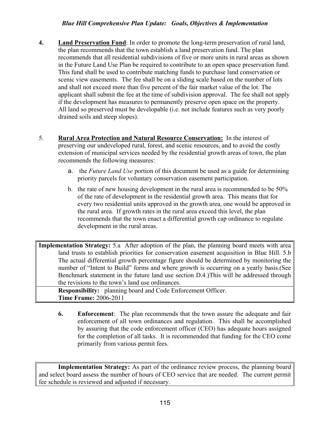- 4. Land Preservation Fund: In order to promote the long-term preservation of rural land, the plan recommends that the town establish a land preservation fund. The plan recommends that all residential subdivisions of five or more units in rural areas as shown in the Future Land Use Plan be required to contribute to an open space preservation fund. This fund shall be used to contribute matching funds to purchase land conservation or scenic view easements. The fee shall be on a sliding scale based on the number of lots and shall not exceed more than five percent of the fair market value of the lot. The applicant shall submit the fee at the time of subdivision approval. The fee shall not apply if the development has measures to permanently preserve open space on the property. All land so preserved must be developable (i.e. not include features such as very poorly drained soils and steep slopes).
- 5. Rural Area Protection and Natural Resource Conservation: In the interest of preserving our undeveloped rural, forest, and scenic resources, and to avoid the costly extension of municipal services needed by the residential growth areas of town, the plan recommends the following measures:
	- **a**. the *Future Land Use* portion of this document be used as a guide for determining priority parcels for voluntary conservation easement participation.
	- b. the rate of new housing development in the rural area is recommended to be 50% of the rate of development in the residential growth area. This means that for every two residential units approved in the growth area, one would be approved in the rural area. If growth rates in the rural area exceed this level, the plan recommends that the town enact a differential growth cap ordinance to regulate development in the rural areas.

Implementation Strategy: 5.a After adoption of the plan, the planning board meets with area land trusts to establish priorities for conservation easement acquisition in Blue Hill. 5.b The actual differential growth percentage figure should be determined by monitoring the number of "Intent to Build" forms and where growth is occurring on a yearly basis.(See Benchmark statement in the future land use section D.4.)This will be addressed through the revisions to the town's land use ordinances.

Responsibility: planning board and Code Enforcement Officer. Time Frame: 2006-2011

6. Enforcement: The plan recommends that the town assure the adequate and fair enforcement of all town ordinances and regulation. This shall be accomplished by assuring that the code enforcement officer (CEO) has adequate hours assigned for the completion of all tasks. It is recommended that funding for the CEO come primarily from various permit fees.

Implementation Strategy: As part of the ordinance review process, the planning board and select board assess the number of hours of CEO service that are needed. The current permit fee schedule is reviewed and adjusted if necessary.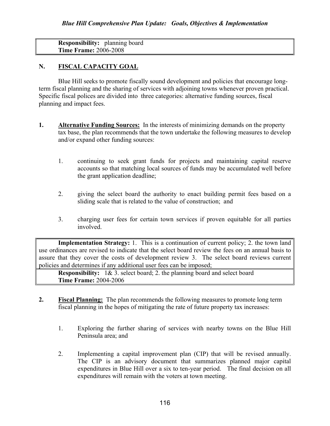Responsibility: planning board Time Frame: 2006-2008

#### N. FISCAL CAPACITY GOAL

Blue Hill seeks to promote fiscally sound development and policies that encourage longterm fiscal planning and the sharing of services with adjoining towns whenever proven practical. Specific fiscal polices are divided into three categories: alternative funding sources, fiscal planning and impact fees.

- 1. Alternative Funding Sources: In the interests of minimizing demands on the property tax base, the plan recommends that the town undertake the following measures to develop and/or expand other funding sources:
	- 1. continuing to seek grant funds for projects and maintaining capital reserve accounts so that matching local sources of funds may be accumulated well before the grant application deadline;
	- 2. giving the select board the authority to enact building permit fees based on a sliding scale that is related to the value of construction; and
	- 3. charging user fees for certain town services if proven equitable for all parties involved.

Implementation Strategy: 1. This is a continuation of current policy; 2. the town land use ordinances are revised to indicate that the select board review the fees on an annual basis to assure that they cover the costs of development review 3. The select board reviews current policies and determines if any additional user fees can be imposed;

Responsibility: 1& 3. select board; 2. the planning board and select board Time Frame: 2004-2006

- 2. Fiscal Planning: The plan recommends the following measures to promote long term fiscal planning in the hopes of mitigating the rate of future property tax increases:
	- 1. Exploring the further sharing of services with nearby towns on the Blue Hill Peninsula area; and
	- 2. Implementing a capital improvement plan (CIP) that will be revised annually. The CIP is an advisory document that summarizes planned major capital expenditures in Blue Hill over a six to ten-year period. The final decision on all expenditures will remain with the voters at town meeting.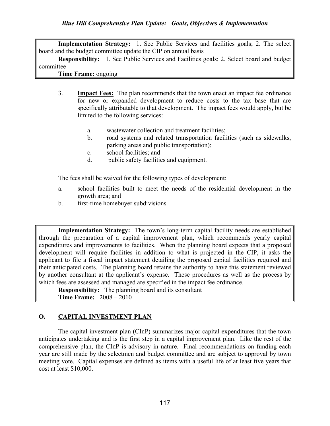Implementation Strategy: 1. See Public Services and facilities goals; 2. The select board and the budget committee update the CIP on annual basis

Responsibility: 1. See Public Services and Facilities goals; 2. Select board and budget committee

Time Frame: ongoing

- 3. Impact Fees: The plan recommends that the town enact an impact fee ordinance for new or expanded development to reduce costs to the tax base that are specifically attributable to that development. The impact fees would apply, but be limited to the following services:
	- a. wastewater collection and treatment facilities;
	- b. road systems and related transportation facilities (such as sidewalks, parking areas and public transportation);
	- c. school facilities; and
	- d. public safety facilities and equipment.

The fees shall be waived for the following types of development:

- a. school facilities built to meet the needs of the residential development in the growth area; and
- b. first-time homebuyer subdivisions.

Implementation Strategy: The town's long-term capital facility needs are established through the preparation of a capital improvement plan, which recommends yearly capital expenditures and improvements to facilities. When the planning board expects that a proposed development will require facilities in addition to what is projected in the CIP, it asks the applicant to file a fiscal impact statement detailing the proposed capital facilities required and their anticipated costs. The planning board retains the authority to have this statement reviewed by another consultant at the applicant's expense. These procedures as well as the process by which fees are assessed and managed are specified in the impact fee ordinance.

Responsibility: The planning board and its consultant Time Frame: 2008 – 2010

#### O. CAPITAL INVESTMENT PLAN

The capital investment plan (CInP) summarizes major capital expenditures that the town anticipates undertaking and is the first step in a capital improvement plan. Like the rest of the comprehensive plan, the CInP is advisory in nature. Final recommendations on funding each year are still made by the selectmen and budget committee and are subject to approval by town meeting vote. Capital expenses are defined as items with a useful life of at least five years that cost at least \$10,000.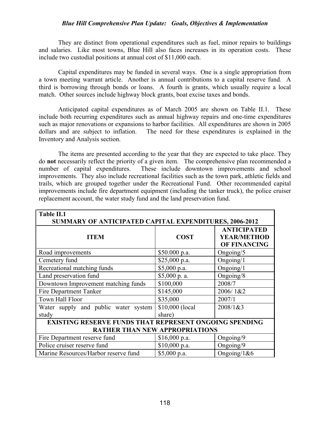They are distinct from operational expenditures such as fuel, minor repairs to buildings and salaries. Like most towns, Blue Hill also faces increases in its operation costs. These include two custodial positions at annual cost of \$11,000 each.

 Capital expenditures may be funded in several ways. One is a single appropriation from a town meeting warrant article. Another is annual contributions to a capital reserve fund. A third is borrowing through bonds or loans. A fourth is grants, which usually require a local match. Other sources include highway block grants, boat excise taxes and bonds.

 Anticipated capital expenditures as of March 2005 are shown on Table II.1. These include both recurring expenditures such as annual highway repairs and one-time expenditures such as major renovations or expansions to harbor facilities. All expenditures are shown in 2005 dollars and are subject to inflation. The need for these expenditures is explained in the Inventory and Analysis section.

The items are presented according to the year that they are expected to take place. They do not necessarily reflect the priority of a given item. The comprehensive plan recommended a number of capital expenditures. These include downtown improvements and school improvements. They also include recreational facilities such as the town park, athletic fields and trails, which are grouped together under the Recreational Fund. Other recommended capital improvements include fire department equipment (including the tanker truck), the police cruiser replacement account, the water study fund and the land preservation fund.

| <b>Table II.1</b><br>SUMMARY OF ANTICIPATED CAPITAL EXPENDITURES, 2006-2012 |                 |                                                                 |  |  |  |
|-----------------------------------------------------------------------------|-----------------|-----------------------------------------------------------------|--|--|--|
| <b>ITEM</b>                                                                 | <b>COST</b>     | <b>ANTICIPATED</b><br><b>YEAR/METHOD</b><br><b>OF FINANCING</b> |  |  |  |
| Road improvements                                                           | \$50.000 p.a.   | Ongoing/5                                                       |  |  |  |
| Cemetery fund                                                               | \$25,000 p.a.   | Ongoing/1                                                       |  |  |  |
| Recreational matching funds                                                 | $$5,000$ p.a.   | Ongoing/1                                                       |  |  |  |
| Land preservation fund                                                      | \$5,000 p. a.   | Ongoing/8                                                       |  |  |  |
| Downtown Improvement matching funds                                         | \$100,000       | 2008/7                                                          |  |  |  |
| Fire Department Tanker                                                      | \$145,000       | 2006/1&2                                                        |  |  |  |
| Town Hall Floor                                                             | \$35,000        | 2007/1                                                          |  |  |  |
| Water supply and public water system                                        | \$10,000 (local | 2008/1&3                                                        |  |  |  |
| study                                                                       | share)          |                                                                 |  |  |  |
| <b>EXISTING RESERVE FUNDS THAT REPRESENT ONGOING SPENDING</b>               |                 |                                                                 |  |  |  |
| <b>RATHER THAN NEW APPROPRIATIONS</b>                                       |                 |                                                                 |  |  |  |
| Fire Department reserve fund                                                | \$16,000 p.a.   | Ongoing/9                                                       |  |  |  |
| Police cruiser reserve fund                                                 | \$10,000 p.a.   | Ongoing/9                                                       |  |  |  |
| Marine Resources/Harbor reserve fund                                        | \$5,000 p.a.    | Ongoing/ $1&6$                                                  |  |  |  |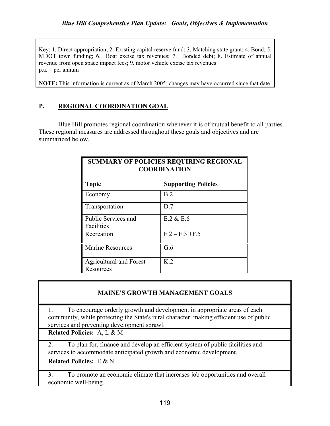Key: 1. Direct appropriation; 2. Existing capital reserve fund; 3. Matching state grant; 4. Bond; 5. MDOT town funding; 6. Boat excise tax revenues; 7. Bonded debt; 8. Estimate of annual revenue from open space impact fees; 9. motor vehicle excise tax revenues  $p.a. = per annum$ 

NOTE: This information is current as of March 2005, changes may have occurred since that date.

#### P. REGIONAL COORDINATION GOAL

Blue Hill promotes regional coordination whenever it is of mutual benefit to all parties. These regional measures are addressed throughout these goals and objectives and are summarized below.

| <b>SUMMARY OF POLICIES REQUIRING REGIONAL</b><br><b>COORDINATION</b> |                            |  |  |  |
|----------------------------------------------------------------------|----------------------------|--|--|--|
| <b>Topic</b>                                                         | <b>Supporting Policies</b> |  |  |  |
| Economy                                                              | B.2                        |  |  |  |
| Transportation                                                       | D.7                        |  |  |  |
| Public Services and<br>Facilities                                    | $E.2 \& E.6$               |  |  |  |
| Recreation                                                           | $F.2 - F.3 + F.5$          |  |  |  |
| <b>Marine Resources</b>                                              | G.6                        |  |  |  |
| <b>Agricultural and Forest</b><br>Resources                          | K <sub>2</sub>             |  |  |  |

#### MAINE'S GROWTH MANAGEMENT GOALS

1. To encourage orderly growth and development in appropriate areas of each community, while protecting the State's rural character, making efficient use of public services and preventing development sprawl.

Related Policies: A, L & M

2. To plan for, finance and develop an efficient system of public facilities and services to accommodate anticipated growth and economic development.

Related Policies: E & N

3. To promote an economic climate that increases job opportunities and overall economic well-being.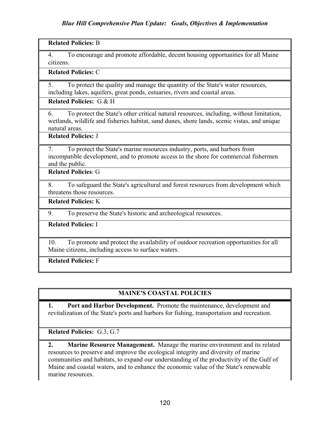#### Related Policies: B

4. To encourage and promote affordable, decent housing opportunities for all Maine citizens.

#### Related Policies: C

5. To protect the quality and manage the quantity of the State's water resources, including lakes, aquifers, great ponds, estuaries, rivers and coastal areas.

#### Related Policies: G & H

6. To protect the State's other critical natural resources, including, without limitation, wetlands, wildlife and fisheries habitat, sand dunes, shore lands, scenic vistas, and unique natural areas.

#### Related Policies: J

7. To protect the State's marine resources industry, ports, and harbors from incompatible development, and to promote access to the shore for commercial fishermen and the public.

Related Policies: G

8. To safeguard the State's agricultural and forest resources from development which threatens those resources.

Related Policies: K

9. To preserve the State's historic and archeological resources.

#### Related Policies: I

10. To promote and protect the availability of outdoor recreation opportunities for all Maine citizens, including access to surface waters.

Related Policies: F

#### MAINE'S COASTAL POLICIES

1. Port and Harbor Development. Promote the maintenance, development and revitalization of the State's ports and harbors for fishing, transportation and recreation.

Related Policies: G.3, G.7

2. Marine Resource Management. Manage the marine environment and its related resources to preserve and improve the ecological integrity and diversity of marine communities and habitats, to expand our understanding of the productivity of the Gulf of Maine and coastal waters, and to enhance the economic value of the State's renewable marine resources.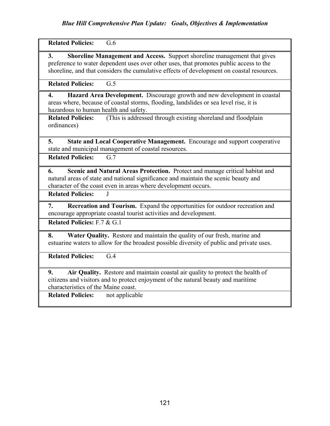Related Policies: G.6

3. Shoreline Management and Access. Support shoreline management that gives preference to water dependent uses over other uses, that promotes public access to the shoreline, and that considers the cumulative effects of development on coastal resources.

Related Policies: G.5

4. Hazard Area Development. Discourage growth and new development in coastal areas where, because of coastal storms, flooding, landslides or sea level rise, it is hazardous to human health and safety.

Related Policies: (This is addressed through existing shoreland and floodplain ordinances)

5. State and Local Cooperative Management. Encourage and support cooperative state and municipal management of coastal resources.

Related Policies: G.7

6. Scenic and Natural Areas Protection. Protect and manage critical habitat and natural areas of state and national significance and maintain the scenic beauty and character of the coast even in areas where development occurs.

Related Policies: J

7. Recreation and Tourism. Expand the opportunities for outdoor recreation and encourage appropriate coastal tourist activities and development.

Related Policies: F.7 & G.1

8. Water Quality. Restore and maintain the quality of our fresh, marine and estuarine waters to allow for the broadest possible diversity of public and private uses.

Related Policies: G.4

9. Air Quality. Restore and maintain coastal air quality to protect the health of citizens and visitors and to protect enjoyment of the natural beauty and maritime characteristics of the Maine coast.

Related Policies: not applicable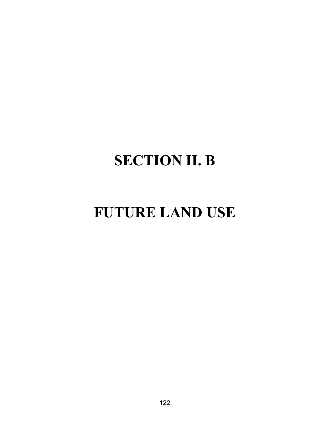# SECTION II. B

# FUTURE LAND USE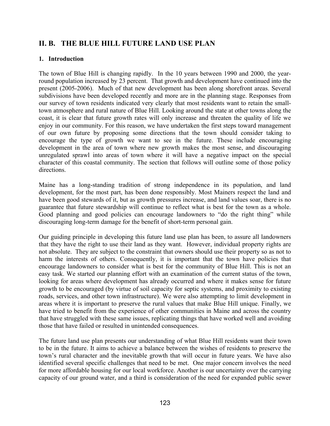## II. B. THE BLUE HILL FUTURE LAND USE PLAN

#### 1. Introduction

The town of Blue Hill is changing rapidly. In the 10 years between 1990 and 2000, the yearround population increased by 23 percent. That growth and development have continued into the present (2005-2006). Much of that new development has been along shorefront areas. Several subdivisions have been developed recently and more are in the planning stage. Responses from our survey of town residents indicated very clearly that most residents want to retain the smalltown atmosphere and rural nature of Blue Hill. Looking around the state at other towns along the coast, it is clear that future growth rates will only increase and threaten the quality of life we enjoy in our community. For this reason, we have undertaken the first steps toward management of our own future by proposing some directions that the town should consider taking to encourage the type of growth we want to see in the future. These include encouraging development in the area of town where new growth makes the most sense, and discouraging unregulated sprawl into areas of town where it will have a negative impact on the special character of this coastal community. The section that follows will outline some of those policy directions.

Maine has a long-standing tradition of strong independence in its population, and land development, for the most part, has been done responsibly. Most Mainers respect the land and have been good stewards of it, but as growth pressures increase, and land values soar, there is no guarantee that future stewardship will continue to reflect what is best for the town as a whole. Good planning and good policies can encourage landowners to "do the right thing" while discouraging long-term damage for the benefit of short-term personal gain.

Our guiding principle in developing this future land use plan has been, to assure all landowners that they have the right to use their land as they want. However, individual property rights are not absolute. They are subject to the constraint that owners should use their property so as not to harm the interests of others. Consequently, it is important that the town have policies that encourage landowners to consider what is best for the community of Blue Hill. This is not an easy task. We started our planning effort with an examination of the current status of the town, looking for areas where development has already occurred and where it makes sense for future growth to be encouraged (by virtue of soil capacity for septic systems, and proximity to existing roads, services, and other town infrastructure). We were also attempting to limit development in areas where it is important to preserve the rural values that make Blue Hill unique. Finally, we have tried to benefit from the experience of other communities in Maine and across the country that have struggled with these same issues, replicating things that have worked well and avoiding those that have failed or resulted in unintended consequences.

The future land use plan presents our understanding of what Blue Hill residents want their town to be in the future. It aims to achieve a balance between the wishes of residents to preserve the town's rural character and the inevitable growth that will occur in future years. We have also identified several specific challenges that need to be met. One major concern involves the need for more affordable housing for our local workforce. Another is our uncertainty over the carrying capacity of our ground water, and a third is consideration of the need for expanded public sewer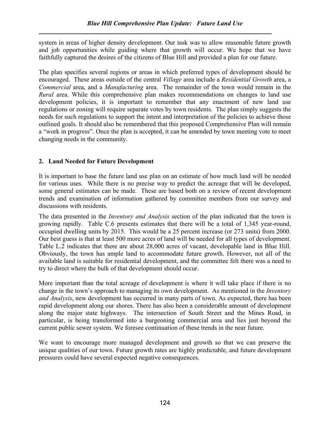system in areas of higher density development. Our task was to allow reasonable future growth and job opportunities while guiding where that growth will occur. We hope that we have faithfully captured the desires of the citizens of Blue Hill and provided a plan for our future.

The plan specifies several regions or areas in which preferred types of development should be encouraged. These areas outside of the central Village area include a Residential Growth area, a Commercial area, and a Manufacturing area. The remainder of the town would remain in the Rural area. While this comprehensive plan makes recommendations on changes to land use development policies, it is important to remember that any enactment of new land use regulations or zoning will require separate votes by town residents. The plan simply suggests the needs for such regulations to support the intent and interpretation of the policies to achieve those outlined goals. It should also be remembered that this proposed Comprehensive Plan will remain a "work in progress". Once the plan is accepted, it can be amended by town meeting vote to meet changing needs in the community.

#### 2. Land Needed for Future Development

It is important to base the future land use plan on an estimate of how much land will be needed for various uses. While there is no precise way to predict the acreage that will be developed, some general estimates can be made. These are based both on a review of recent development trends and examination of information gathered by committee members from our survey and discussions with residents.

The data presented in the Inventory and Analysis section of the plan indicated that the town is growing rapidly. Table C.6 presents estimates that there will be a total of 1,345 year-round, occupied dwelling units by 2015. This would be a 25 percent increase (or 273 units) from 2000. Our best guess is that at least 500 more acres of land will be needed for all types of development. Table L.2 indicates that there are about 28,000 acres of vacant, developable land in Blue Hill. Obviously, the town has ample land to accommodate future growth. However, not all of the available land is suitable for residential development, and the committee felt there was a need to try to direct where the bulk of that development should occur.

More important than the total acreage of development is where it will take place if there is no change in the town's approach to managing its own development. As mentioned in the Inventory and Analysis, new development has occurred in many parts of town. As expected, there has been rapid development along our shores. There has also been a considerable amount of development along the major state highways. The intersection of South Street and the Mines Road, in particular, is being transformed into a burgeoning commercial area and lies just beyond the current public sewer system. We foresee continuation of these trends in the near future.

We want to encourage more managed development and growth so that we can preserve the unique qualities of our town. Future growth rates are highly predictable, and future development pressures could have several expected negative consequences.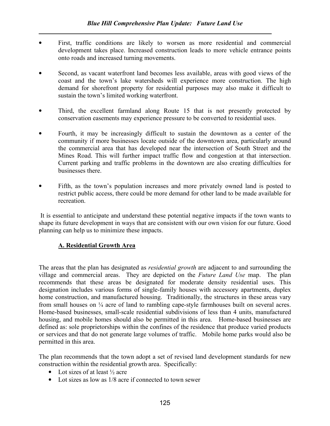- First, traffic conditions are likely to worsen as more residential and commercial development takes place. Increased construction leads to more vehicle entrance points onto roads and increased turning movements.
- Second, as vacant waterfront land becomes less available, areas with good views of the coast and the town's lake watersheds will experience more construction. The high demand for shorefront property for residential purposes may also make it difficult to sustain the town's limited working waterfront.
- Third, the excellent farmland along Route 15 that is not presently protected by conservation easements may experience pressure to be converted to residential uses.
- Fourth, it may be increasingly difficult to sustain the downtown as a center of the community if more businesses locate outside of the downtown area, particularly around the commercial area that has developed near the intersection of South Street and the Mines Road. This will further impact traffic flow and congestion at that intersection. Current parking and traffic problems in the downtown are also creating difficulties for businesses there.
- Fifth, as the town's population increases and more privately owned land is posted to restrict public access, there could be more demand for other land to be made available for recreation.

 It is essential to anticipate and understand these potential negative impacts if the town wants to shape its future development in ways that are consistent with our own vision for our future. Good planning can help us to minimize these impacts.

#### A. Residential Growth Area

The areas that the plan has designated as residential growth are adjacent to and surrounding the village and commercial areas. They are depicted on the Future Land Use map. The plan recommends that these areas be designated for moderate density residential uses. This designation includes various forms of single-family houses with accessory apartments, duplex home construction, and manufactured housing. Traditionally, the structures in these areas vary from small houses on ¼ acre of land to rambling cape-style farmhouses built on several acres. Home-based businesses, small-scale residential subdivisions of less than 4 units, manufactured housing, and mobile homes should also be permitted in this area. Home-based businesses are defined as: sole proprietorships within the confines of the residence that produce varied products or services and that do not generate large volumes of traffic. Mobile home parks would also be permitted in this area.

The plan recommends that the town adopt a set of revised land development standards for new construction within the residential growth area. Specifically:

- Lot sizes of at least  $\frac{1}{2}$  acre
- Lot sizes as low as  $1/8$  acre if connected to town sewer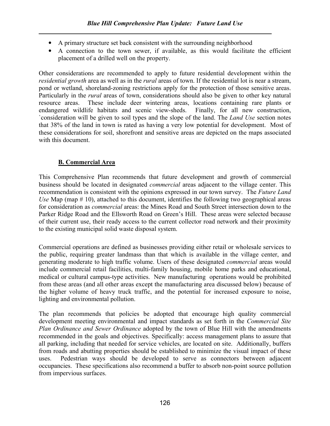- A primary structure set back consistent with the surrounding neighborhood
- A connection to the town sewer, if available, as this would facilitate the efficient placement of a drilled well on the property.

Other considerations are recommended to apply to future residential development within the residential growth area as well as in the *rural* areas of town. If the residential lot is near a stream, pond or wetland, shoreland-zoning restrictions apply for the protection of those sensitive areas. Particularly in the rural areas of town, considerations should also be given to other key natural resource areas. These include deer wintering areas, locations containing rare plants or endangered wildlife habitats and scenic view-sheds. Finally, for all new construction, `consideration will be given to soil types and the slope of the land. The Land Use section notes that 38% of the land in town is rated as having a very low potential for development. Most of these considerations for soil, shorefront and sensitive areas are depicted on the maps associated with this document.

#### B. Commercial Area

This Comprehensive Plan recommends that future development and growth of commercial business should be located in designated commercial areas adjacent to the village center. This recommendation is consistent with the opinions expressed in our town survey. The Future Land Use Map (map  $# 10$ ), attached to this document, identifies the following two geographical areas for consideration as commercial areas: the Mines Road and South Street intersection down to the Parker Ridge Road and the Ellsworth Road on Green's Hill. These areas were selected because of their current use, their ready access to the current collector road network and their proximity to the existing municipal solid waste disposal system.

Commercial operations are defined as businesses providing either retail or wholesale services to the public, requiring greater landmass than that which is available in the village center, and generating moderate to high traffic volume. Users of these designated commercial areas would include commercial retail facilities, multi-family housing, mobile home parks and educational, medical or cultural campus-type activities. New manufacturing operations would be prohibited from these areas (and all other areas except the manufacturing area discussed below) because of the higher volume of heavy truck traffic, and the potential for increased exposure to noise, lighting and environmental pollution.

The plan recommends that policies be adopted that encourage high quality commercial development meeting environmental and impact standards as set forth in the Commercial Site Plan Ordinance and Sewer Ordinance adopted by the town of Blue Hill with the amendments recommended in the goals and objectives. Specifically: access management plans to assure that all parking, including that needed for service vehicles, are located on site. Additionally, buffers from roads and abutting properties should be established to minimize the visual impact of these uses. Pedestrian ways should be developed to serve as connectors between adjacent occupancies. These specifications also recommend a buffer to absorb non-point source pollution from impervious surfaces.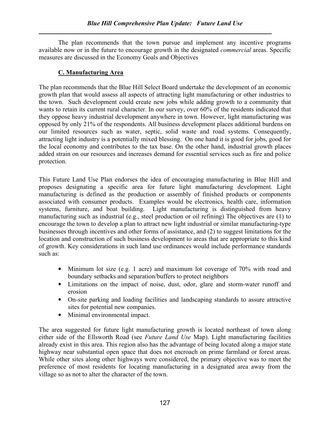The plan recommends that the town pursue and implement any incentive programs available now or in the future to encourage growth in the designated commercial areas. Specific measures are discussed in the Economy Goals and Objectives

#### C. Manufacturing Area

The plan recommends that the Blue Hill Select Board undertake the development of an economic growth plan that would assess all aspects of attracting light manufacturing or other industries to the town. Such development could create new jobs while adding growth to a community that wants to retain its current rural character. In our survey, over 60% of the residents indicated that they oppose heavy industrial development anywhere in town. However, light manufacturing was opposed by only 21% of the respondents. All business development places additional burdens on our limited resources such as water, septic, solid waste and road systems. Consequently, attracting light industry is a potentially mixed blessing. On one hand it is good for jobs, good for the local economy and contributes to the tax base. On the other hand, industrial growth places added strain on our resources and increases demand for essential services such as fire and police protection.

This Future Land Use Plan endorses the idea of encouraging manufacturing in Blue Hill and proposes designating a specific area for future light manufacturing development. Light manufacturing is defined as the production or assembly of finished products or components associated with consumer products. Examples would be electronics, health care, information systems, furniture, and boat building. Light manufacturing is distinguished from heavy manufacturing such as industrial (e.g., steel production or oil refining) The objectives are (1) to encourage the town to develop a plan to attract new light industrial or similar manufacturing-type businesses through incentives and other forms of assistance, and (2) to suggest limitations for the location and construction of such business development to areas that are appropriate to this kind of growth. Key considerations in such land use ordinances would include performance standards such as:

- Minimum lot size (e.g. 1 acre) and maximum lot coverage of 70% with road and boundary setbacks and separation/buffers to protect neighbors
- Limitations on the impact of noise, dust, odor, glare and storm-water runoff and erosion
- On-site parking and loading facilities and landscaping standards to assure attractive sites for potential new companies.
- Minimal environmental impact.

The area suggested for future light manufacturing growth is located northeast of town along either side of the Ellsworth Road (see Future Land Use Map). Light manufacturing facilities already exist in this area. This region also has the advantage of being located along a major state highway near substantial open space that does not encroach on prime farmland or forest areas. While other sites along other highways were considered, the primary objective was to meet the preference of most residents for locating manufacturing in a designated area away from the village so as not to alter the character of the town.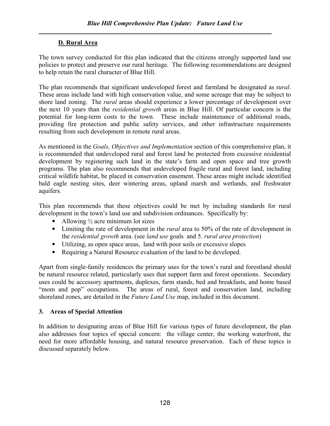#### D. Rural Area

The town survey conducted for this plan indicated that the citizens strongly supported land use policies to protect and preserve our rural heritage. The following recommendations are designed to help retain the rural character of Blue Hill.

The plan recommends that significant undeveloped forest and farmland be designated as rural. These areas include land with high conservation value, and some acreage that may be subject to shore land zoning. The rural areas should experience a lower percentage of development over the next 10 years than the residential growth areas in Blue Hill. Of particular concern is the potential for long-term costs to the town. These include maintenance of additional roads, providing fire protection and public safety services, and other infrastructure requirements resulting from such development in remote rural areas.

As mentioned in the *Goals, Objectives and Implementation* section of this comprehensive plan, it is recommended that undeveloped rural and forest land be protected from excessive residential development by registering such land in the state's farm and open space and tree growth programs. The plan also recommends that undeveloped fragile rural and forest land, including critical wildlife habitat, be placed in conservation easement. These areas might include identified bald eagle nesting sites, deer wintering areas, upland marsh and wetlands, and freshwater aquifers.

This plan recommends that these objectives could be met by including standards for rural development in the town's land use and subdivision ordinances. Specifically by:

- Allowing  $\frac{1}{2}$  acre minimum lot sizes
- Limiting the rate of development in the *rural* area to 50% of the rate of development in the residential growth area. (see land use goals and 5. rural area protection)
- Utilizing, as open space areas, land with poor soils or excessive slopes
- Requiring a Natural Resource evaluation of the land to be developed.

Apart from single-family residences the primary uses for the town's rural and forestland should be natural resource related, particularly uses that support farm and forest operations. Secondary uses could be accessory apartments, duplexes, farm stands, bed and breakfasts, and home based "mom and pop" occupations. The areas of rural, forest and conservation land, including shoreland zones, are detailed in the *Future Land Use* map, included in this document.

#### 3. Areas of Special Attention

In addition to designating areas of Blue Hill for various types of future development, the plan also addresses four topics of special concern: the village center, the working waterfront, the need for more affordable housing, and natural resource preservation. Each of these topics is discussed separately below.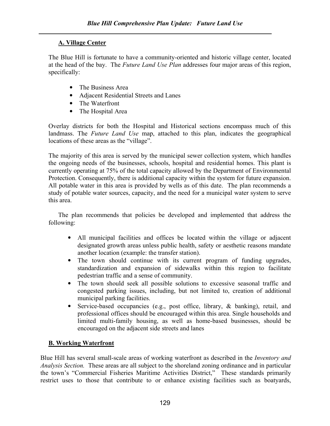#### A. Village Center

The Blue Hill is fortunate to have a community-oriented and historic village center, located at the head of the bay. The Future Land Use Plan addresses four major areas of this region, specifically:

- The Business Area
- Adjacent Residential Streets and Lanes
- The Waterfront
- The Hospital Area

Overlay districts for both the Hospital and Historical sections encompass much of this landmass. The Future Land Use map, attached to this plan, indicates the geographical locations of these areas as the "village".

The majority of this area is served by the municipal sewer collection system, which handles the ongoing needs of the businesses, schools, hospital and residential homes. This plant is currently operating at 75% of the total capacity allowed by the Department of Environmental Protection. Consequently, there is additional capacity within the system for future expansion. All potable water in this area is provided by wells as of this date. The plan recommends a study of potable water sources, capacity, and the need for a municipal water system to serve this area.

The plan recommends that policies be developed and implemented that address the following:

- All municipal facilities and offices be located within the village or adjacent designated growth areas unless public health, safety or aesthetic reasons mandate another location (example: the transfer station).
- The town should continue with its current program of funding upgrades, standardization and expansion of sidewalks within this region to facilitate pedestrian traffic and a sense of community.
- The town should seek all possible solutions to excessive seasonal traffic and congested parking issues, including, but not limited to, creation of additional municipal parking facilities.
- Service-based occupancies (e.g., post office, library, & banking), retail, and professional offices should be encouraged within this area. Single households and limited multi-family housing, as well as home-based businesses, should be encouraged on the adjacent side streets and lanes

### B. Working Waterfront

Blue Hill has several small-scale areas of working waterfront as described in the *Inventory and* Analysis Section. These areas are all subject to the shoreland zoning ordinance and in particular the town's "Commercial Fisheries Maritime Activities District," These standards primarily restrict uses to those that contribute to or enhance existing facilities such as boatyards,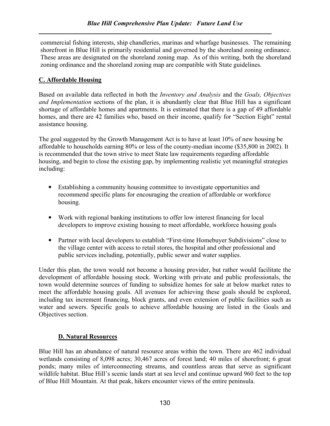commercial fishing interests, ship chandleries, marinas and wharfage businesses. The remaining shorefront in Blue Hill is primarily residential and governed by the shoreland zoning ordinance. These areas are designated on the shoreland zoning map. As of this writing, both the shoreland zoning ordinance and the shoreland zoning map are compatible with State guidelines.

#### C. Affordable Housing

Based on available data reflected in both the Inventory and Analysis and the Goals, Objectives and Implementation sections of the plan, it is abundantly clear that Blue Hill has a significant shortage of affordable homes and apartments. It is estimated that there is a gap of 49 affordable homes, and there are 42 families who, based on their income, qualify for "Section Eight" rental assistance housing.

The goal suggested by the Growth Management Act is to have at least 10% of new housing be affordable to households earning 80% or less of the county-median income (\$35,800 in 2002). It is recommended that the town strive to meet State law requirements regarding affordable housing, and begin to close the existing gap, by implementing realistic yet meaningful strategies including:

- Establishing a community housing committee to investigate opportunities and recommend specific plans for encouraging the creation of affordable or workforce housing.
- Work with regional banking institutions to offer low interest financing for local developers to improve existing housing to meet affordable, workforce housing goals
- Partner with local developers to establish "First-time Homebuyer Subdivisions" close to the village center with access to retail stores, the hospital and other professional and public services including, potentially, public sewer and water supplies.

Under this plan, the town would not become a housing provider, but rather would facilitate the development of affordable housing stock. Working with private and public professionals, the town would determine sources of funding to subsidize homes for sale at below market rates to meet the affordable housing goals. All avenues for achieving these goals should be explored, including tax increment financing, block grants, and even extension of public facilities such as water and sewers. Specific goals to achieve affordable housing are listed in the Goals and Objectives section.

#### D. Natural Resources

Blue Hill has an abundance of natural resource areas within the town. There are 462 individual wetlands consisting of 8,098 acres; 30,467 acres of forest land; 40 miles of shorefront; 6 great ponds; many miles of interconnecting streams, and countless areas that serve as significant wildlife habitat. Blue Hill's scenic lands start at sea level and continue upward 960 feet to the top of Blue Hill Mountain. At that peak, hikers encounter views of the entire peninsula.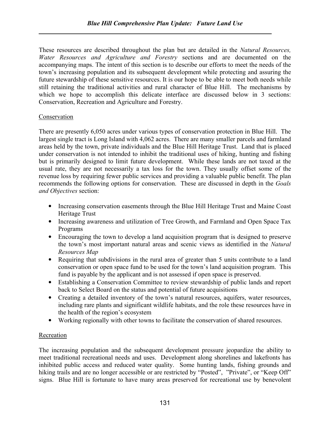These resources are described throughout the plan but are detailed in the Natural Resources, Water Resources and Agriculture and Forestry sections and are documented on the accompanying maps. The intent of this section is to describe our efforts to meet the needs of the town's increasing population and its subsequent development while protecting and assuring the future stewardship of these sensitive resources. It is our hope to be able to meet both needs while still retaining the traditional activities and rural character of Blue Hill. The mechanisms by which we hope to accomplish this delicate interface are discussed below in 3 sections: Conservation, Recreation and Agriculture and Forestry.

#### Conservation

There are presently 6,050 acres under various types of conservation protection in Blue Hill. The largest single tract is Long Island with 4,062 acres. There are many smaller parcels and farmland areas held by the town, private individuals and the Blue Hill Heritage Trust. Land that is placed under conservation is not intended to inhibit the traditional uses of hiking, hunting and fishing but is primarily designed to limit future development. While these lands are not taxed at the usual rate, they are not necessarily a tax loss for the town. They usually offset some of the revenue loss by requiring fewer public services and providing a valuable public benefit. The plan recommends the following options for conservation. These are discussed in depth in the Goals and Objectives section:

- Increasing conservation easements through the Blue Hill Heritage Trust and Maine Coast Heritage Trust
- Increasing awareness and utilization of Tree Growth, and Farmland and Open Space Tax Programs
- Encouraging the town to develop a land acquisition program that is designed to preserve the town's most important natural areas and scenic views as identified in the Natural Resources Map
- Requiring that subdivisions in the rural area of greater than 5 units contribute to a land conservation or open space fund to be used for the town's land acquisition program. This fund is payable by the applicant and is not assessed if open space is preserved.
- Establishing a Conservation Committee to review stewardship of public lands and report back to Select Board on the status and potential of future acquisitions
- Creating a detailed inventory of the town's natural resources, aquifers, water resources, including rare plants and significant wildlife habitats, and the role these resources have in the health of the region's ecosystem
- Working regionally with other towns to facilitate the conservation of shared resources.

#### Recreation

The increasing population and the subsequent development pressure jeopardize the ability to meet traditional recreational needs and uses. Development along shorelines and lakefronts has inhibited public access and reduced water quality. Some hunting lands, fishing grounds and hiking trails and are no longer accessible or are restricted by "Posted", "Private", or "Keep Off" signs. Blue Hill is fortunate to have many areas preserved for recreational use by benevolent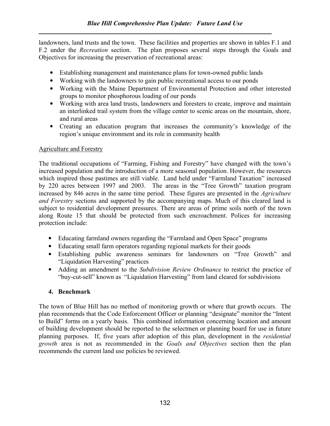landowners, land trusts and the town. These facilities and properties are shown in tables F.1 and F.2 under the *Recreation* section. The plan proposes several steps through the Goals and Objectives for increasing the preservation of recreational areas:

- Establishing management and maintenance plans for town-owned public lands
- Working with the landowners to gain public recreational access to our ponds
- Working with the Maine Department of Environmental Protection and other interested groups to monitor phosphorous loading of our ponds
- Working with area land trusts, landowners and foresters to create, improve and maintain an interlinked trail system from the village center to scenic areas on the mountain, shore, and rural areas
- Creating an education program that increases the community's knowledge of the region's unique environment and its role in community health

#### Agriculture and Forestry

The traditional occupations of "Farming, Fishing and Forestry" have changed with the town's increased population and the introduction of a more seasonal population. However, the resources which inspired those pastimes are still viable. Land held under "Farmland Taxation" increased by 220 acres between 1997 and 2003. The areas in the "Tree Growth" taxation program increased by 846 acres in the same time period. These figures are presented in the *Agriculture* and Forestry sections and supported by the accompanying maps. Much of this cleared land is subject to residential development pressures. There are areas of prime soils north of the town along Route 15 that should be protected from such encroachment. Polices for increasing protection include:

- Educating farmland owners regarding the "Farmland and Open Space" programs
- Educating small farm operators regarding regional markets for their goods
- Establishing public awareness seminars for landowners on "Tree Growth" and "Liquidation Harvesting" practices
- Adding an amendment to the Subdivision Review Ordinance to restrict the practice of "buy-cut-sell" known as "Liquidation Harvesting" from land cleared for subdivisions

#### 4. Benchmark

The town of Blue Hill has no method of monitoring growth or where that growth occurs. The plan recommends that the Code Enforcement Officer or planning "designate" monitor the "Intent to Build" forms on a yearly basis. This combined information concerning location and amount of building development should be reported to the selectmen or planning board for use in future planning purposes. If, five years after adoption of this plan, development in the residential growth area is not as recommended in the Goals and Objectives section then the plan recommends the current land use policies be reviewed.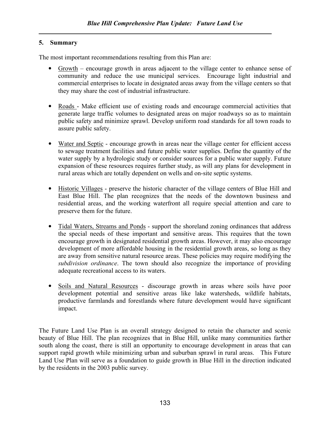#### 5. Summary

The most important recommendations resulting from this Plan are:

- Growth encourage growth in areas adjacent to the village center to enhance sense of community and reduce the use municipal services. Encourage light industrial and commercial enterprises to locate in designated areas away from the village centers so that they may share the cost of industrial infrastructure.
- Roads Make efficient use of existing roads and encourage commercial activities that generate large traffic volumes to designated areas on major roadways so as to maintain public safety and minimize sprawl. Develop uniform road standards for all town roads to assure public safety.
- Water and Septic encourage growth in areas near the village center for efficient access to sewage treatment facilities and future public water supplies. Define the quantity of the water supply by a hydrologic study or consider sources for a public water supply. Future expansion of these resources requires further study, as will any plans for development in rural areas which are totally dependent on wells and on-site septic systems.
- Historic Villages preserve the historic character of the village centers of Blue Hill and East Blue Hill. The plan recognizes that the needs of the downtown business and residential areas, and the working waterfront all require special attention and care to preserve them for the future.
- Tidal Waters, Streams and Ponds support the shoreland zoning ordinances that address the special needs of these important and sensitive areas. This requires that the town encourage growth in designated residential growth areas. However, it may also encourage development of more affordable housing in the residential growth areas, so long as they are away from sensitive natural resource areas. These policies may require modifying the subdivision ordinance. The town should also recognize the importance of providing adequate recreational access to its waters.
- Soils and Natural Resources discourage growth in areas where soils have poor development potential and sensitive areas like lake watersheds, wildlife habitats, productive farmlands and forestlands where future development would have significant impact.

The Future Land Use Plan is an overall strategy designed to retain the character and scenic beauty of Blue Hill. The plan recognizes that in Blue Hill, unlike many communities farther south along the coast, there is still an opportunity to encourage development in areas that can support rapid growth while minimizing urban and suburban sprawl in rural areas. This Future Land Use Plan will serve as a foundation to guide growth in Blue Hill in the direction indicated by the residents in the 2003 public survey.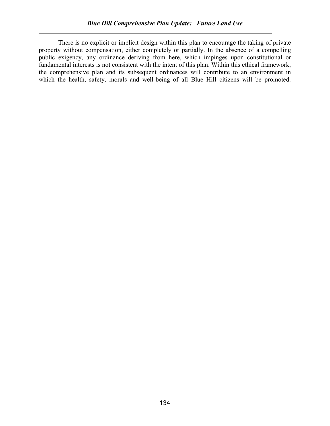There is no explicit or implicit design within this plan to encourage the taking of private property without compensation, either completely or partially. In the absence of a compelling public exigency, any ordinance deriving from here, which impinges upon constitutional or fundamental interests is not consistent with the intent of this plan. Within this ethical framework, the comprehensive plan and its subsequent ordinances will contribute to an environment in which the health, safety, morals and well-being of all Blue Hill citizens will be promoted.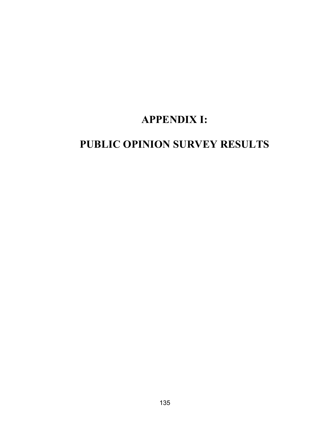# APPENDIX I:

# PUBLIC OPINION SURVEY RESULTS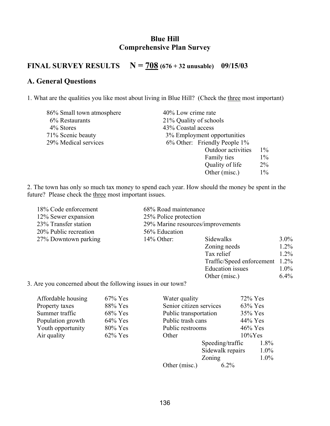### Blue Hill Comprehensive Plan Survey

# FINAL SURVEY RESULTS  $N = 708(676 + 32 \text{ unusable})$  09/15/03

## A. General Questions

1. What are the qualities you like most about living in Blue Hill? (Check the three most important)

| 86% Small town atmosphere | 40% Low crime rate           |       |
|---------------------------|------------------------------|-------|
| 6% Restaurants            | 21% Quality of schools       |       |
| 4% Stores                 | 43% Coastal access           |       |
| 71% Scenic beauty         | 3% Employment opportunities  |       |
| 29% Medical services      | 6% Other: Friendly People 1% |       |
|                           | Outdoor activities           | $1\%$ |
|                           | Family ties                  | $1\%$ |
|                           | Quality of life              | $2\%$ |
|                           | Other (misc.)                | $1\%$ |

2. The town has only so much tax money to spend each year. How should the money be spent in the future? Please check the three most important issues.

| 18% Code enforcement  | 68% Road maintenance              |                           |         |  |  |
|-----------------------|-----------------------------------|---------------------------|---------|--|--|
| 12% Sewer expansion   | 25% Police protection             |                           |         |  |  |
| 23% Transfer station  | 29% Marine resources/improvements |                           |         |  |  |
| 20% Public recreation | 56% Education                     |                           |         |  |  |
| 27% Downtown parking  | $14\%$ Other:                     | Sidewalks                 |         |  |  |
|                       |                                   | Zoning needs              | $1.2\%$ |  |  |
|                       |                                   | Tax relief                | $1.2\%$ |  |  |
|                       |                                   | Traffic/Speed enforcement | $1.2\%$ |  |  |
|                       |                                   | <b>Education</b> issues   | $1.0\%$ |  |  |
|                       |                                   | Other (misc.)             | 6.4%    |  |  |

3. Are you concerned about the following issues in our town?

| Affordable housing | $67\%$ Yes | Water quality           | $72\%$ Yes       |         |
|--------------------|------------|-------------------------|------------------|---------|
| Property taxes     | 88% Yes    | Senior citizen services | 63% Yes          |         |
| Summer traffic     | 68% Yes    | Public transportation   | 35% Yes          |         |
| Population growth  | $64\%$ Yes | Public trash cans       | 44% Yes          |         |
| Youth opportunity  | 80% Yes    | Public restrooms        | $46\%$ Yes       |         |
| Air quality        | $62\%$ Yes | Other                   | $10\%$ Yes       |         |
|                    |            |                         | Speeding/traffic | $1.8\%$ |
|                    |            |                         | Sidewalk repairs | $1.0\%$ |
|                    |            |                         | Zoning           | $1.0\%$ |
|                    |            | Other (misc.)           | $6.2\%$          |         |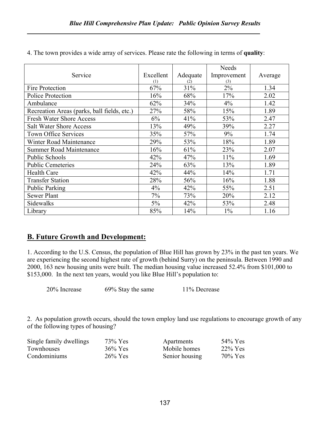|                                             |           |          | <b>Needs</b> |         |
|---------------------------------------------|-----------|----------|--------------|---------|
| Service                                     | Excellent | Adequate | Improvement  | Average |
|                                             | (1)       | (2)      | (3)          |         |
| Fire Protection                             | 67%       | 31%      | $2\%$        | 1.34    |
| Police Protection                           | 16%       | 68%      | 17%          | 2.02    |
| Ambulance                                   | 62%       | 34%      | 4%           | 1.42    |
| Recreation Areas (parks, ball fields, etc.) | 27%       | 58%      | 15%          | 1.89    |
| <b>Fresh Water Shore Access</b>             | 6%        | 41%      | 53%          | 2.47    |
| <b>Salt Water Shore Access</b>              | 13%       | 49%      | 39%          | 2.27    |
| <b>Town Office Services</b>                 | 35%       | 57%      | 9%           | 1.74    |
| <b>Winter Road Maintenance</b>              | 29%       | 53%      | 18%          | 1.89    |
| <b>Summer Road Maintenance</b>              | 16%       | 61%      | 23%          | 2.07    |
| Public Schools                              | 42%       | 47%      | 11%          | 1.69    |
| <b>Public Cemeteries</b>                    | 24%       | 63%      | 13%          | 1.89    |
| <b>Health Care</b>                          | 42%       | 44%      | 14%          | 1.71    |
| <b>Transfer Station</b>                     | 28%       | 56%      | 16%          | 1.88    |
| Public Parking                              | 4%        | 42%      | 55%          | 2.51    |
| <b>Sewer Plant</b>                          | 7%        | 73%      | 20%          | 2.12    |
| Sidewalks                                   | $5\%$     | 42%      | 53%          | 2.48    |
| Library                                     | 85%       | 14%      | $1\%$        | 1.16    |

4. The town provides a wide array of services. Please rate the following in terms of quality:

### B. Future Growth and Development:

1. According to the U.S. Census, the population of Blue Hill has grown by 23% in the past ten years. We are experiencing the second highest rate of growth (behind Surry) on the peninsula. Between 1990 and 2000, 163 new housing units were built. The median housing value increased 52.4% from \$101,000 to \$153,000. In the next ten years, would you like Blue Hill's population to:

20% Increase 69% Stay the same 11% Decrease

2. As population growth occurs, should the town employ land use regulations to encourage growth of any of the following types of housing?

| Single family dwellings | 73% Yes    | Apartments     | $54\%$ Yes |
|-------------------------|------------|----------------|------------|
| Townhouses              | $36\%$ Yes | Mobile homes   | $22\%$ Yes |
| Condominiums            | $26\%$ Yes | Senior housing | $70\%$ Yes |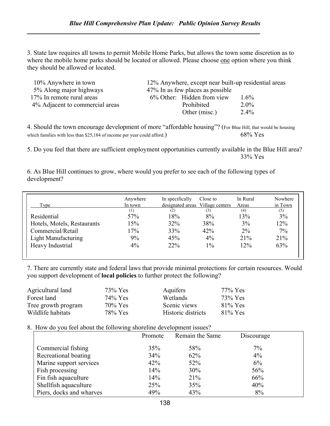3. State law requires all towns to permit Mobile Home Parks, but allows the town some discretion as to where the mobile home parks should be located or allowed. Please choose one option where you think they should be allowed or located.

| $10\%$ Anywhere in town         | 12% Anywhere, except near built-up residential areas |         |
|---------------------------------|------------------------------------------------------|---------|
| 5% Along major highways         | 47% In as few places as possible                     |         |
| 17% In remote rural areas       | 6% Other: Hidden from view                           | $1.6\%$ |
| 4% Adjacent to commercial areas | Prohibited                                           | $2.0\%$ |
|                                 | Other (misc.)                                        | $2.4\%$ |

4. Should the town encourage development of more "affordable housing"? (For Blue Hill, that would be housing which families with less than \$25,184 of income per year could afford.)  $68\%$  Yes

5. Do you feel that there are sufficient employment opportunities currently available in the Blue Hill area? 33% Yes

6. As Blue Hill continues to grow, where would you prefer to see each of the following types of development?

| Type                        | Anywhere<br>In town | In specifically<br>designated areas Village centers | Close to | In Rural<br>Areas | Nowhere<br>in Town |
|-----------------------------|---------------------|-----------------------------------------------------|----------|-------------------|--------------------|
|                             | (1)                 | (2)                                                 | (3)      | (4)               | (5)                |
| Residential                 | 57%                 | 18%                                                 | 8%       | 13%               | 3%                 |
| Hotels, Motels, Restaurants | 15%                 | 32%                                                 | 38%      | 3%                | 12%                |
| Commercial/Retail           | 17%                 | 33%                                                 | 42%      | $2\%$             | 7%                 |
| Light Manufacturing         | 9%                  | 45%                                                 | 4%       | 21%               | 21%                |
| Heavy Industrial            | 4%                  | 22%                                                 | $1\%$    | 12%               | 63%                |

7. There are currently state and federal laws that provide minimal protections for certain resources. Would you support development of local policies to further protect the following?

| Agricultural land   | 73% Yes    | Aquifers           | $77\%$ Yes |
|---------------------|------------|--------------------|------------|
| Forest land         | 74% Yes    | Wetlands           | 73% Yes    |
| Tree growth program | $70\%$ Yes | Scenic views       | $81\%$ Yes |
| Wildlife habitats   | 78% Yes    | Historic districts | $81\%$ Yes |

### 8. How do you feel about the following shoreline development issues?

|                          | Promote | Remain the Same | Discourage |  |
|--------------------------|---------|-----------------|------------|--|
| Commercial fishing       | 35%     | 58%             | 7%         |  |
| Recreational boating     | 34%     | 62%             | $4\%$      |  |
| Marine support services  | 42%     | 52%             | 6%         |  |
| Fish processing          | 14%     | 30%             | 56%        |  |
| Fin fish aquaculture     | 14%     | 21%             | 66%        |  |
| Shellfish aquaculture    | 25%     | 35%             | 40%        |  |
| Piers, docks and wharves | 49%     | 43%             | 8%         |  |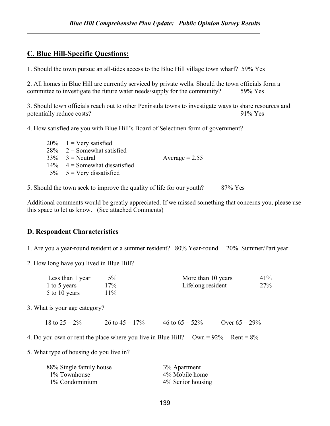### C. Blue Hill-Specific Questions:

1. Should the town pursue an all-tides access to the Blue Hill village town wharf? 59% Yes

2. All homes in Blue Hill are currently serviced by private wells. Should the town officials form a committee to investigate the future water needs/supply for the community? 59% Yes

3. Should town officials reach out to other Peninsula towns to investigate ways to share resources and potentially reduce costs? 91% Yes

4. How satisfied are you with Blue Hill's Board of Selectmen form of government?

| $20\%$ 1 = Very satisfied        |                  |
|----------------------------------|------------------|
| $28\%$ 2 = Somewhat satisfied    |                  |
| $33\%$ 3 = Neutral               | Average $= 2.55$ |
| $14\%$ 4 = Somewhat dissatisfied |                  |
| $5\%$ 5 = Very dissatisfied      |                  |

5. Should the town seek to improve the quality of life for our youth? 87% Yes

Additional comments would be greatly appreciated. If we missed something that concerns you, please use this space to let us know. (See attached Comments)

### D. Respondent Characteristics

1. Are you a year-round resident or a summer resident? 80% Year-round 20% Summer/Part year

2. How long have you lived in Blue Hill?

| Less than 1 year | $5\%$ | More than 10 years | 41% |
|------------------|-------|--------------------|-----|
| 1 to 5 years     | 17%   | Lifelong resident  | 27% |
| 5 to 10 years    | 11%   |                    |     |

3. What is your age category?

| 18 to $25 = 2\%$ | 26 to $45 = 17\%$ | 46 to $65 = 52\%$ | Over $65 = 29\%$ |
|------------------|-------------------|-------------------|------------------|
|                  |                   |                   |                  |

4. Do you own or rent the place where you live in Blue Hill? Own =  $92\%$  Rent =  $8\%$ 

5. What type of housing do you live in?

| 88% Single family house | 3% Apartment      |
|-------------------------|-------------------|
| 1% Townhouse            | 4% Mobile home    |
| 1% Condominium          | 4% Senior housing |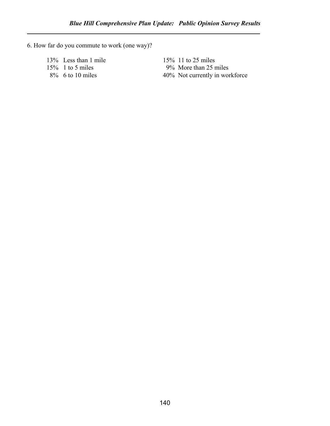6. How far do you commute to work (one way)?

13% Less than 1 mile<br>15% 11 to 25 miles<br>15% 11 to 25 miles<br>9% More than 25 r

15% 1 to 5 miles 9% More than 25 miles<br>8% 6 to 10 miles 40% Not currently in work 40% Not currently in workforce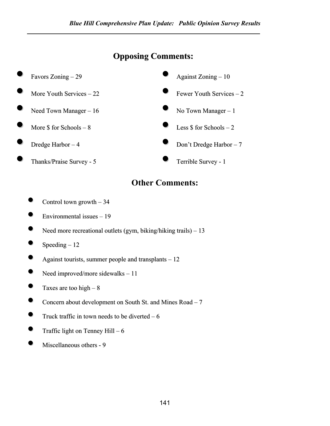## Opposing Comments:



## Other Comments:

- Control town growth  $-34$
- Environmental issues <sup>19</sup>
- Need more recreational outlets (gym, biking/hiking trails) 13
- $Speeding 12$
- Against tourists, summer people and transplants  $-12$
- Need improved/more sidewalks 11
- Taxes are too high  $-8$
- Concern about development on South St. and Mines  $Read 7$
- Truck traffic in town needs to be diverted  $-6$
- Traffic light on Tenney Hill  $6$
- Miscellaneous others <sup>9</sup>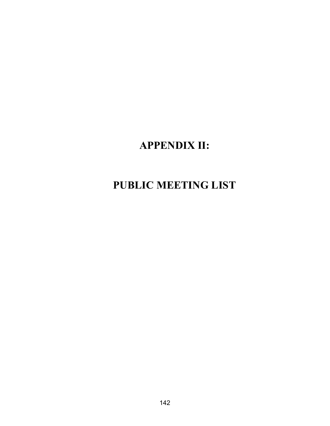# APPENDIX II:

# PUBLIC MEETING LIST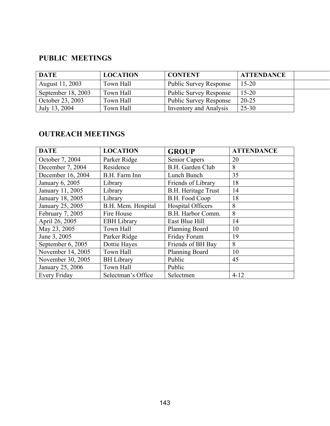## PUBLIC MEETINGS

| <b>DATE</b>        | <b>LOCATION</b> | <b>CONTENT</b>                | <b>ATTENDANCE</b> |  |
|--------------------|-----------------|-------------------------------|-------------------|--|
| August 11, 2003    | Town Hall       | <b>Public Survey Response</b> | $15 - 20$         |  |
| September 18, 2003 | Town Hall       | <b>Public Survey Response</b> | $15 - 20$         |  |
| October 23, 2003   | Town Hall       | <b>Public Survey Response</b> | $20 - 25$         |  |
| July 13, 2004      | Town Hall       | <b>Inventory and Analysis</b> | 25-30             |  |

### OUTREACH MEETINGS

| <b>DATE</b>         | <b>LOCATION</b>    | <b>GROUP</b>               | <b>ATTENDANCE</b> |
|---------------------|--------------------|----------------------------|-------------------|
| October 7, 2004     | Parker Ridge       | <b>Senior Capers</b>       | 20                |
| December 7, 2004    | Residence          | B.H. Garden Club           | 8                 |
| December 16, 2004   | B.H. Farm Inn      | Lunch Bunch                | 35                |
| January 6, 2005     | Library            | Friends of Library         | 18                |
| January 11, 2005    | Library            | <b>B.H.</b> Heritage Trust | 14                |
| January 18, 2005    | Library            | B.H. Food Coop             | 18                |
| January 25, 2005    | B.H. Mem. Hospital | Hospital Officers          | 8                 |
| February 7, 2005    | Fire House         | B.H. Harbor Comm.          | 8                 |
| April 26, 2005      | <b>EBH</b> Library | East Blue Hill             | 14                |
| May 23, 2005        | Town Hall          | <b>Planning Board</b>      | 10                |
| June 3, 2005        | Parker Ridge       | Friday Forum               | 19                |
| September 6, 2005   | Dottie Hayes       | Friends of BH Bay          | 8                 |
| November 14, 2005   | Town Hall          | Planning Board             | 10                |
| November 30, 2005   | <b>BH</b> Library  | Public                     | 45                |
| January 25, 2006    | Town Hall          | Public                     |                   |
| <b>Every Friday</b> | Selectman's Office | Selectmen                  | $4 - 12$          |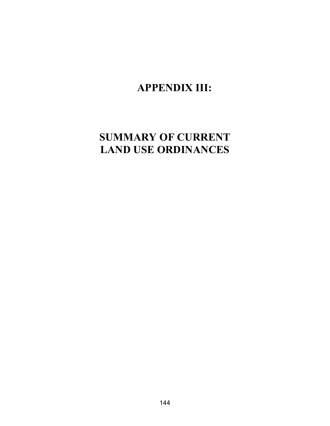## APPENDIX III:

# SUMMARY OF CURRENT LAND USE ORDINANCES